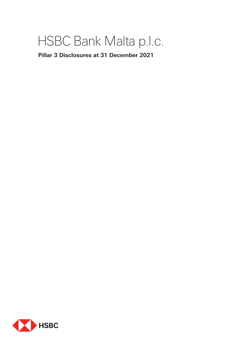# HSBC Bank Malta p.l.c.

**Pillar 3 Disclosures at 31 December 2021**

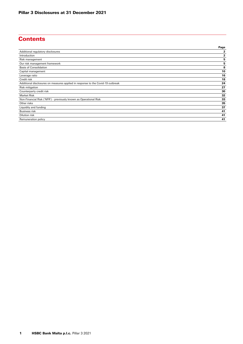# **Contents**

|                                                                                 | Page         |
|---------------------------------------------------------------------------------|--------------|
| Additional regulatory disclosures                                               | $\mathbf{2}$ |
| Introduction                                                                    | $\mathbf{2}$ |
| Risk management                                                                 | 5            |
| Our risk management framework                                                   | 5            |
| <b>Basis of Consolidation</b>                                                   | 8            |
| Capital management                                                              | 10           |
| Leverage ratio                                                                  | 16           |
| Credit risk                                                                     | 18           |
| Additional disclosures on measures applied in response to the Covid-19 outbreak | 24           |
| Risk mitigation                                                                 | 27           |
| Counterparty credit risk                                                        | 30           |
| <b>Market Risk</b>                                                              | 32           |
| Non-Financial Risk ('NFR') - previously known as Operational Risk               | 33           |
| Other risks                                                                     | 35           |
| Liquidity and funding                                                           | 37           |
| <b>Business risk</b>                                                            | 41           |
| Dilution risk                                                                   | 41           |
| Remuneration policy                                                             | 41           |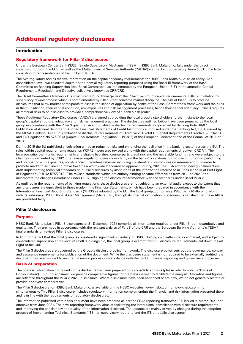# Additional regulatory disclosures

## Introduction

## Regulatory framework for Pillar 3 disclosures

Under the European Central Bank ('ECB') Single Supervisory Mechanism ('SSM'), HSBC Bank Malta p.l.c. falls under the direct supervision of both the ECB, as well as the Malta Financial Services Authority ('MFSA') via the Joint Supervisory Team ('JST'), the latter consisting of representatives of the ECB and MFSA.

The two regulatory bodies receive information on the capital adequacy requirements for HSBC Bank Malta p.l.c. as an entity. At a consolidated level, we calculate capital for prudential regulatory reporting purposes using the Basel III framework of the Basel Committee on Banking Supervision (the 'Basel Committee') as implemented by the European Union ('EU') in the amended Capital Requirements Regulation and Directive collectively known as CRR/CRD.

The Basel Committee's framework is structured around three 'pillars': the Pillar 1 minimum capital requirements, Pillar 2 in relation to supervisory review process which is complemented by Pillar 3 that concerns market discipline. The aim of Pillar 3 is to produce disclosures that allow market participants to assess the scope of application by banks of the Basel Committee's framework and the rules in their jurisdiction, their capital condition, risk exposures and risk management processes, hence their capital adequacy. Pillar 3 requires all material risks to be disclosed to provide a comprehensive view of a bank's risk profile.

These Additional Regulatory Disclosures ('ARDs') are aimed at providing the local group's stakeholders further insight to the local group's capital structure, adequacy and risk management practices. The disclosures outlined below have been prepared by the local group in accordance with the Pillar 3 quantitative and qualitative disclosure requirements as governed by Banking Rule BR/07: Publication of Annual Report and Audited Financial Statements of Credit Institutions authorised under the Banking Act, 1994, issued by the MFSA. Banking Rule BR/07 follows the disclosure requirements of Directive 2013/36/EU (Capital Requirements Directive — Pillar 1) and EU Regulation No 575/2013 (Capital Requirements Regulation — Pillar 2) of the European Parliament and of the Council of 26 June 2013.

During 2019 the EU published a legislation aimed at reducing risks and enhancing the resilience in the banking sector across the EU. The rules within capital requirements regulation ('CRR2') were also revised along with the capital requirements directive ('CRD V'). The leverage ratio, own funds requirements and eligible liabilities, counterparty credit risk and the net stable funding ratio were subject to the changes implemented by CRR2. The revised regulation gives more clarity on the banks' obligations to disclose on forborne, performing and non-performing exposures, non-financial guarantees received including collateral, and disclosures on remuneration. In order to promote market discipline and move towards a worldwide standardised approach, during 2021 the EBA adopted new guidelines 'Final draft implementing technical standards on public disclosures by institutions of the information referred to in Titles II and III of Part Eight of Regulation (EU) No 575/2013. 'The revised standards which are entirely binding became effective as from 28 June 2021 and incorporate the changes introduced under CRR2, aligning the disclosures framework with the standards under Basel Pillar 3.

As outlined in the requirements of banking regulations, these disclosures are not subject to an external audit, except to the extent that any disclosures are equivalent to those made in the Financial Statements, which have been prepared in accordance with the International Financial Reporting Standards ('IFRS') as adopted by the EU. The local group, comprising HSBC Bank Malta p.l.c. along with its subsidiary HSBC Global Asset Management (Malta) Ltd., through its internal verification procedures, is satisfied that these ARDs are presented fairly.

## Pillar 3 disclosures

### Purpose

HSBC Bank Malta p.l.c.'s Pillar 3 disclosures at 31 December 2021 comprise all information required under Pillar 3, both quantitative and qualitative. They are made in accordance with the relevant articles of Part 8 of the CRR and the European Banking Authority's ('EBA') final standards on revised Pillar 3 disclosures.

In light of the fact that the local group is considered a significant subsidiary of HSBC Holdings plc within the local market, and subject to consolidated supervision at the level of HSBC Holdings plc, the local group is exempt from full disclosure requirements laid down in Part Eight of the CRR.

The Pillar 3 disclosures are governed by the Group's disclosure policy framework. The disclosure policy sets out the governance, control and assurance requirements for publication of the document. While the disclosure statement is not required to be externally audited, the document has been subject to an internal review process in accordance with the banks' financial reporting and governance processes.

#### Basis of preparation

The financial information contained in this disclosure has been prepared on a consolidated basis (please refer to note 3a 'Basis of Consolidation'). In our disclosures, we provide comparative figures for the previous year to facilitate the analysis. Key ratios and figures are reflected throughout the Pillar 3 2021 disclosures. Where disclosures have been enhanced or are new, we do not generally restate or provide prior year comparatives.

The Pillar 3 disclosure for HSBC Bank Malta p.l.c. is available on the HSBC websites, www.hsbc.com or www.hsbc.com.mt, simultaneously. This Pillar 3 disclosure includes regulatory information complementing the financial and risk information presented there and is in line with the requirements of regulatory disclosures.

The information published within this document have been prepared as per the EBAs reporting framework 3.0 issued in March 2021 and effective from June 2021. The new reporting framework aims at facilitating the institutions' compliance with disclosure requirements and improving the consistency and quality of the information disclosed. The updates are mainly driven by changes during the adoption process of Implementing Technical Standards ('ITS') on supervisory reporting and the ITS on public disclosures.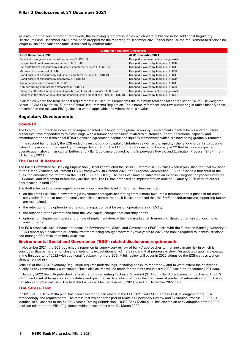As a result of the new reporting framework, the following quantitative tables which were published in the Additional Regulatory Disclosures until December 2020, have been dropped for the reporting of December 2021, either because the requirement to disclose no longer exists or because the table is replaced by another table.

| <b>Additional Regulatory Disclosures</b>                                            |                                         |  |  |
|-------------------------------------------------------------------------------------|-----------------------------------------|--|--|
| At 31 December 2020                                                                 | At 31 December 2021                     |  |  |
| Total and average net amount of exposures (EU CRB-B)                                | Dropped as requirement no longer exists |  |  |
| Geographical breakdown of exposures (EU CRB-C)                                      | Dropped. Covered by template EU CQ4     |  |  |
| Concentration of exposures by industry or counterparty types (EU CRB-D)             | Dropped. Covered by template EU CQ5     |  |  |
| Maturity of exposures (EU CRB-E)                                                    | Dropped. Covered by template EU CR1     |  |  |
| Credit quality of exposures by industry or counterparty types (EU CR1-B)            | Dropped. Covered by template EU CQ5     |  |  |
| Credit quality of exposures by geography (EU CR1-C)                                 | Dropped. Covered by template EU CQ4     |  |  |
| Ageing of past-due exposures (EU CR1-D)                                             | Dropped. Covered by template EU CQ3     |  |  |
| Non-performing and forborne exposures (EU CR1-E)                                    | Dropped. Covered by template EU CR1     |  |  |
| Changes in the stock of general and specific credit risk adjustments (EU CR2-A)     | Dropped as requirement no longer exists |  |  |
| Changes in the stock of defaulted and impaired loans and debt securities (EU CR2-B) | Dropped. Covered by template EU CR2     |  |  |

In all tables where the term 'capital requirements' is used, this represents the minimum total capital charge set at 8% of Risk Weighted Assets ('RWAs') by article 92 of the Capital Requirements Regulation. Table name references and row numbering in tables identify those prescribed in the relevant EBA guidelines where applicable and where there is a value.

## Regulatory Developments

## Covid-19

The Covid-19 outbreak has created an unprecedented challenge to the global economy. Governments, central banks and regulatory authorities have responded to this challenge with a number of measures related to customer support, operational capacity and amendments to the transitional IFRS9 extension agreement, capital and liquidity frameworks which are now being gradually removed.

In the second half of 2021, the ECB ended its restrictions on capital distribution as well as the liquidity relief allowing banks to operate below 100 per cent of the Liquidity Coverage Ratio ('LCR'). The ECB further announced in February 2022 that banks are expected to operate again above their capital buffers and Pillar 2 guidance defined by the Supervisory Review and Evaluation Process ('SREP') from 01 January 2023.

## The Basel III Reforms

The Basel Committee on Banking Supervision ('Basel') completed the Basel III Reforms in July 2020 when it published the final revisions to the Credit Valuation Adjustment ('CVA') framework. In October 2021, the European Commission ('EC') published a first draft of the rules implementing the reforms in the EU ('CRR3' or 'CRD6'). The rules will now be subject to an extensive negotiation process with the EU Council and Parliament before they are finalised. The EC has proposed an implementation date of 1 January 2025 with an output floor phased-in until 2030.

The draft rules include some significant deviations from the Basel III Reforms. These include:

- on the credit risk side, a new strategic investment category benefitting from a more favourable treatment and a phase-in for credit conversion factors of unconditionally cancellable commitments. It is also proposed that the SME and infrastructure supporting factors are maintained;
- the retention of the option to neutralise the impact of past losses on operational risk RWAs;
- the retention of the exemptions from the CVA capital charges that currently apply;
- options to mitigate the impact and timing of implementation of the new market risk framework, should other jurisdictions make amendments.

The EC's proposals also enhance the focus on Environmental Social and Governance ('ESG') risks with the European Banking Authority's ('EBA') report on a dedicated prudential treatment being brought forward by two years to 2023 and banks required to identify, disclose and manage ESG risks at an individual level.

## Environmental Social and Governance ('ESG') related disclosures requirements

In November 2021, the ECB published a report on its supervisory review of banks' approaches to manage climate risk in which it concludes that banks are not close to meeting its expectations on climate risk and that progress is slow. An updated report is expected in the first quarter of 2022 with additional feedback from the ECB. A full review will occur in 2022 alongside the ECB's stress test on climate-related risk.

Article 8 of the EU's Taxonomy Regulation requires undertakings, including banks, to report how and to what extent their activities qualify as environmentally sustainable. These disclosures will be made for the first time in early 2022 based on December 2021 data.

In January 2022 the EBA published its final draft Implementing Technical Standard ('ITS') on Pillar 3 disclosures on ESG risks. The ITS introduced a set of templates on qualitative and quantitative data which requires the disclosure of prudential information on ESG risks, transition and physical risks. The first disclosures will be made in early 2023 based on December 2022 data.

## EBA Stress Test

In 2021, HSBC Bank Malta p.l.c. has been selected to participate in the ECB 2021 SSM SREP Stress Test, leveraging of the EBA methodology and requirements. The stress test which forms part of Malta's Supervisory Review and Evaluation Process ('SREP') is identical in all aspects to the full EBA Stress Testing Submission. HSBC Bank Malta p.l.c. has elected an early adoption of the SREP decision related to the Pillar 2 guidance which takes effect from 01 March 2022.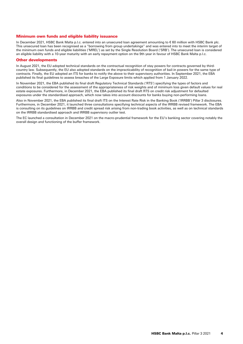## Minimum own funds and eligible liability issuance

In December 2021, HSBC Bank Malta p.l.c. entered into an unsecured loan agreement amounting to € 60 million with HSBC Bank plc. This unsecured loan has been recognised as a "borrowing from group undertakings" and was entered into to meet the interim target of the minimum own funds and eligible liabilities ('MREL') as set by the Single Resolution Board ('SRB'). The unsecured loan is considered an eligible liability with a 10-year maturity with an early repayment option on the 9th year in favour of HSBC Bank Malta p.l.c.

#### Other developments

In August 2021, the EU adopted technical standards on the contractual recognition of stay powers for contracts governed by thirdcountry law. Subsequently, the EU also adopted standards on the impracticability of recognition of bail-in powers for the same type of contracts. Finally, the EU adopted an ITS for banks to notify the above to their supervisory authorities. In September 2021, the EBA published its final guidelines to assess breaches of the Large Exposure limits which applied from 1 January 2022.

In November 2021, the EBA published its final draft Regulatory Technical Standards ('RTS') specifying the types of factors and conditions to be considered for the assessment of the appropriateness of risk weights and of minimum loss given default values for real estate exposures. Furthermore, in December 2021, the EBA published its final draft RTS on credit risk adjustment for defaulted exposures under the standardised approach, which now takes into account discounts for banks buying non-performing loans.

Also in November 2021, the EBA published its final draft ITS on the Interest Rate Risk in the Banking Book ('IRRBB') Pillar 3 disclosures. Furthermore, in December 2021, it launched three consultations specifying technical aspects of the IRRBB revised framework. The EBA is consulting on its guidelines on IRRBB and credit spread risk arising from non-trading book activities, as well as on technical standards on the IRRBB standardised approach and IRRBB supervisory outlier test.

The EC launched a consultation in December 2021 on the macro-prudential framework for the EU's banking sector covering notably the overall design and functioning of the buffer framework.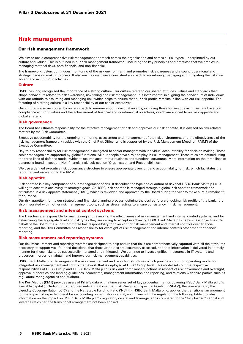## Risk management

## Our risk management framework

We aim to use a comprehensive risk management approach across the organisation and across all risk types, underpinned by our culture and values. This is outlined in our risk management framework, including the key principles and practices that we employ in managing material risks, both financial and non-financial.

The framework fosters continuous monitoring of the risk environment, and promotes risk awareness and a sound operational and strategic decision making process. It also ensures we have a consistent approach to monitoring, managing and mitigating the risks we accept and incur in our activities.

#### **Culture**

HSBC has long recognised the importance of a strong culture. Our culture refers to our shared attitudes, values and standards that shape behaviours related to risk awareness, risk taking and risk management. It is instrumental in aligning the behaviours of individuals with our attitude to assuming and managing risk, which helps to ensure that our risk profile remains in line with our risk appetite. The fostering of a strong culture is a key responsibility of our senior executives.

Our culture is also reinforced by our approach to remuneration. Individual awards, including those for senior executives, are based on compliance with our values and the achievement of financial and non-financial objectives, which are aligned to our risk appetite and global strategy.

## Risk governance

The Board has ultimate responsibility for the effective management of risk and approves our risk appetite. It is advised on risk-related matters by the Risk Committee.

Executive accountability for the ongoing monitoring, assessment and management of the risk environment, and the effectiveness of the risk management framework resides with the Chief Risk Officer who is supported by the Risk Management Meeting ('RMM') of the Executive Committee.

Day-to-day responsibility for risk management is delegated to senior managers with individual accountability for decision making. These senior managers are supported by global functions. All our people have a role to play in risk management. These roles are defined using the three lines of defence model, which takes into account our business and functional structures. More information on the three lines of defence is found in section 'Non financial risk' sub-section 'Organisation and Responsibilities'.

We use a defined executive risk governance structure to ensure appropriate oversight and accountability for risk, which facilitates the reporting and escalation to the RMM.

#### Risk appetite

Risk appetite is a key component of our management of risk. It describes the type and quantum of risk that HSBC Bank Malta p.l.c. is willing to accept in achieving its strategic goals. At HSBC, risk appetite is managed through a global risk appetite framework and articulated in a risk appetite statement ('RAS'), which is reviewed and approved by the Board during the year to make sure it remains fit for purpose.

Our risk appetite informs our strategic and financial planning process, defining the desired forward-looking risk profile of the bank. It is also integrated within other risk management tools, such as stress testing, to ensure consistency in risk management.

#### Risk management and internal control systems

The Directors are responsible for maintaining and reviewing the effectiveness of risk management and internal control systems, and for determining the aggregate level and risk types they are willing to accept in achieving HSBC Bank Malta p.l.c.'s business objectives. On behalf of the Board, the Audit Committee has responsibility for oversight of risk management and internal controls over financial reporting, and the Risk Committee has responsibility for oversight of risk management and internal controls other than for financial reporting.

#### Risk measurement and reporting systems

Our risk measurement and reporting systems are designed to help ensure that risks are comprehensively captured with all the attributes necessary to support well-founded decisions, that those attributes are accurately assessed, and that information is delivered in a timely manner for those risks to be successfully managed and mitigated. We continue to invest significant resources in IT systems and processes in order to maintain and improve our risk management capabilities.

HSBC Bank Malta p.l.c. leverages on the risk measurement and reporting structures which provide a common operating model for integrated risk management and control framework that is deployed at HSBC Group level. This model sets out the respective responsibilities of HSBC Group and HSBC Bank Malta p.l.c.'s risk and compliance functions in respect of risk governance and oversight, approval authorities and lending guidelines, scorecards, management information and reporting, and relations with third parties such as regulators, rating agencies and auditors.

The Key Metrics (KM1) provides users of Pillar 3 data with a time series set of key prudential metrics covering HSBC Bank Malta p.l.c.'s available capital (including buffer requirements and ratios), the Risk Weighted Exposure Assets ('RWEAs'), the leverage ratio, the Liquidity Coverage Ratio ('LCR') and the Net Stable Funding Ratio ('NSFR'). HSBC Bank Malta p.l.c. applies the transitional arrangement for the impact of expected credit loss accounting on regulatory capital, and in line with the regulation the following table provides information on the impact on HSBC Bank Malta p.l.c's regulatory capital and leverage ratios compared to the "fully loaded" capital and leverage ratios had the transitional arrangement not been applied.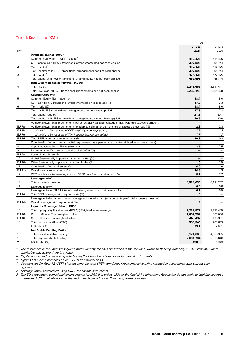## Table 1: Key metrics (KM1)

|                  |                                                                                                          | At        |                          |
|------------------|----------------------------------------------------------------------------------------------------------|-----------|--------------------------|
|                  |                                                                                                          | 31 Dec    | 31 Dec                   |
| Ref*             |                                                                                                          | 2021      | 2020                     |
|                  | Available capital (€000) <sup>+</sup>                                                                    |           |                          |
| $\mathbf{1}$     | Common equity tier 1 ('CET1') capital                                                                    | 412,424   | 415,426                  |
|                  | CET1 capital as if IFRS 9 transitional arrangements had not been applied                                 | 397,593   | 396,744                  |
| $\overline{2}$   | Tier 1 capital                                                                                           | 412,424   | 415,426                  |
|                  | Tier 1 capital as if IFRS 9 transitional arrangements had not been applied                               | 397,593   | 396,744                  |
| 3                | Total capital                                                                                            | 474,424   | 477,426                  |
|                  | Total capital as if IFRS 9 transitional arrangements had not been applied                                | 459,593   | 458,744                  |
|                  | Risk-weighted assets ('RWAs') (€000)                                                                     |           |                          |
| $\overline{4}$   | Total RWAs <sup>^</sup>                                                                                  | 2,243,665 | 2,311,411                |
|                  | Total RWAs as if IFRS 9 transitional arrangements had not been applied                                   | 2,232,148 | 2,296,429                |
|                  | Capital ratios (%)                                                                                       |           |                          |
| 5                | Common Equity Tier 1 ratio (%)                                                                           | 18.4      | 18.0                     |
|                  | CET1 as if IFRS 9 transitional arrangements had not been applied                                         | 17.8      | 17.3                     |
| $\,6$            | Tier 1 ratio (%)                                                                                         | 18.4      | 18.0                     |
|                  | Tier 1 as if IFRS 9 transitional arrangements had not been applied                                       | 17.8      | 17.3                     |
| $\overline{7}$   | Total capital ratio (%)                                                                                  | 21.1      | 20.7                     |
|                  | Total capital as if IFRS 9 transitional arrangements had not been applied                                | 20.6      | 20.0                     |
|                  | Additional own funds requirements based on SREP (as a percentage of risk-weighted exposure amount)       |           |                          |
| EU 7a            | Additional own funds requirements to address risks other than the risk of excessive leverage (%)         | 2.3       | 2.3                      |
| EU 7b            | of which: to be made up of CET1 capital (percentage points)                                              | 1.3       | 1.3                      |
| EU <sub>7c</sub> | of which: to be made up of Tier 1 capital (percentage points)                                            | 1.7       | 1.7                      |
| EU 7d            | Total SREP own funds requirements (%)                                                                    | 10.3      | 10.3                     |
|                  | Combined buffer and overall capital requirement (as a percentage of risk-weighted exposure amount)       |           |                          |
| 8                | Capital conservation buffer requirement                                                                  | 2.5       | 2.5                      |
| $\overline{9}$   | Institution specific countercyclical capital buffer (%)                                                  |           |                          |
| EU <sub>9a</sub> | Systemic risk buffer (%)                                                                                 |           | $\overline{\phantom{0}}$ |
| 10               | Global Systemically Important Institution buffer (%)                                                     |           | $\equiv$                 |
| <b>EU 10a</b>    | Other Systemically Important Institution buffer (%)                                                      | 1.5       | 1.5                      |
| 11               | Combined buffer requirement (%)                                                                          | 4.0       | 4.0                      |
| <b>EU 11a</b>    | Overall capital requirements (%)                                                                         | 14.3      | 14.3                     |
| 12               | CET1 available after meeting the total SREP own funds requirements (%) <sup>1</sup>                      | 8.1       | 7.7                      |
|                  | Leverage ratio <sup>2</sup>                                                                              |           |                          |
| 13               | Total exposure measure                                                                                   | 6,528,035 | 6.124.252                |
| 14               | Leverage ratio $(%)^2$                                                                                   | 6.3       | 6.8                      |
|                  | Leverage ratio as if IFRS 9 transitional arrangements had not been applied                               | 6.1       | 6.5                      |
| <b>EU 14c</b>    | Total SREP leverage ratio requirements (%)                                                               | З         | $\overline{\phantom{a}}$ |
|                  | Leverage ratio buffer and overall leverage ratio requirement (as a percentage of total exposure measure) |           |                          |
| <b>EU 14e</b>    | Overall leverage ratio requirement (%)                                                                   | 3         |                          |
|                  | Liquidity Coverage Ratio ('LCR') <sup>3</sup>                                                            |           |                          |
| 15               | Total high-quality liquid assets (HQLA) (Weighted value -average)                                        | 2,222,872 | 1,777,435                |
| <b>EU 16a</b>    | Cash outflows - Total weighted value                                                                     | 1,034,782 | 939,030                  |
| <b>EU 16b</b>    | Cash inflows - Total weighted value                                                                      | 448,437   | 173,361                  |
| 16               | Total net cash outflow (€000)                                                                            | 586,345   | 765,669                  |
|                  | LCR ratio (%)                                                                                            | 379.1     | 232.1                    |
|                  | <b>Net Stable Funding Ratio</b>                                                                          |           |                          |
| 18               | Total available stable funding                                                                           | 5,174,663 | 4,866,385                |
| 19               | Total required stable funding                                                                            | 2,601,704 | 2,926,648                |
| 20               | NSFR ratio (%)                                                                                           | 198.9     | 166.3                    |

*\* The references in this, and subsequent tables, identify the lines prescribed in the relevant European Banking Authority ('EBA') template where applicable and where there is a value.*

*+ Capital figures and ratios are reported using the CRR2 transitional basis for capital instruments.*

*^ Figures have been prepared on an IFRS 9 transitional basis.*

*1 Comparative for Row 12 (CET1 after meeting the total SREP own funds requirements) is being restated in accordance with current year reporting.*

*2 Leverage ratio is calculated using CRR2 for capital instruments.*

*3 The EU's regulatory transitional arrangements for IFRS 9 in article 473a of the Capital Requirements Regulation do not apply to liquidity coverage measures. LCR is calculated as at the end of each period rather than using average values.*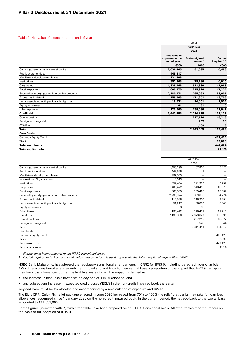Table 2: Net value of exposure at the end of year

|                                              | Group                                                       |                                             |                                            |  |
|----------------------------------------------|-------------------------------------------------------------|---------------------------------------------|--------------------------------------------|--|
|                                              |                                                             | At 31 Dec                                   |                                            |  |
|                                              |                                                             | 2021                                        |                                            |  |
|                                              | Net value of<br>exposure at the<br>end of year <sup>^</sup> | <b>Risk-weighted</b><br>assets <sup>^</sup> | <b>Capital</b><br>Required <sup>1, ^</sup> |  |
|                                              | €000                                                        | €000                                        | €000                                       |  |
| Central governments or central banks         | 2,036,465                                                   | 81,095                                      | 6,488                                      |  |
| Public sector entities                       | 448,517                                                     | —                                           |                                            |  |
| Multilateral development banks               | 121.596                                                     |                                             |                                            |  |
| Institutions                                 | 357,368                                                     | 75,190                                      | 6,015                                      |  |
| Corporates                                   | 1,328,146                                                   | 513,339                                     | 41,068                                     |  |
| Retail exposures                             | 665,276                                                     | 215,928                                     | 17,274                                     |  |
| Secured by mortgages on immovable property   | 2,180,171                                                   | 795,092                                     | 63,607                                     |  |
| Exposures in default                         | 159,768                                                     | 171,352                                     | 13,708                                     |  |
| Items associated with particularly high risk | 19,534                                                      | 24,051                                      | 1,924                                      |  |
| Equity exposures                             | 81                                                          | 81                                          | 6                                          |  |
| Other exposures                              | 125,566                                                     | 138,090                                     | 11,047                                     |  |
| <b>Credit risk</b>                           | 7,442,488                                                   | 2,014,218                                   | 161,137                                    |  |
| Operational risk                             |                                                             | 227,726                                     | 18,218                                     |  |
| Foreign exchange risk                        |                                                             | 252                                         | 20                                         |  |
| <b>CVA Risk</b>                              |                                                             | 1,469                                       | 118                                        |  |
| <b>Total</b>                                 |                                                             | 2,243,665                                   | 179,493                                    |  |
| Own funds                                    |                                                             |                                             |                                            |  |
| Common Equity Tier 1                         |                                                             |                                             | 412,424                                    |  |
| Tier 2                                       |                                                             |                                             | 62,000                                     |  |
| <b>Total own funds</b>                       |                                                             |                                             | 474,424                                    |  |
| <b>Total capital ratio</b>                   |                                                             |                                             | 21.1%                                      |  |

|                                              |           | At 31 Dec                |         |
|----------------------------------------------|-----------|--------------------------|---------|
|                                              |           | 2020                     |         |
| Central governments or central banks         | 1,455,295 | 67,826                   | 5,426   |
| Public sector entities                       | 442,838   |                          |         |
| Multilateral development banks               | 237,859   | $\overline{\phantom{0}}$ | —       |
| <b>International Organisations</b>           | 10,013    | —                        | —       |
| Institutions                                 | 354,454   | 121,959                  | 9,757   |
| Corporates                                   | 1,406,422 | 548,455                  | 43,876  |
| Retail exposures                             | 685,805   | 195,466                  | 15,637  |
| Secured by mortgages on immovable property   | 2,233,924 | 809,676                  | 64,774  |
| Exposures in default                         | 116,588   | 116,930                  | 9,354   |
| Items associated with particularly high risk | 51,217    | 66,850                   | 5,348   |
| Equity exposures                             | 33        | 33                       | 3       |
| Other items                                  | 136,442   | 146,451                  | 11,716  |
| Credit risk                                  | 7,130,890 | 2,073,647                | 165,891 |
| Operational risk                             |           | 237,216                  | 18,977  |
| Foreign exchange risk                        |           | 548                      | 44      |
| Total                                        |           | 2,311,411                | 184,912 |
| Own funds                                    |           |                          |         |
| Common Equity Tier 1                         |           |                          | 415,426 |
| Tier 2                                       |           |                          | 62,000  |
| Total own funds                              |           |                          | 477,426 |
| Total capital ratio                          |           |                          | 20.7%   |
|                                              |           |                          |         |

*^ Figures have been prepared on an IFRS9 transitional basis.*

*1 Capital requirements, here and in all tables where the term is used, represents the Pillar I capital charge at 8% of RWAs.*

HSBC Bank Malta p.l.c. has adopted the regulatory transitional arrangements in CRR2 for IFRS 9, including paragraph four of article 473a. These transitional arrangements permit banks to add back to their capital base a proportion of the impact that IFRS 9 has upon their loan loss allowances during the first five years of use. The impact is defined as:

- the increase in loan loss allowances on day one of IFRS 9 adoption; and
- any subsequent increase in expected credit losses ('ECL') in the non-credit impaired book thereafter.

Any add-back must be tax affected and accompanied by a recalculation of exposure and RWAs.

The EU's CRR 'Quick Fix' relief package enacted in June 2020 increased from 70% to 100% the relief that banks may take for loan loss allowances recognised since 1 January 2020 on the non-credit impaired book. In the current period, the net add-back to the capital base amounted to €14,831,000.

Some figures (indicated with  $\wedge$ ) within the table have been prepared on an IFRS 9 transitional basis. All other tables report numbers on the basis of full adoption of IFRS 9.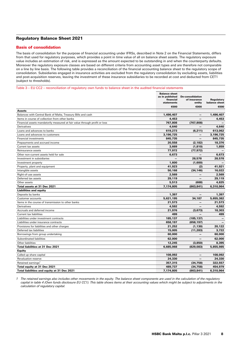## Regulatory Balance Sheet 2021

## Basis of consolidation

The basis of consolidation for the purpose of financial accounting under IFRSs, described in Note 2 on the Financial Statements, differs from that used for regulatory purposes, which provides a point in time value of all on balance sheet assets. The regulatory exposure value includes an estimation of risk, and is expressed as the amount expected to be outstanding in and when the counterparty defaults. Moreover the regulatory exposure classes are based on different criteria from accounting asset types and are therefore not comparable on a line by line basis. The following table provides a reconciliation of the financial accounting balance sheet to the regulatory scope of consolidation. Subsidiaries engaged in insurance activities are excluded from the regulatory consolidation by excluding assets, liabilities and post-acquisition reserves, leaving the investment of these insurance subsidiaries to be recorded at cost and deducted from CET1

| concentration. Cabolaiance chgagea in mealunce activities are excluded non-the regulatory concentration by excluding accele, habit<br>and post-acquisition reserves, leaving the investment of these insurance subsidiaries to be recorded at cost and deducted from CET1<br>(subject to thresholds). |                                                                                                                |                                                           |                                     |  |
|-------------------------------------------------------------------------------------------------------------------------------------------------------------------------------------------------------------------------------------------------------------------------------------------------------|----------------------------------------------------------------------------------------------------------------|-----------------------------------------------------------|-------------------------------------|--|
|                                                                                                                                                                                                                                                                                                       | Table 3 – EU CC2 – reconciliation of regulatory own funds to balance sheet in the audited financial statements |                                                           |                                     |  |
|                                                                                                                                                                                                                                                                                                       | <b>Balance sheet</b><br>as in published<br>financial<br>statements<br>€000                                     | <b>De-consolidation</b><br>of insurance<br>entity<br>€000 | Regulatory<br>balance sheet<br>€000 |  |
| <b>Assets</b>                                                                                                                                                                                                                                                                                         |                                                                                                                |                                                           |                                     |  |
| Balances with Central Bank of Malta, Treasury Bills and cash                                                                                                                                                                                                                                          | 1,496,407                                                                                                      |                                                           | 1,496,407                           |  |
| Items in course of collection from other banks                                                                                                                                                                                                                                                        | 4,453                                                                                                          |                                                           | 4,453                               |  |
| Financial assets mandatorily measured at fair value through profit or loss                                                                                                                                                                                                                            | 767,808                                                                                                        | (767, 808)                                                |                                     |  |
| Derivatives                                                                                                                                                                                                                                                                                           | 4,640                                                                                                          |                                                           | 4,640                               |  |
| Loans and advances to banks                                                                                                                                                                                                                                                                           | 619,273                                                                                                        | (6, 211)                                                  | 613,062                             |  |
| Loans and advances to customers                                                                                                                                                                                                                                                                       | 3,196,725                                                                                                      | -                                                         | 3,196,725                           |  |
| Financial investments                                                                                                                                                                                                                                                                                 | 845,735                                                                                                        |                                                           | 845,735                             |  |
| Prepayments and accrued income                                                                                                                                                                                                                                                                        | 20,558                                                                                                         | (2, 182)                                                  | 18,376                              |  |
| Current tax assets                                                                                                                                                                                                                                                                                    | 3,669                                                                                                          | (1, 810)                                                  | 1,859                               |  |
| Reinsurance assets                                                                                                                                                                                                                                                                                    | 77,972                                                                                                         | (77, 972)                                                 |                                     |  |
| Other non-current assets held for sale                                                                                                                                                                                                                                                                | 6,673                                                                                                          |                                                           | 6,673                               |  |
| Investment in subsidiaries                                                                                                                                                                                                                                                                            |                                                                                                                | 28,578                                                    | 28,578                              |  |
| Investment property                                                                                                                                                                                                                                                                                   | 1,600                                                                                                          | (1,600)                                                   |                                     |  |
| Property, plant and equipment                                                                                                                                                                                                                                                                         | 41,923                                                                                                         | (2)                                                       | 41,921                              |  |
| Intangible assets                                                                                                                                                                                                                                                                                     | 50,168                                                                                                         | (34, 146)                                                 | 16,022                              |  |
| Right-of-use assets                                                                                                                                                                                                                                                                                   | 2,569                                                                                                          |                                                           | 2,569                               |  |
| Deferred tax assets                                                                                                                                                                                                                                                                                   | 29,119                                                                                                         |                                                           | 29,119                              |  |
| Other assets                                                                                                                                                                                                                                                                                          | 5,513                                                                                                          | (688)                                                     | 4,825                               |  |
| Total assets at 31 Dec 2021                                                                                                                                                                                                                                                                           | 7,174,805                                                                                                      | (863, 841)                                                | 6,310,964                           |  |
| <b>Liabilities and equity</b>                                                                                                                                                                                                                                                                         |                                                                                                                |                                                           |                                     |  |
| Deposits by banks                                                                                                                                                                                                                                                                                     | 1,397                                                                                                          |                                                           | 1,397                               |  |
| Customer accounts                                                                                                                                                                                                                                                                                     | 5,621,195                                                                                                      | 34,187                                                    | 5,655,382                           |  |
| Items in the course of transmission to other banks                                                                                                                                                                                                                                                    | 21,573                                                                                                         | —                                                         | 21,573                              |  |
| Derivatives                                                                                                                                                                                                                                                                                           | 4,592                                                                                                          | —                                                         | 4,592                               |  |
| Accruals and deferred income                                                                                                                                                                                                                                                                          | 21,976                                                                                                         | (3, 673)                                                  | 18,303                              |  |
| Current tax liabilities                                                                                                                                                                                                                                                                               | 499                                                                                                            |                                                           | 499                                 |  |
| Liabilities under investment contracts                                                                                                                                                                                                                                                                | 185,137                                                                                                        | (185, 137)                                                |                                     |  |
| Liabilities under insurance contracts                                                                                                                                                                                                                                                                 | 658,197                                                                                                        | (658, 197)                                                |                                     |  |
| Provisions for liabilities and other charges                                                                                                                                                                                                                                                          | 21,252                                                                                                         | (1, 130)                                                  | 20,122                              |  |
| Deferred tax liabilities                                                                                                                                                                                                                                                                              | 15,005                                                                                                         | (11, 283)                                                 | 3,722                               |  |
| Borrowings from group undertaking                                                                                                                                                                                                                                                                     | 60,000                                                                                                         |                                                           | 60,000                              |  |
| Subordinated liabilities                                                                                                                                                                                                                                                                              | 62,000                                                                                                         | —                                                         | 62,000                              |  |
| Other liabilities                                                                                                                                                                                                                                                                                     | 12,245                                                                                                         | (3,850)                                                   | 8,395                               |  |
| Total liabilities at 31 Dec 2021                                                                                                                                                                                                                                                                      | 6,685,068                                                                                                      | (829, 083)                                                | 5,855,985                           |  |
| <b>Equity</b>                                                                                                                                                                                                                                                                                         |                                                                                                                |                                                           |                                     |  |
| Called up share capital                                                                                                                                                                                                                                                                               | 108,092                                                                                                        |                                                           | 108,092                             |  |
| Revaluation reserve                                                                                                                                                                                                                                                                                   | 24,330                                                                                                         |                                                           | 24,330                              |  |
| Retained earnings <sup>1</sup>                                                                                                                                                                                                                                                                        | 357,315                                                                                                        | (34, 758)                                                 | 322,557                             |  |
| Total equity at 31 Dec 2021                                                                                                                                                                                                                                                                           | 489,737                                                                                                        | (34, 758)                                                 | 454,979                             |  |

*1 The retained earnings also includes other movements in the equity. The balance sheet components are used in the calculation of the regulatory capital in table 4 (Own funds disclosure EU CC1). This table shows items at their accounting values which might be subject to adjustments in the calculation of regulatory capital.*

Total liabilities and equity at 31 Dec 2021 7,174,805 (863,841) 6,310,964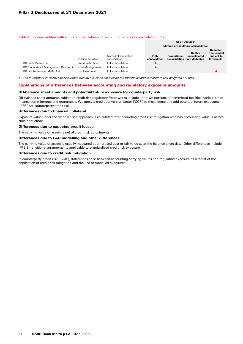#### Table 4: Principal entities with a different regulatory and accounting scope of consolidation (LI3)

|                                           |                        |                                       | At 31 Dec 2021                     |                               |                                                |                                                                          |
|-------------------------------------------|------------------------|---------------------------------------|------------------------------------|-------------------------------|------------------------------------------------|--------------------------------------------------------------------------|
|                                           |                        |                                       | Method of regulatory consolidation |                               |                                                |                                                                          |
|                                           | Principal activities   | Method of accounting<br>consolidation | <b>Fully</b><br>consolidated       | Proportional<br>consolidation | <b>Neither</b><br>consolidated<br>nor deducted | <b>Deducted</b><br>from capital<br>subject to<br>thresholds <sup>1</sup> |
| HSBC Bank Malta p.l.c.                    | Credit Institution     | Fully consolidated                    |                                    |                               |                                                |                                                                          |
| HSBC Global Asset Management (Malta) Ltd. | <b>Fund Management</b> | Fully consolidated                    |                                    |                               |                                                |                                                                          |
| HSBC Life Assurance (Malta) Ltd           | Life Assurance         | Fully consolidated                    |                                    |                               |                                                |                                                                          |

*1 The investment in HSBC Life Assurance (Malta) Ltd. does not exceed the thresholds and is therefore risk weighted at 250%.*

#### Explanations of differences between accounting and regulatory exposure amounts

#### Off-balance sheet amounts and potential future exposure for counterparty risk

Off-balance sheet amounts subject to credit risk regulatory frameworks include undrawn portions of committed facilities, various trade finance commitments and guarantees. We apply a credit conversion factor ('CCF') to these items and add potential future exposures ('PFE') for counterparty credit risk.

#### Differences due to financial collateral

Exposure value under the standardised approach is calculated after deducting credit risk mitigation whereas accounting value is before such deductions.

#### Differences due to expected credit losses

The carrying value of assets is net of credit risk adjustments.

#### Differences due to EAD modelling and other differences

The carrying value of assets is usually measured at amortised cost or fair value as at the balance sheet date. Other differences include IFRS 9 transitional arrangements applicable to standardised credit risk exposure.

#### Differences due to credit risk mitigation

In counterparty credit risk ('CCR'), differences arise between accounting carrying values and regulatory exposure as a result of the application of credit risk mitigation and the use of modelled exposures.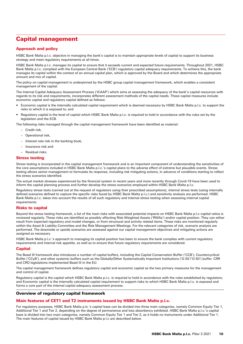# Capital management

## Approach and policy

HSBC Bank Malta p.l.c. objective in managing the bank's capital is to maintain appropriate levels of capital to support its business strategy and meet regulatory requirements at all times.

HSBC Bank Malta p.l.c. manages its capital to ensure that it exceeds current and expected future requirements. Throughout 2021, HSBC Bank Malta p.l.c. complied with the European Central Bank ('ECB') regulatory capital adequacy requirements. To achieve this, the bank manages its capital within the context of an annual capital plan, which is approved by the Board and which determines the appropriate amount and mix of capital.

The policy on capital management is underpinned by the HSBC group capital management framework, which enables a consistent management of the capital.

The Internal Capital Adequacy Assessment Process ('ICAAP') which aims at assessing the adequacy of the bank's capital resources with regards to its risk and requirements, incorporates different assessment methods of the capital needs. These capital measures include economic capital and regulatory capital defined as follows:

- Economic capital is the internally calculated capital requirement which is deemed necessary by HSBC Bank Malta p.l.c. to support the risks to which it is exposed to; and
- Regulatory capital is the level of capital which HSBC Bank Malta p.l.c. is required to hold in accordance with the rules set by the legislation and the ECB.

The following risks managed through the capital management framework have been identified as material:

- Credit risk,
- Operational risk,
- Interest rate risk in the banking book,
- Insurance risk and
- Residual risks.

## Stress testing

Stress testing is incorporated in the capital management framework and is an important component of understanding the sensitivities of the core assumptions included in HSBC Bank Malta p.l.c.'s capital plans to the adverse effect of extreme but plausible events. Stress testing allows senior management to formulate its response, including risk mitigating actions, in advance of conditions starting to reflect the stress scenarios identified.

The actual market stresses experienced by the financial system in recent years and more recently through Covid-19 have been used to inform the capital planning process and further develop the stress scenarios employed within HSBC Bank Malta p.l.c.

Regulatory stress tests (carried out at the request of regulators using their prescribed assumptions), internal stress tests (using internally defined scenarios defined to capture the specific risks faced by HSBC Bank Malta p.l.c.) and sensitivity analysis are performed. HSBC Bank Malta p.l.c. takes into account the results of all such regulatory and internal stress testing when assessing internal capital requirements.

## Risks to capital

Beyond the stress testing framework, a list of the main risks with associated potential impacts on HSBC Bank Malta p.l.c capital ratios is reviewed regularly. These risks are identified as possibly affecting Risk-Weighted Assets ('RWAs') and/or capital position. They can either result from expected regulatory and model changes, or from structural and activity related items. These risks are monitored regularly within the Asset & Liability Committee and the Risk Management Meetings. For the relevant categories of risk, scenario analysis are performed. The downside or upside scenarios are assessed against our capital management objectives and mitigating actions are assigned as necessary.

HSBC Bank Malta p.l.c.'s approach to managing its capital position has been to ensure the bank complies with current regulatory requirements and internal risk appetite, as well as to ensure that future regulatory requirements are considered.

## **Capital**

The Basel III framework also introduces a number of capital buffers, including the Capital Conservation Buffer ('CCB'), Countercyclical Buffer ('CCyB'), and other systemic buffers such as the Globally/Other Systematically Important Institutions ('G-SII'/'O-SII') buffer. CRR and CRD legislations implemented Basel III in the EU.

The capital management framework defines regulatory capital and economic capital as the two primary measures for the management and control of capital.

Regulatory capital is the capital which HSBC Bank Malta p.l.c. is required to hold in accordance with the rules established by regulators; and Economic capital is the internally calculated capital requirement to support risks to which HSBC Bank Malta p.l.c. is exposed and forms a core part of the internal capital adequacy assessment process.

## Overview of regulatory capital framework

## Main features of CET1 and T2 instruments issued by HSBC Bank Malta p.l.c.

For regulatory purposes, HSBC Bank Malta p.lc.'s capital base can be divided into three main categories, namely Common Equity Tier 1, Additional Tier 1 and Tier 2, depending on the degree of permanence and loss absorbency exhibited. HSBC Bank Malta p.l.c.'s capital base is divided into two main categories, namely Common Equity Tier 1 and Tier 2, as it holds no instruments under Additional Tier 1. The main features of capital issued by HSBC Bank Malta p.l.c are described below.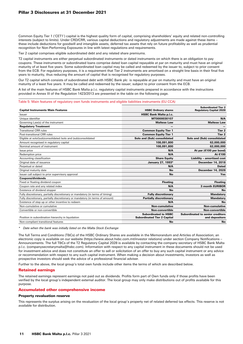## Pillar 3 Disclosures at 31 December 2021

Common Equity Tier 1 ('CET1') capital is the highest quality form of capital, comprising shareholders' equity and related non-controlling interests (subject to limits). Under CRD/CRR, various capital deductions and regulatory adjustments are made against these items – these include deductions for goodwill and intangible assets, deferred tax assets that rely on future profitability as well as prudential recognition for Non-Performing Exposures in line with latest regulations and requirements.

Tier 2 capital comprises eligible subordinated debt and any related share premiums.

T2 capital instruments are either perpetual subordinated instruments or dated instruments on which there is an obligation to pay coupons. These instruments or subordinated loans comprise dated loan capital repayable at par on maturity and must have an original maturity of at least five years. Some subordinated loan capital may be called and redeemed by the issuer to, subject to prior consent from the ECB. For regulatory purposes, it is a requirement that Tier 2 instruments are amortised on a straight line basis in their final five years to maturity, thus reducing the amount of capital that is recognised for regulatory purposes.

Our T2 capital which consists of subordinated debt with HSBC Bank plc is repayable at par on maturity and must have an original maturity of a least five years. It may be called and redeemed by the issuer; subject to prior consent from the ECB.

A list of the main features of HSBC Bank Malta p.l.c. regulatory capital instruments prepared in accordance with the instructions provided in Annex III of the Regulation 1423/2013 are presented in the table on the following page.

Table 5: Main features of regulatory own funds instruments and eligible liabilities instruments (EU CCA)

|                                                                                |                                                                   | <b>Subordinated Tier 2</b>                                |
|--------------------------------------------------------------------------------|-------------------------------------------------------------------|-----------------------------------------------------------|
| <b>Capital Instruments Main Features</b>                                       | <b>HSBC Ordinary shares</b>                                       | <b>Regulatory Capital 2028</b>                            |
| Issuer                                                                         | <b>HSBC Bank Malta p.l.c.</b>                                     |                                                           |
| Unique identifier                                                              | MT0000030107                                                      | N/A                                                       |
| Governing Law(s) of the instrument                                             | <b>Maltese Law</b>                                                | <b>Maltese Law</b>                                        |
| <b>Regulatory Treatment</b>                                                    |                                                                   |                                                           |
| <b>Transitional CRR rules</b>                                                  | <b>Common Equity Tier 1</b>                                       | Tier <sub>2</sub>                                         |
| Post-transitional CRR rules                                                    | <b>Common Equity Tier 1</b>                                       | Tier <sub>2</sub>                                         |
| Eligible at solo/(sub)consolidated /solo and (sub)consolidated                 | Solo and (Sub) consolidated                                       | Solo and (Sub) consolidated                               |
| Amount recognised in regulatory capital                                        | 108,091,800                                                       | 62,000,000                                                |
| Nominal amount of instrument                                                   | 108,091,800                                                       | 62,000,000                                                |
| Issue price                                                                    | N/A                                                               | At par $(€100$ per bond)                                  |
| Redemption price                                                               | N/A                                                               | At €100                                                   |
| Accounting classification                                                      | <b>Share Equity</b>                                               | Liability - amortised cost                                |
| Original date of issuance                                                      | January 27, 1993*                                                 | <b>December 14, 2018</b>                                  |
| Perpetual or dated                                                             | N/A                                                               | <b>Dated</b>                                              |
| Original maturity date                                                         | <b>No</b>                                                         | <b>December 14, 2028</b>                                  |
| Issuer call subject to prior supervisory approval                              | No                                                                | Yes                                                       |
| <b>Coupons/dividends</b>                                                       |                                                                   |                                                           |
| Fixed or floating dividend coupon                                              | <b>Floating</b>                                                   | <b>Floating</b>                                           |
| Coupon rate and any related index                                              | N/A                                                               | <b>3 month EURIBOR</b>                                    |
| Existence of dividend stopper                                                  | No                                                                | No                                                        |
| Fully discretionary, partially discretionary or mandatory (in terms of timing) | <b>Fully discretionary</b>                                        | <b>Mandatory</b>                                          |
| Fully discretionary, partially discretionary or mandatory (in terms of amount) | <b>Partially discretionary</b>                                    | <b>Mandatory</b>                                          |
| Existence of step up or other incentive to redeem                              | N/A                                                               | No                                                        |
| Non-cumulative or cumulative                                                   | <b>Non-cumulative</b>                                             | <b>Non-cumulative</b>                                     |
| Convertible or non-convertible                                                 | <b>Non-convertible</b>                                            | <b>Non-convertible</b>                                    |
| Position in subordination hierarchy in liquidation                             | <b>Subordinated to HSBC</b><br><b>Subordinated Tier 2 Capital</b> | <b>Subordinated to senior creditors</b><br>and depositors |
| Non-compliant transitional features                                            | <b>No</b>                                                         | <b>No</b>                                                 |

*\* Date when the bank was initially listed on the Malta Stock Exchange*

The full Terms and Conditions (T&Cs) of the HSBC Ordinary Shares are available in the Memorandum and Articles of Association; an electronic copy is available on our website (https://www.about.hsbc.com.mt/investor relations) under section Company Notifications – Announcements. The full T&Cs of the T2 Regulatory Capital 2028 is available by contacting the company secretary of HSBC Bank Malta p.l.c. (companysecretarymalta@hsbc.com). Information with respect to any capital instrument in these documents should not be used for investment advice and does not constitute an offer to sell or solicitation of an offer to buy any such capital instrument or any advice or recommendation with respect to any such capital instrument. When making a decision about investments, investors as well as prospective investors should seek the advice of a professional financial adviser.

Further to the above, the local group's total own funds include other items the terms of which are described below.

#### Retained earnings

The retained earnings represent earnings not paid out as dividends. Profits form part of Own funds only if those profits have been verified by the local group's independent external auditor. The local group may only make distributions out of profits available for this purpose.

#### Accumulated other comprehensive income

#### Property revaluation reserve

This represents the surplus arising on the revaluation of the local group's property net of related deferred tax effects. This reserve is not available for distribution.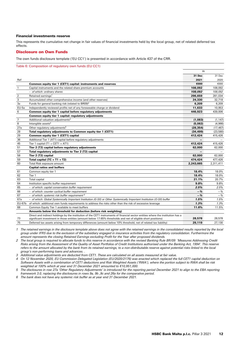#### Financial investments reserve

This represents the cumulative net change in fair values of financial investments held by the local group, net of related deferred tax effects.

## Disclosure on Own Funds

The own funds disclosure template ('EU CC1') is presented in accordance with Article 437 of the CRR.

Table 6: Composition of regulatory own funds (EU CC1)

|                |                                                                                                                                                                                                                                                   | At        |           |
|----------------|---------------------------------------------------------------------------------------------------------------------------------------------------------------------------------------------------------------------------------------------------|-----------|-----------|
|                |                                                                                                                                                                                                                                                   | 31 Dec    | 31 Dec    |
| Ref            |                                                                                                                                                                                                                                                   | 2021      | 2020      |
|                | Common equity tier 1 (CET1) capital: instruments and reserves                                                                                                                                                                                     | €000      | €000      |
| $\mathbf{1}$   | Capital instruments and the related share premium accounts                                                                                                                                                                                        | 108,092   | 108,092   |
|                | - of which: ordinary shares                                                                                                                                                                                                                       | 108.092   | 108,092   |
| $\overline{2}$ | Retained earnings <sup>1</sup>                                                                                                                                                                                                                    | 296.659   | 281,034   |
| 3              | Accumulated other comprehensive income (and other reserves)                                                                                                                                                                                       | 24,330    | 32,718    |
| 3a             | Funds for general banking risk (related to BR09) <sup>2</sup>                                                                                                                                                                                     | 6,209     | 6,209     |
| EU-5a          | Independently reviewed profits net of any foreseeable charge or dividend                                                                                                                                                                          | 11,633    | 10,953    |
| 6              | Common equity tier 1 capital before regulatory adjustments                                                                                                                                                                                        | 446.923   | 439,006   |
|                | Common equity tier 1 capital: regulatory adjustments                                                                                                                                                                                              |           |           |
| $\overline{7}$ | Additional valuation adjustments <sup>3</sup>                                                                                                                                                                                                     | (1,083)   | (1, 147)  |
| 8              | Intangible assets <sup>4</sup>                                                                                                                                                                                                                    | (5,062)   | (4,966)   |
| 27a            | Other regulatory adjustments <sup>5</sup>                                                                                                                                                                                                         | (28, 354) | (17, 467) |
| 28             | Total regulatory adjustments to Common equity tier 1 (CET1)                                                                                                                                                                                       | (34, 499) | (23,580)  |
| 29             | Common equity tier 1 (CET1) capital                                                                                                                                                                                                               | 412,424   | 415,426   |
| 36             | Additional Tier 1 (AT1) capital before regulatory adjustments                                                                                                                                                                                     |           |           |
| 45             | Tier 1 capital (T1 = $CET1 + AT1$ )                                                                                                                                                                                                               | 412,424   | 415,426   |
| 51             | Tier 2 (T2) capital before regulatory adjustments                                                                                                                                                                                                 | 62,000    | 62,000    |
| 57             | Total regulatory adjustments to Tier 2 (T2) capital                                                                                                                                                                                               |           |           |
| 58             | Tier 2 (T2) capital                                                                                                                                                                                                                               | 62,000    | 62,000    |
| 59             | Total capital (TC = $T1 + T2$ )                                                                                                                                                                                                                   | 474,424   | 477,426   |
| 60             | Total Risk exposure amount                                                                                                                                                                                                                        | 2,243,665 | 2,311,411 |
|                | <b>Capital ratios and buffers</b>                                                                                                                                                                                                                 |           |           |
| 61             | Common equity tier 1                                                                                                                                                                                                                              | 18.4%     | 18.0%     |
| 62             | Tier 1                                                                                                                                                                                                                                            | 18.4%     | 18.0%     |
| 63             | <b>Total capital</b>                                                                                                                                                                                                                              | 21.1%     | 20.7%     |
| 64             | Institution specific buffer requirement                                                                                                                                                                                                           | 9.8%      | 9.8%      |
| 65             | - of which: capital conservation buffer requirement                                                                                                                                                                                               | 2.5%      | 2.5%      |
| 66             | - of which: counter cyclical buffer requirement                                                                                                                                                                                                   | $-$ %     | $-\%$     |
| 67             | - of which: systemic risk buffer requirement $6$                                                                                                                                                                                                  | $-$ %     | $-\%$     |
| 67a            | - of which: Global Systemically Important Institution (G-SII) or Other Systemically Important Institution (O-SII) buffer                                                                                                                          | 1.5%      | 1.5%      |
| EU-67b         | of which: additional own funds requirements to address the risks other than the risk of excessive leverage                                                                                                                                        | 1.3%      | 1.3%      |
| 68             | Common Equity Tier 1 available to meet buffers                                                                                                                                                                                                    | 11.6%     | 11.5%     |
|                | Amounts below the threshold for deduction (before risk weighting)                                                                                                                                                                                 |           |           |
| 73             | Direct and indirect holdings by the institution of the CET1 instruments of financial sector entities where the institution has a<br>significant investment in those entities (amount below 17.65% thresholds and net of eligible short positions) | 28,578    | 28,578    |
| 75             | Deferred tax assets arising from temporary differences (amount below 10% threshold, net of related tax liability)                                                                                                                                 | 29,119    | 27,130    |

*1 The retained earnings in the disclosure template above does not agree with the retained earnings in the consolidated results reported by the local group under IFRS due to the exclusion of the subsidiary engaged in insurance activities from the regulatory consolidation. Furthermore the amount represents the closing Retained Earnings excluding Profit for the Year after proposed dividends.*

*2 The local group is required to allocate funds to this reserve in accordance with the revised Banking Rule BR/09: 'Measures Addressing Credit Risks arising from the Assessment of the Quality of Asset Portfolios of Credit Institutions authorised under the Banking Act, 1994'. This reserve refers to the amount allocated by the bank from its retained earnings, to a non-distributable reserve against potential risks linked to the local group's non-performing loans and advances. .*

*3 Additional value adjustments are deducted from CET1. These are calculated on all assets measured at fair value.*

*4 On 12 November 2020, EU Commission Delegated Legislation (EU/2020/2176) was enacted which replaced the full CET1 capital deduction on Software Assets with a combination of CET1 deductions and Risk Weighted Assets ('RWA'), where the portion subject to RWA shall be risk weighted at 100% which at year end 31 December 2021 amounted to €10,951,000.*

*5 The disclosures in row 27a 'Other Regulatory Adjustments' is introduced for the reporting period December 2021 to align to the EBA reporting framework 3.0, replacing the disclosures in rows 9a, 9b ,9c and 26a for the comparative period.*

*6 The bank does not have any systemic risk buffer as at year end 31 December 2021.*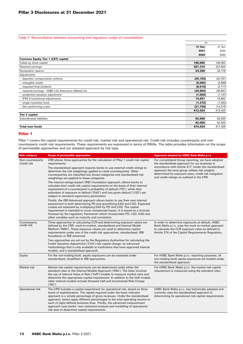Table 7: Reconciliation between accounting and regulatory scope of consolidation

|                                                       | At        |           |
|-------------------------------------------------------|-----------|-----------|
|                                                       | 31 Dec    | 31 Dec    |
|                                                       | 2021      | 2020      |
|                                                       | €000      | €000      |
| <b>Common Equity Tier 1 (CET) capital</b>             |           |           |
| Called up share capital                               | 108,092   | 108,092   |
| Retained earnings                                     | 357,315   | 337,604   |
| <b>Revaluation reserve</b>                            | 24,330    | 32,718    |
| Adjustments                                           |           |           |
| - depositor compensation scheme                       | (20, 193) | (20, 781) |
| - intangible assets                                   | (5,062)   | (4,966)   |
| - expected final dividend                             | (8,010)   | (2,717)   |
| - retained earnings - HSBC Life Assurance (Malta) Ltd | (34, 804) | (36, 691) |
| - prudential valuation adjustment                     | (1,083)   | (1, 147)  |
| - IFRS 9 transitional adjustments                     | 14,831    | 18,682    |
| - single resolution fund                              | (1, 272)  | (1,053)   |
| - Non performing Loans                                | (21, 720) | (14, 315) |
|                                                       | 412,424   | 415,426   |
| <b>Tier 2 capital</b>                                 |           |           |
| Subordinated liabilities                              | 62,000    | 62,000    |
|                                                       | 62,000    | 62,000    |
| <b>Total own funds</b>                                | 474,424   | 477,426   |

## Pillar 1

Pillar 1 covers the capital requirements for credit risk, market risk and operational risk. Credit risk includes counterparty and noncounterparty credit risk requirements. These requirements are expressed in terms of RWAs. The table provides information on the scope of permissible approaches and our adopted approach by risk type.

| <b>Risk category</b>            | <b>Scope of permissible approaches</b>                                                                                                                                                                                                                                                                                                                                                                                                                                                                                                                                                                                                                                                                                                                                                                                                   | Approach adopted by HSBC Bank Malta p.l.c.                                                                                                                                                                                                                                                                        |
|---------------------------------|------------------------------------------------------------------------------------------------------------------------------------------------------------------------------------------------------------------------------------------------------------------------------------------------------------------------------------------------------------------------------------------------------------------------------------------------------------------------------------------------------------------------------------------------------------------------------------------------------------------------------------------------------------------------------------------------------------------------------------------------------------------------------------------------------------------------------------------|-------------------------------------------------------------------------------------------------------------------------------------------------------------------------------------------------------------------------------------------------------------------------------------------------------------------|
| Non-counterparty<br>Credit risk | CRR allows three approaches for the calculation of Pillar 1 credit risk capital<br>requirements.<br>The standardised approach requires banks to use external credit ratings to<br>determine the risk weightings applied to rated counterparties. Other<br>counterparties are classified into broad categories and standardised risk<br>weightings are applied to these categories.<br>The internal ratings-based ('IRB') foundation approach, allows banks to<br>calculate their credit risk capital requirements on the basis of their internal<br>assessment of a counterparty's probability of default ('PD'), while their<br>estimates of exposure at default ('EAD') and loss given default ('LGD') are<br>subject to standard supervisory parameters.<br>Finally, the IRB Advanced approach allows banks to use their own internal | For consolidated Group reporting, we have adopted<br>the standardised approach for our business in<br>accordance with Article 317. Under the standardised<br>approach the local group utilises risk weights<br>determined by exposure class, credit risk mitigation<br>and credit ratings as outlined in the CRR. |
|                                 | assessment in both determining PD and quantifying EAD and LGD. Expected<br>Losses are assessed by multiplying EAD by PD and LGD. The capital<br>requirement is intended to cover unexpected losses. It is based on a formula<br>foreseen by the regulatory framework which incorporates PD, LGD, EAD and<br>other variables such as maturity and correlation.                                                                                                                                                                                                                                                                                                                                                                                                                                                                            |                                                                                                                                                                                                                                                                                                                   |
| Counterparty<br>credit risk     | Three approaches to calculating CCR and determining exposure values are<br>defined by the CRR, mark-to-market, standardised and Internal Model<br>Method ('IMM'). These exposure values are used to determine capital<br>requirements under one of the credit risk approaches: standardised, IRB<br>foundation or IRB advanced.                                                                                                                                                                                                                                                                                                                                                                                                                                                                                                          | In order to determine exposures at default, HSBC<br>Bank Malta p.l.c. uses the mark-to-market approach<br>to calculate the CCR exposure value as defined in<br>Article 274 of the Capital Requirements Regulation.                                                                                                |
|                                 | Two approaches are set out by the Regulatory Authorities for calculating the<br>Credit Valuation Adjustment ('CVA') risk capital charge: an advanced<br>methodology that is only available to institutions that have approved internal<br>models, and a standardised approach.                                                                                                                                                                                                                                                                                                                                                                                                                                                                                                                                                           |                                                                                                                                                                                                                                                                                                                   |
| Equity                          | For the non-trading book, equity exposures can be assessed under<br>standardised, simplified or IRB approaches.                                                                                                                                                                                                                                                                                                                                                                                                                                                                                                                                                                                                                                                                                                                          | For HSBC Bank Malta p.l.c. reporting purposes, all<br>non-trading book equity exposures are treated under<br>the standardised approach.                                                                                                                                                                           |
| Market risk                     | Market risk capital requirements can be determined under either the<br>standard rules or the Internal Models Approach ('IMA'). The latter involves<br>the use of internal Value at Risk ('VaR') models to measure market risks and<br>determine the appropriate capital requirement. In addition to the VaR models,<br>other internal models include Stressed VaR and Incremental Risk Charge<br>('IRC').                                                                                                                                                                                                                                                                                                                                                                                                                                | For HSBC Bank Malta p.l.c. the market risk capital<br>requirement is measured using the standard rules.                                                                                                                                                                                                           |
| Operational risk                | The CRR includes a capital requirement for operational risk, based on three<br>levels of sophistication. The capital required under the basic indicator<br>approach is a simple percentage of gross revenues. Under the standardised<br>approach; banks apply different percentages to the total operating income to<br>each of eight defined business lines. Thirdly, the advanced measurement<br>approach uses banks' own statistical analysis and modelling of operational<br>risk data to determine capital requirements.                                                                                                                                                                                                                                                                                                            | HSBC Bank Malta p.l.c. has historically adopted and<br>currently uses the standardised approach in<br>determining its operational risk capital requirements.                                                                                                                                                      |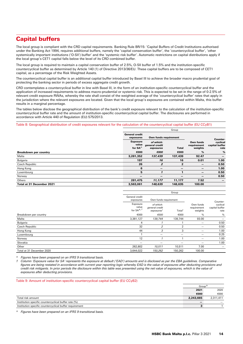# Capital buffers

The local group is compliant with the CRD capital requirements. Banking Rule BR/15: 'Capital Buffers of Credit Institutions authorised under the Banking Act 1994, requires additional buffers, namely the 'capital conservation buffer', the 'countercyclical buffer', 'other systemically important institutions ('O-SII') buffer' and the 'systemic risk buffer'. Automatic restrictions on capital distributions apply if the local group's CET1 capital falls below the level of its CRD combined buffer.

The local group is required to maintain a capital conservation buffer of 2.5%, O-SII buffer of 1.5% and the institution-specific countercyclical buffer as determined by Article 140 (1) of Directive 2013/36/EU. These capital buffers are to be composed of CET1 capital, as a percentage of the Risk Weighted Assets.

The countercyclical capital buffer is an additional capital buffer introduced by Basel III to achieve the broader macro prudential goal of protecting the banking sector in periods of excess aggregate credit growth.

CRD contemplates a countercyclical buffer in line with Basel III, in the form of an institution-specific countercyclical buffer and the application of increased requirements to address macro-prudential or systemic risk. This is expected to be set in the range of 0-2.5% of relevant credit exposure RWAs, whereby the rate shall consist of the weighted average of the 'countercyclical buffer' rates that apply in the jurisdiction where the relevant exposures are located. Given that the local group's exposures are contained within Malta, this buffer results in a marginal percentage.

The tables below disclose the geographical distribution of the bank's credit exposure relevant to the calculation of the institution-specific countercyclical buffer rate and the amount of institution-specific countercyclical capital buffer. The disclosures are performed in accordance with Article 440 of Regulation (EU) 575/2013.

Table 8: Geographical distribution of credit exposures relevant for the calculation of the countercyclical capital buffer (EU CCyB1)

|                              | Group                                                       |                                          |              |                                     |                                    |
|------------------------------|-------------------------------------------------------------|------------------------------------------|--------------|-------------------------------------|------------------------------------|
|                              | <b>General credit</b><br>Own funds requirement<br>exposures |                                          |              | Counter-                            |                                    |
|                              | <b>Exposure</b><br>value<br>for $SA^{\wedge}$               | of which:<br>general credit<br>exposures | <b>Total</b> | Own funds<br>requirement<br>weights | cyclical<br>capital buffer<br>rate |
| <b>Breakdown per country</b> | €000                                                        | €000                                     | €000         | $\frac{9}{6}$                       | $\frac{0}{0}$                      |
| Malta                        | 3,281,352                                                   | 137,439                                  | 137,439      | 92.47                               | —                                  |
| Bulgaria                     | 197                                                         | 16                                       | 16           | 0.01                                | 1.00                               |
| Czech Republic               | 26                                                          | $\overline{2}$                           | $\mathbf{2}$ | $\overline{\phantom{m}}$            | 0.50                               |
| Hong Kong                    | 6                                                           | $\overline{\phantom{m}}$                 | –            | -                                   | 1.00                               |
| Luxembourg                   | 5                                                           | 1                                        |              | -                                   | 0.50                               |
| Norway                       | $\overline{\phantom{m}}$                                    |                                          |              | $\overline{\phantom{0}}$            | 0.50                               |
| Others                       | 281.475                                                     | 11,177                                   | 11,177       | 7.52                                | $\overline{\phantom{m}}$           |
| Total at 31 December 2021    | 3,563,061                                                   | 148.635                                  | 148.635      | 100.00                              |                                    |

|                           |                                            | Group                                                 |                    |                                     |                                                |  |  |
|---------------------------|--------------------------------------------|-------------------------------------------------------|--------------------|-------------------------------------|------------------------------------------------|--|--|
|                           | General credit<br>exposures                | Own funds requirement                                 |                    |                                     |                                                |  |  |
|                           | Exposure<br>value<br>for $SA^{\Lambda, 1}$ | of which:<br>general credit<br>exposures <sup>1</sup> | Total <sup>1</sup> | Own funds<br>requirement<br>weights | Counter-<br>cyclical<br>capital buffer<br>rate |  |  |
| Breakdown per country     | €000                                       | €000                                                  | €000               | $\%$                                | $\frac{0}{0}$                                  |  |  |
| Malta                     | 3,381,127                                  | 139,744                                               | 139,744            | 93.00                               | —                                              |  |  |
| Bulgaria                  | 4                                          |                                                       |                    |                                     | 0.50                                           |  |  |
| Czech Republic            | 32                                         | 2                                                     | $\mathfrak{p}$     |                                     | 0.50                                           |  |  |
| Hong Kong                 | 44                                         | 3                                                     | 3                  |                                     | 1.00                                           |  |  |
| Luxembourg                |                                            | $\overline{\phantom{0}}$                              | —                  |                                     | 0.25                                           |  |  |
| Norway                    | 12                                         |                                                       |                    |                                     | 1.00                                           |  |  |
| Slovakia                  | —                                          | –                                                     | —                  |                                     | 1.00                                           |  |  |
| Other                     | 262,802                                    | 10,511                                                | 10,511             | 7.00                                |                                                |  |  |
| Total at 31 December 2020 | 3,644,022                                  | 150,262                                               | 150,262            | 100.00                              |                                                |  |  |

*^ Figures have been prepared on an IFRS 9 transitional basis.*

*1 Column 'Exposure value for SA' represents the exposure at default ('EAD') amounts and is disclosed as per the EBA guidelines. Comparative figures are being restated in accordance with current year reporting logic whereby EAD is the value of exposures after deducting provisions and*  credit risk mitigants. In prior periods the disclosure within this table was presented using the net value of exposures, which is the value of *exposures after deducting provisions.*

| Table 9: Amount of institution-specific countercyclical capital buffer (EU CCyB2) |                    |           |
|-----------------------------------------------------------------------------------|--------------------|-----------|
|                                                                                   | Group <sup>^</sup> |           |
|                                                                                   | 2021               | 2020      |
|                                                                                   | €000               | €000      |
| Total risk amount                                                                 | 2.243.665          | 2,311,411 |
| Institution specific countercyclical buffer rate (%)                              |                    |           |
| Institution specific countercyclical buffer requirement                           | 3                  |           |

*^ Figures have been prepared on an IFRS 9 transitional basis.*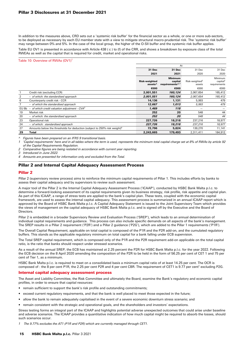In addition to the measures above, CRD sets out a 'systemic risk buffer' for the financial sector as a whole, or one or more sub-sectors, to be deployed as necessary by each EU member state with a view to mitigate structural macro-prudential risk. The 'systemic risk buffer' may range between 0% and 5%. In the case of the local group, the higher of the O-SII buffer and the systemic risk buffer applies.

Table EU OV1 is presented in accordance with Article 438 ( c ) to (f) of the CRR, and shows a breakdown by exposure class of the total RWEAs as well as the capital that is required for credit, market and operational risks.

## Table 10: Overview of RWAs (OV1)<sup>1</sup>

|       |                                                                                       |                                             | At                                                       |                                      |                                                 |
|-------|---------------------------------------------------------------------------------------|---------------------------------------------|----------------------------------------------------------|--------------------------------------|-------------------------------------------------|
|       |                                                                                       | 31 Dec                                      | 31 Dec                                                   | 31 Dec                               | 31 Dec                                          |
|       |                                                                                       | 2021                                        | 2021                                                     | 2020                                 | 2020                                            |
|       |                                                                                       | <b>Risk-weighted</b><br>assets <sup>^</sup> | <b>Minimum</b><br>capital<br>requirements <sup>1,1</sup> | Risk-weighted <sup>2</sup><br>assets | Minimum<br>capital <sup>2</sup><br>requirements |
|       |                                                                                       | €000                                        | €000                                                     | €000                                 | €000                                            |
|       | Credit risk (excluding CCR)                                                           | 2,001,551                                   | 160,124                                                  | 2,067,654                            | 165,412                                         |
| 2     | - of which: the standardised approach                                                 | 2,001,551                                   | 160,124                                                  | 2,067,654                            | 165,412                                         |
| 6     | Counterparty credit risk - CCR                                                        | 14,136                                      | 1,131                                                    | 5,993                                | 479                                             |
|       | - of which the standardised approach                                                  | 12,667                                      | 1,013                                                    | 5,993                                | 479                                             |
| EU 8b | - of which credit valuation adjustment - $CVA3$                                       | 1,469                                       | 118                                                      |                                      |                                                 |
| 19    | Market risk                                                                           | 252                                         | 20                                                       | 548                                  | 44                                              |
| 20    | - of which: the standardised approach                                                 | 252                                         | 20                                                       | 548                                  | 44                                              |
| 23    | Operational risk                                                                      | 227,726                                     | 18,218                                                   | 237,216                              | 18,977                                          |
| 24    | - of which: standardised approach                                                     | 227,726                                     | 18,218                                                   | 237,216                              | 18,977                                          |
| 27    | Amounts below the thresholds for deduction (subject to 250% risk weight) <sup>4</sup> | 72,796                                      | 5,824                                                    | 139,270                              | 11,141                                          |
| 29    | <b>Total</b>                                                                          | 2,243,665                                   | 179,493                                                  | 2,311,411                            | 184,912                                         |

*^ Figures have been prepared on an IFRS 9 transitional basis.*

*1 'Capital requirements' here and in all tables where the term is used, represents the minimum total capital charge set at 8% of RWAs by article 92 of the Capital Requirements Regulation.*

*2 Comparative figures are being restated in accordance with current year reporting.*

*3 Introduced in June 2022.*

*4 Amounts are presented for information only and excluded from the Total.*

## Pillar 2 and Internal Capital Adequacy Assessment Process

## Pillar 2

Pillar 2 (supervisory review process) aims to reinforce the minimum capital requirements of Pillar 1. This includes efforts by banks to assess their capital adequacy and by supervisors to review such assessment.

A major tool of the Pillar 2 is the Internal Capital Adequacy Assessment Process ('ICAAP'), conducted by HSBC Bank Malta p.l.c. to determine a forward-looking assessment of its capital requirements given its business strategy, risk profile, risk appetite and capital plan. As part of this ICAAP, a range of stress tests are applied to the bank's capital plan. These tests, coupled with the economic capital framework, are used to assess the internal capital adequacy. This assessment process is summarized in an annual ICAAP report which is approved by the Board of HSBC Bank Malta p.l.c. A Capital Adequacy Statement is issued to the Joint Supervisory Team which provides the views of management on the capital adequacy of HSBC Bank Malta p.l.c. and is signed off by the Executive and the Board of Directors.

Pillar 2 is embedded in a broader Supervisory Review and Evaluation Process ('SREP'), which leads to an annual determination of individual capital requirements and guidance. This process can also include specific demands on all aspects of the bank's management. The SREP results in a Pillar 2 requirement ('P2R') and a Pillar 2 guidance ('P2G'), which are added to the Pillar 1 requirements ('P1R').

The Overall Capital Requirement, applicable on total capital is composed of the P1R and the P2R add-on, and the cumulated regulatory buffers. This stands as the applicable regulatory minimum on total capital for a bank falling under ECB supervision.

The Total SREP capital requirement, which is composed only of the P1R and the P2R requirement add-on applicable on the total capital ratio, is the ratio that banks should respect under stressed scenarios.

As a result of the annual SREP, the ECB has maintained at 2.25 percent the P2R for HSBC Bank Malta p.l.c. for the year 2022. Following the ECB decision on the 8 April 2020 amending the composition of the P2R to be held in the form of 56.25 per cent of CET 1 and 75 per cent of Tier 1, as a minimum.

HSBC Bank Malta p.l.c. is required to meet on a consolidated basis a minimum capital ratio of at least 14.25 per cent. The OCR is composed of : the 8 per cent P1R, the 2.25 per cent P2R and 4 per cent CBR. The requirement of CET1 is 9.77 per cent<sup>1</sup> excluding P2G.

#### Internal capital adequacy assessment process

The Asset and Liability Committee, the Risk Committee and ultimately the Board, examine the Bank's regulatory and economic capital profiles, in order to ensure that capital resources:

- remain sufficient to support the bank's risk profile and outstanding commitments;
- exceed current regulatory requirements, and that the bank is well placed to meet those expected in the future;
- allow the bank to remain adequately capitalised in the event of a severe economic downturn stress scenario; and
- remain consistent with the strategic and operational goals, and the shareholders and investors' expectations.

Stress testing forms an integral part of the ICAAP and highlights potential adverse unexpected outcomes that could arise under baseline and adverse scenarios. The ICAAP provides a quantitative indication of how much capital might be required to absorb the losses, should such scenarios occur.

*1 The 9.77% excludes the AT1 (P1R and P2R) which are currently managed through CET1.*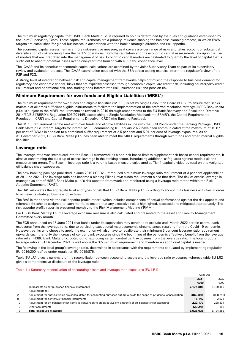The minimum regulatory capital that HSBC Bank Malta p.l.c. is required to hold is determined by the rules and guidance established by the Joint Supervisory Team. These capital requirements are a primary influence shaping the business planning process, in which RWA targets are established for global businesses in accordance with the bank's strategic direction and risk appetite.

The economic capital assessment is a more risk-sensitive measure, as it covers a wider range of risks and takes account of substantial diversification of risk accruing from the bank's operations. Both the regulatory and the economic capital assessments rely upon the use of models that are integrated into the management of risk. Economic capital models are calibrated to quantify the level of capital that is sufficient to absorb potential losses over a one-year time horizon with a 99.95% confidence level.

The ICAAP and its constituent economic capital calculations are examined by the Joint Supervisory Team as part of its supervisory review and evaluation process. The ICAAP examination coupled with the EBA stress testing exercise inform the regulator's view of the P2R and P2G.

A strong level of integration between risk and capital management frameworks helps optimising the response to business demand for regulatory and economic capital. Risks that are explicitly assessed through economic capital are credit risk, including counterparty credit risk, market and operational risk, non-trading book interest rate risk, insurance risk and pension risk.

## Minimum Requirement for own funds and Eligible Liabilities ('MREL')

The minimum requirement for own funds and eligible liabilities ('MREL') is set by Single Resolution Board ('SRB') to ensure that Banks maintain at all times sufficient eligible instruments to facilitate the implementation of the preferred resolution strategy. HSBC Bank Malta p.l.c. is subject to the MREL requirements as revised in 2019 through amendments to the EU Bank Recovery and Resolution Directive 2014/59/EU ('BRRD'); Regulation 806/2014/EU establishing a Single Resolution Mechanism ('SRMR'), the Capital Requirements Regulation ('CRR') and Capital Requirements Directive ('CRD') (the Banking Package).

This MREL requirement can be met with own funds and eligible liabilities in line with the SRB Policy under the Banking Package. HSBC Bank Malta p.l.c. Interim Targets for internal MREL commencing 01 January 2022 have been communicated at the maximum of 19.87 per cent of RWAs in addition to a combined buffer requirement of 2.5 per cent and 5.91 per cent of leverage exposures. As at 31 December 2021, HSBC Bank Malta p.l.c. has been able to meet the MREL requirements through own funds and other internal eligible liabilities.

## Leverage ratio

The leverage ratio was introduced into the Basel III framework as a non-risk-based limit to supplement risk-based capital requirements. It aims at constraining the build-up of excess leverage in the banking sector, introducing additional safeguards against model risk and measurement errors. The Basel III leverage ratio is a volume-based measure calculated as Tier 1 capital divided by total on and weighted off-balance sheet exposures.

The new banking package published in June 2019 ('CRR2') introduced a minimum leverage ratio requirement of 3 per cent applicable as of 28 June 2021. The leverage ratio has become a binding Pillar 1 own-funds requirement since that date. The risk of excess leverage is managed as part of HSBC Bank Malta p.l.c.'s risk appetite framework and monitored using a leverage ratio metric within the Risk Appetite Statement ('RAS').

The RAS articulates the aggregate level and types of risk that HSBC Bank Malta p.l.c. is willing to accept in its business activities in order to achieve its strategic business objectives.

The RAS is monitored via the risk appetite profile report, which includes comparisons of actual performance against the risk appetite and tolerance thresholds assigned to each metric, to ensure that any excessive risk is highlighted, assessed and mitigated appropriately. The risk appetite profile report is presented monthly to the Risk Management Meeting ('RMM').

For HSBC Bank Malta p.l.c. the leverage exposure measure is also calculated and presented to the Asset and Liability Management Committee every month.

The ECB announced on 18 June 2021 that banks under its supervision may continue to exclude until March 2022 certain central bank exposures from the leverage ratio, due to persisting exceptional macroeconomic circumstances resulting from the Covid-19 pandemic. However, banks who choose to apply the exemption will also have to recalibrate their minimum 3 per cent leverage ratio requirement upwards such that only the increase of central bank exposures since the beginning of the pandemic effectively benefit from the leverage ratio relief. HSBC Bank Malta p.l.c. opted out of excluding certain central bank exposures from the leverage ratio. The local group's leverage ratio at 31 December 2021 is well above the 3% minimum requirement and therefore no additional capital is needed.

The following is the local group's leverage ratio, determined in accordance with the requirements stipulated by implementing regulation EU 2016/200 ratified under regulation EU 2019/876.

Table EU LR1 gives a summary of the reconciliation between accounting assets and the leverage ratio exposures, whereas table EU LR2 gives a comprehensive disclosure of the leverage ratio.

Table 11: Summary reconciliation of accounting assets and leverage ratio exposures (EU LR1)

|                |                                                                                                                              | At 31 Dec  |            |
|----------------|------------------------------------------------------------------------------------------------------------------------------|------------|------------|
|                |                                                                                                                              | 2021       | 2020       |
|                |                                                                                                                              | €000       | €000       |
|                | Total assets as per published financial statements                                                                           | 7,174,805  | 6,730,459  |
|                | Adjustments for:                                                                                                             |            |            |
| $\mathfrak{p}$ | Adjustment for entities which are consolidated for accounting purposes but are outside the scope of prudential consolidation | (863, 841) | (838, 248) |
| 8              | Adjustment for derivative financial instruments                                                                              | 15,142     | 2.925      |
| 10             | Adjustment for off-balance sheet items (ie conversion to credit equivalent amounts of off-balance sheet exposures)           | 222,170    | 228,534    |
| 12             | Other adjustments                                                                                                            | (20, 241)  | 582        |
| 13             | Total exposure measure                                                                                                       | 6,528,035  | 6,124,252  |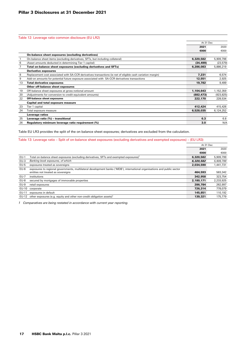Table 12: Leverage ratio common disclosure (EU LR2)

|    |                                                                                                             | At 31 Dec  |            |
|----|-------------------------------------------------------------------------------------------------------------|------------|------------|
|    |                                                                                                             | 2021       | 2020       |
|    |                                                                                                             | €000       | €000       |
|    | On-balance sheet exposures (excluding derivatives)                                                          |            |            |
|    | On-balance sheet items (excluding derivatives, SFTs, but including collateral)                              | 6,320,582  | 5,909,798  |
| 6  | (Asset amounts deducted in determining Tier 1 capital)                                                      | (34, 499)  | (23,579)   |
|    | Total on-balance sheet exposures (excluding derivatives and SFTs)                                           | 6,286,083  | 5,886,219  |
|    | <b>Derivative exposures</b>                                                                                 |            |            |
| 8  | Replacement cost associated with SA-CCR derivatives transactions (ie net of eligible cash variation margin) | 7,231      | 6,574      |
| 9  | Add-on amounts for potential future exposure associated with SA-CCR derivatives transactions                | 12,551     | 2,925      |
| 13 | <b>Total derivative exposures</b>                                                                           | 19,782     | 9,499      |
|    | Other off-balance sheet exposures                                                                           |            |            |
| 19 | Off-balance sheet exposures at gross notional amount                                                        | 1,104,643  | 1,152,359  |
| 20 | (Adjustments for conversion to credit equivalent amounts)                                                   | (882, 473) | (923, 825) |
| 22 | Off-balance sheet exposures                                                                                 | 222,170    | 228,534    |
|    | Capital and total exposure measure                                                                          |            |            |
| 23 | Tier 1 capital                                                                                              | 412,424    | 415,426    |
| 24 | Total exposure measure                                                                                      | 6,528,035  | 6,124,252  |
|    | Leverage ratios                                                                                             |            |            |
| 25 | Leverage ratio (%) - transitional                                                                           | 6.3        | 6.8        |
| 26 | Regulatory minimum leverage ratio requirement (%)                                                           | 3.0        | N/A        |

Table EU LR3 provides the split of the on balance sheet exposures; derivatives are excluded from the calculation.

Table 13: Leverage ratio – Split of on-balance sheet exposures (excluding derivatives and exempted exposures) – (EU LR3)

|             |                                                                                                                          | At 31 Dec |           |
|-------------|--------------------------------------------------------------------------------------------------------------------------|-----------|-----------|
|             |                                                                                                                          | 2021      | 2020      |
|             |                                                                                                                          | €000      | €000      |
| $EU-1$      | Total on-balance sheet exposures (excluding derivatives, SFTs and exempted exposures) <sup>1</sup>                       | 6,320,582 | 5,909,799 |
| $EU-3$      | Banking book exposures, of which:                                                                                        | 6.320.582 | 5,909,799 |
| $EU-5$      | exposures treated as sovereigns                                                                                          | 2,034,590 | 1,441,731 |
| $EU-6$      | exposures to regional governments, multilateral development banks ('MDB'), international organisations and public sector |           |           |
|             | entities not treated as sovereigns                                                                                       | 464.593   | 583,342   |
| <b>EU-7</b> | institutions                                                                                                             | 342.958   | 323,754   |
| $EU-8$      | secured by mortgages of immovable properties                                                                             | 2,180,171 | 2,233,925 |
| $EU-9$      | retail exposures                                                                                                         | 286.784   | 262,997   |
| EU-10       | corporate                                                                                                                | 726.314   | 778.079   |
| EU-11       | exposures in default                                                                                                     | 145.851   | 110.192   |
| EU-12       | other exposures (e.g. equity and other non-credit obligation assets) <sup>1</sup>                                        | 139.321   | 175,779   |
|             |                                                                                                                          |           |           |

*1 Comparatives are being restated in accordance with current year reporting.*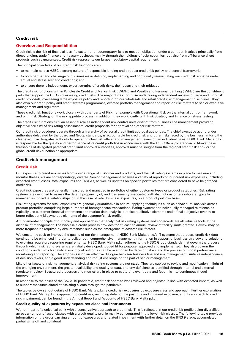## Credit risk

## Overview and Responsibilities

Credit risk is the risk of financial loss if a customer or counterparty fails to meet an obligation under a contract. It arises principally from direct lending, trade finance and treasury business, mainly through the holdings of debt securities, but also from off-balance sheet products such as guarantees. Credit risk represents our largest regulatory capital requirement.

The principal objectives of our credit risk functions are:-

- to maintain across HSBC a strong culture of responsible lending and a robust credit risk policy and control framework;
- to both partner and challenge our businesses in defining, implementing and continually re-evaluating our credit risk appetite under actual and stress scenario conditions; and
- to ensure there is independent, expert scrutiny of credit risks, their costs and their mitigation.

The credit risk functions within Wholesale Credit and Market Risk ('WMR') and Wealth and Personal Banking ('WPB') are the constituent parts that support the CRO in overseeing credit risks. The major duties comprise undertaking independent reviews of large and high-risk credit proposals, overseeing large exposure policy and reporting on our wholesale and retail credit risk management disciplines. They also own our credit policy and credit systems programmes, oversee portfolio management and report on risk matters to senior executive management and regulators.

These credit risk functions work closely with other parts of Risk, for example with Operational Risk on the internal control framework and with Risk Strategy on the risk appetite process. In addition, they work jointly with Risk Strategy and Finance on stress testing.

The credit risk functions fulfil an essential role as independent risk control units distinct from business line management providing objective scrutiny of risk rating assessments, credit proposals for approval and other risk matters.

Our credit risk procedures operate through a hierarchy of personal credit limit approval authorities. The chief executive acting under authorities delegated by the board and Group standards, is accountable for credit risk and other risks faced by the business. In turn, the chief executive delegates authority to operating chief risk officer and management teams on an individual basis. HSBC Bank Malta p.l.c. is responsible for the quality and performance of its credit portfolios in accordance with the HSBC Bank plc standards. Above these thresholds of delegated personal credit limit approval authorities, approval must be sought from the regional credit risk and / or the global credit risk function as appropriate.

## Credit risk management

## Credit risk

Our exposure to credit risk arises from a wide range of customer and products, and the risk rating systems in place to measure and monitor these risks are correspondingly diverse. Senior management receives a variety of reports on our credit risk exposures, including expected credit losses, total exposures and RWEAs, as well as updates on specific portfolios that are considered to have heightened credit risk.

Credit risk exposures are generally measured and managed in portfolios of either customer types or product categories. Risk rating systems are designed to assess the default propensity of, and loss severity associated with distinct customers who are typically managed as individual relationships or, in the case of retail business exposures, on a product portfolio basis.

Risk rating systems for retail exposures are generally quantitative in nature, applying techniques such as behavioural analysis across product portfolios comprising large numbers of homogeneous transactions. Rating systems for individually managed relationships typically use customer financial statements and market data analysis, but also qualitative elements and a final subjective overlay to better reflect any idiosyncratic elements of the customer's risk profile.

A fundamental principle of our policy and approach is that analytical risk rating systems and scorecards are all valuable tools at the disposal of management. The wholesale credit process provides for at least an annual review of facility limits granted. Review may be more frequent, as required by circumstances such as the emergence of adverse risk factors.

We constantly seek to improve the quality of our risk management. HSBC Bank Malta p.l.c.'s IT systems that process credit risk data continue to be enhanced in order to deliver both comprehensive management information in support of business strategy and solutions to evolving regulatory reporting requirements. HSBC Bank Malta p.l.c. adheres to the HSBC Group standards that govern the process through which risk rating systems are initially developed, judged fit for purpose, approved and implemented. They also govern the conditions under which analytical risk model outcomes can be overridden by decision takers and the process of model performance monitoring and reporting. The emphasis is on an effective dialogue between business line and risk management, suitable independence of decision takers, and a good understanding and robust challenge on the part of senior management.

Like other facets of risk management, analytical risk rating systems are not static. They are subject to review and modification in light of the changing environment, the greater availability and quality of data, and any deficiencies identified through internal and external regulatory review. Structured processes and metrics are in place to capture relevant data and feed this into continuous model improvement.

In response to the onset of the Covid-19 pandemic, credit risk appetite was reviewed and adjusted in line with expected impact, as well to support measures aimed at assisting clients through the pandemic.

The tables below set out details of HSBC Bank Malta p.l.c.'s credit risk exposures by exposure class and approach. Further explanation of HSBC Bank Malta p.l.c.'s approach to credit risk, including detail of the past due and impaired exposure, and its approach to credit risk impairment, can be found in the Annual Report and Accounts of HSBC Bank Malta p.l.c.

#### Credit quality of exposures by exposures class and instruments

We form part of a universal bank with a conservative approach to credit risk. This is reflected in our credit risk profile being diversified across a number of asset classes with a credit quality profile mainly concentrated in the lower risk classes. The following table provides information on the gross carrying amount of exposures and related impairment with further detail on the IFRS 9 stage, accumulated partial write off and collateral.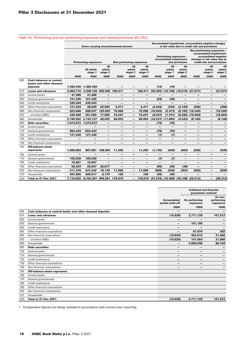|     |                                                                       |                             | Gross carrying amount/nominal amount |                          |                          |                          |                          | Accumulated impairment, accumulated negative changes<br>in fair value due to credit risk and provisions |                                                                           |                        |                          |                                                                                                                                             |                        |  |
|-----|-----------------------------------------------------------------------|-----------------------------|--------------------------------------|--------------------------|--------------------------|--------------------------|--------------------------|---------------------------------------------------------------------------------------------------------|---------------------------------------------------------------------------|------------------------|--------------------------|---------------------------------------------------------------------------------------------------------------------------------------------|------------------------|--|
|     |                                                                       | <b>Performing exposures</b> |                                      |                          |                          | Non-performing exposures |                          |                                                                                                         | <b>Performing exposures -</b><br>accumulated impairment<br>and provisions |                        |                          | Non-performing exposures -<br>accumulated impairment,<br>accumulated negative<br>changes in fair value due to<br>credit risk and provisions |                        |  |
|     |                                                                       |                             | Of which<br>stage 1                  | Of<br>which<br>stage 2   |                          | Of<br>which<br>stage 2   | Οf<br>which<br>stage 3   |                                                                                                         | Of<br>which<br>stage 1                                                    | Of<br>which<br>stage 2 |                          | Of<br>which<br>stage 2                                                                                                                      | Of<br>which<br>stage 3 |  |
| 005 | <b>Cash balances at central</b><br>banks and other demand<br>deposits | €000                        | €000<br>1,482,449 1,482,449          | €000                     | €000                     | €000                     | €000                     | €000<br>(10)                                                                                            | €000<br>(10)                                                              | €000                   | €000                     | €000                                                                                                                                        | €000                   |  |
| 010 | <b>Loans and advances</b>                                             |                             | 3,463,718 3,208,159 255,559 168,411  |                          |                          | $\qquad \qquad -$        |                          | 168,411 (30,355) (14,740) (15,615) (27,677)                                                             |                                                                           |                        |                          | $\overline{\phantom{0}}$                                                                                                                    | (27, 677)              |  |
| 020 | Central banks                                                         | 41,486                      | 41,486                               | —                        |                          | —                        |                          | —                                                                                                       |                                                                           |                        | -                        |                                                                                                                                             |                        |  |
| 030 | General governments                                                   | 151,226                     | 151,226                              | $\overline{\phantom{0}}$ | $\overline{\phantom{0}}$ | —                        | $\overline{\phantom{0}}$ | (29)                                                                                                    | (29)                                                                      | —                      | —                        | —                                                                                                                                           |                        |  |
| 040 | Credit institutions                                                   | 335,044                     | 335,044                              | —                        | $\qquad \qquad$          | —                        |                          | —                                                                                                       | —                                                                         | —                      | —                        | —                                                                                                                                           |                        |  |
| 050 | Other financial corporations                                          | 121,534                     | 38,629                               | 82,905                   | 4.471                    | $\overline{\phantom{0}}$ | 4.471                    | (3, 444)                                                                                                | (344)                                                                     | (3, 100)               | (286)                    |                                                                                                                                             | (286)                  |  |
| 060 | Non-financial corporations                                            | 623,866                     | 498,037                              | 125,829                  | 75,086                   |                          | 75,086                   | (10, 655)                                                                                               | (2, 473)                                                                  |                        | $(8, 182)$ (19,245)      |                                                                                                                                             | (19, 245)              |  |
| 070 | - of which SMEs                                                       | 339,589                     | 261,690                              | 77,899                   | 74,247                   | —                        | 74,247                   | (8,037)                                                                                                 | (1,741)                                                                   |                        | $(6, 296)$ $(18, 404)$   |                                                                                                                                             | (18, 404)              |  |
| 080 | Households                                                            | 2,190,562                   | 2,143,737                            | 46,825                   | 88,854                   | -                        | 88,854                   | $(16,227)$ $(11,894)$                                                                                   |                                                                           | (4, 333)               | (8, 146)                 | —                                                                                                                                           | (8, 146)               |  |
| 090 | <b>Debt securities</b>                                                |                             | 1,073,872 1,073,872                  | $\qquad \qquad -$        | —                        | -                        | $\qquad \qquad -$        | (76)                                                                                                    | (76)                                                                      | —                      | —                        | -                                                                                                                                           | -                      |  |
| 100 | Central banks                                                         |                             |                                      | —                        |                          | —                        | $\overline{\phantom{0}}$ | —                                                                                                       |                                                                           | —                      |                          | —                                                                                                                                           |                        |  |
| 110 | General governments                                                   | 952,434                     | 952,434                              | $\overline{\phantom{0}}$ | $\qquad \qquad$          | —                        | $\overline{\phantom{0}}$ | (75)                                                                                                    | (75)                                                                      | —                      | -                        | —                                                                                                                                           |                        |  |
| 120 | <b>Credit institutions</b>                                            | 121,438                     | 121,438                              | —                        | $\qquad \qquad$          | —                        | -                        | (1)                                                                                                     | (1)                                                                       | -                      | $\qquad \qquad$          | -                                                                                                                                           |                        |  |
| 130 | Other financial corporations                                          |                             | $\overline{\phantom{m}}$             | -                        | -                        | —                        | $\qquad \qquad$          | —                                                                                                       | —                                                                         | -                      | -                        | —                                                                                                                                           | -                      |  |
| 140 | Non-financial corporations                                            |                             |                                      |                          |                          |                          |                          |                                                                                                         |                                                                           |                        |                          |                                                                                                                                             |                        |  |
| 150 | <b>Off-balance-sheet</b><br>exposures                                 | 1,096,893                   | 987,901 108,992                      |                          | 11,205                   | —                        | 11,205                   | (1, 135)                                                                                                | (642)                                                                     | (493)                  | (635)                    |                                                                                                                                             | (635)                  |  |
| 160 | Central banks                                                         |                             |                                      |                          |                          | -                        |                          | —                                                                                                       |                                                                           | —                      |                          | —                                                                                                                                           |                        |  |
| 170 | General governments                                                   | 105,528                     | 105.528                              | —                        | -                        | -                        | $\overline{\phantom{m}}$ | (7)                                                                                                     | (7)                                                                       | -                      | -                        | —                                                                                                                                           | —                      |  |
| 180 | Credit institutions                                                   | 15,967                      | 15,967                               | —                        |                          | —                        |                          | -                                                                                                       | —                                                                         | —                      | -                        |                                                                                                                                             | -                      |  |
| 190 | Other financial corporations                                          | 56,324                      | 29,647                               | 26,677                   | $\qquad \qquad -$        | $\overline{\phantom{0}}$ | $\qquad \qquad -$        | (95)                                                                                                    | (55)                                                                      | (40)                   | $\overline{\phantom{0}}$ | —                                                                                                                                           | -                      |  |
| 200 | Non-financial corporations                                            | 511,378                     | 437,242                              | 74,136                   | 11,096                   | $\overline{\phantom{m}}$ | 11,096                   | (988)                                                                                                   | (535)                                                                     | (453)                  | (635)                    | —                                                                                                                                           | (635)                  |  |
| 210 | Households                                                            | 407,696                     | 399,517                              | 8,179                    | 109                      | $\overline{\phantom{0}}$ | 109                      | (45)                                                                                                    | (45)                                                                      | —                      | —                        | —                                                                                                                                           |                        |  |
| 220 | Total at 31 Dec 2021                                                  |                             | 7,116,932 6,752,381 364,551 179,616  |                          |                          |                          |                          | 179,616 (31,576) (15,468) (16,108) (28,312)                                                             |                                                                           |                        |                          |                                                                                                                                             | (28, 312)              |  |

|     |                                                          |                                         | <b>Collateral and financial</b><br>guarantees received |                                    |
|-----|----------------------------------------------------------|-----------------------------------------|--------------------------------------------------------|------------------------------------|
|     |                                                          | <b>Accumulated</b><br>partial write-off | On performing<br>exposures                             | On non-<br>performing<br>exposures |
|     |                                                          | €000                                    | €000                                                   | €000                               |
| 005 | Cash balances at central banks and other demand deposits | $\overline{\phantom{0}}$                | -                                                      |                                    |
| 010 | <b>Loans and advances</b>                                | (10, 620)                               | 2,711,128                                              | 101,612                            |
| 020 | Central banks                                            | -                                       |                                                        |                                    |
| 030 | General governments                                      | -                                       | 151,195                                                |                                    |
| 040 | <b>Credit institutions</b>                               | $\qquad \qquad$                         |                                                        |                                    |
| 050 | Other financial corporations                             | $\overline{\phantom{0}}$                | 67.976                                                 | 382                                |
| 060 | Non-financial corporations                               | (10, 620)                               | 402,019                                                | 21,066                             |
| 070 | - of which SMEs                                          | (10, 620)                               | 181,654                                                | 21,066                             |
| 080 | Households                                               | -                                       | 2,089,938                                              | 80,164                             |
| 090 | <b>Debt securities</b>                                   | $\qquad \qquad$                         | $\overline{\phantom{0}}$                               |                                    |
| 100 | Central banks                                            | -                                       |                                                        |                                    |
| 110 | General governments                                      | $\qquad \qquad$                         | $\qquad \qquad$                                        |                                    |
| 120 | <b>Credit institutions</b>                               | $\qquad \qquad$                         | -                                                      |                                    |
| 130 | Other financial corporations                             | -                                       | —                                                      |                                    |
| 140 | Non-financial corporations                               | -                                       | -                                                      |                                    |
| 150 | <b>Off-balance-sheet exposures</b>                       |                                         |                                                        |                                    |
| 160 | Central banks                                            |                                         |                                                        |                                    |
| 170 | General governments                                      |                                         |                                                        |                                    |
| 180 | <b>Credit institutions</b>                               |                                         |                                                        |                                    |
| 190 | Other financial corporations                             |                                         |                                                        |                                    |
| 200 | Non-financial corporations                               |                                         |                                                        |                                    |
| 210 | Households                                               |                                         |                                                        |                                    |
| 220 | Total at 31 Dec 2021                                     | (10.620)                                | 2,711,128                                              | 101.612                            |

Table 14: Performing and non-performing exposures and related provisions (EU CR1)

*1 Comparative figures are being restated in accordance with current year reporting.*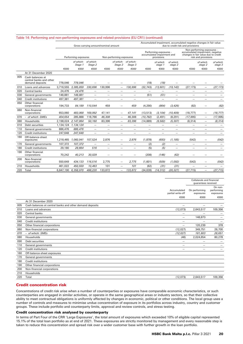|     |                                                                |                                              |                      |                                           | Gross carrying amount/nominal amount |                          |                                            | Accumulated impairment, accumulated negative changes in fair value<br>due to credit risk and provisions |                                                                    |                          |                          |                                                                                                                              |                   |
|-----|----------------------------------------------------------------|----------------------------------------------|----------------------|-------------------------------------------|--------------------------------------|--------------------------|--------------------------------------------|---------------------------------------------------------------------------------------------------------|--------------------------------------------------------------------|--------------------------|--------------------------|------------------------------------------------------------------------------------------------------------------------------|-------------------|
|     |                                                                |                                              | Performing exposures |                                           |                                      | Non-performing exposures |                                            |                                                                                                         | Performing exposures -<br>accumulated impairment and<br>provisions |                          |                          | Non-performing exposures -<br>accumulated impairment, negative<br>changes in fair value due to credit<br>risk and provisions |                   |
|     |                                                                | of which:<br>of which:<br>Stage 1<br>Stage 2 |                      | of which: of which:<br>Stage 2<br>Stage 3 |                                      |                          | of which<br>of which<br>stage 2<br>stage 1 |                                                                                                         |                                                                    | of which<br>stage 2      | of which<br>stage 3      |                                                                                                                              |                   |
|     |                                                                | €000                                         | €000                 | €000                                      | €000                                 | €000                     | €000                                       | €000                                                                                                    | €000                                                               | €000                     | €000                     | €000                                                                                                                         | €000              |
|     | At 31 December 2020                                            |                                              |                      |                                           |                                      |                          |                                            |                                                                                                         |                                                                    |                          |                          |                                                                                                                              |                   |
| 005 | Cash balances at<br>central banks and other<br>demand deposits | 778,046                                      | 778,046              |                                           |                                      |                          |                                            | (18)                                                                                                    | (18)                                                               |                          |                          |                                                                                                                              |                   |
| 010 | Loans and advances                                             | 3,716,555                                    | 3.385.859            | 330.696                                   | 130.996                              | $\overline{\phantom{0}}$ | 130,996                                    | (32, 743)                                                                                               | (13, 601)                                                          | (19, 142)                | (27, 173)                | $\qquad \qquad -$                                                                                                            | (27, 173)         |
| 020 | Central banks                                                  | 24,476                                       | 24,476               | $\overline{\phantom{0}}$                  | $\overline{\phantom{0}}$             |                          | —                                          | $\overline{\phantom{0}}$                                                                                | $\overline{\phantom{0}}$                                           | $\overline{\phantom{0}}$ |                          | —                                                                                                                            |                   |
| 030 | General governments                                            | 148.881                                      | 148.881              |                                           | $\qquad \qquad -$                    | $\overline{\phantom{0}}$ | $\qquad \qquad -$                          | (51)                                                                                                    | (51)                                                               | $\overline{\phantom{0}}$ | $\overline{\phantom{m}}$ | $\qquad \qquad -$                                                                                                            |                   |
| 040 | <b>Credit institutions</b>                                     | 497,381                                      | 497,381              | $\overline{\phantom{0}}$                  |                                      | $\overline{\phantom{0}}$ | —                                          | —                                                                                                       |                                                                    |                          |                          | —                                                                                                                            |                   |
| 050 | Other financial<br>corporations                                | 194.733                                      | 84,189               | 110.544                                   | 459                                  |                          | 459                                        | (4, 290)                                                                                                | (864)                                                              | (3, 426)                 | (82)                     |                                                                                                                              | (82)              |
| 060 | Non-financial<br>corporations                                  | 653,060                                      | 483,068              | 169,992                                   | 47,141                               |                          | 47,141                                     | (13, 513)                                                                                               | (3, 104)                                                           | (10, 409)                | (18, 777)                | —                                                                                                                            | (18, 777)         |
| 070 | $-$ of which: SMEs                                             | 404.654                                      | 285,888              | 118,766                                   | 46,308                               | $\overline{\phantom{0}}$ | 46,308                                     | (10, 782)                                                                                               | (2, 491)                                                           | (8, 291)                 | (17, 995)                | $\qquad \qquad -$                                                                                                            | (17, 995)         |
| 080 | Households                                                     | 2,198,024                                    | 2,147,864            | 50,160                                    | 83,396                               | $\overline{\phantom{0}}$ | 83,396                                     | (14, 889)                                                                                               | (9, 582)                                                           | (5, 307)                 | (8, 314)                 | -                                                                                                                            | (8, 314)          |
| 010 | Debt securities                                                | 1,134,124                                    | 1,134,124            | $\overline{\phantom{0}}$                  | $\overline{\phantom{0}}$             | $\overline{\phantom{0}}$ | $\overline{\phantom{0}}$                   | —                                                                                                       | $\qquad \qquad -$                                                  |                          | $\qquad \qquad -$        | —                                                                                                                            |                   |
| 110 | General governments                                            | 886,476                                      | 886,476              | $\overline{\phantom{0}}$                  | $\overline{\phantom{0}}$             | $\overline{\phantom{0}}$ | —                                          | $\overline{\phantom{0}}$                                                                                | $\overline{\phantom{0}}$                                           | $\overline{\phantom{0}}$ | $\overline{\phantom{0}}$ | —                                                                                                                            |                   |
| 120 | Credit institutions                                            | 247,648                                      | 247,648              | $\overline{\phantom{0}}$                  | $\overline{\phantom{0}}$             | $\overline{\phantom{0}}$ | $\overline{\phantom{0}}$                   | $\overline{\phantom{0}}$                                                                                | $\overline{\phantom{m}}$                                           | $\overline{\phantom{0}}$ | $\overline{\phantom{m}}$ | $\overline{\phantom{0}}$                                                                                                     | $\qquad \qquad -$ |
| 160 | Off-balance-sheet<br>exposures                                 | 1,218,465                                    | 1,060,941            | 157,524                                   | 2,876                                | $\overline{\phantom{0}}$ | 2,876                                      | (1,878)                                                                                                 | (693)                                                              | (1, 185)                 | (542)                    | $\overline{\phantom{0}}$                                                                                                     | (542)             |
| 170 | General governments                                            | 107,372                                      | 107,372              | $\overline{\phantom{0}}$                  |                                      | $\overline{\phantom{0}}$ | —                                          | (2)                                                                                                     | (2)                                                                | $\overline{\phantom{0}}$ | $\overline{\phantom{m}}$ | —                                                                                                                            |                   |
| 180 | <b>Credit institutions</b>                                     | 29.180                                       | 28.664               | 516                                       | $\equiv$                             | $\overline{\phantom{0}}$ | —                                          | (5)                                                                                                     | (5)                                                                | $\overline{\phantom{0}}$ | $\overline{\phantom{0}}$ | —                                                                                                                            |                   |
| 190 | Other financial<br>corporations                                | 70,242                                       | 40,213               | 30,029                                    |                                      |                          |                                            | (208)                                                                                                   | (146)                                                              | (62)                     |                          |                                                                                                                              |                   |
| 200 | Non-financial<br>corporations                                  | 550,649                                      | 434,133              | 116,516                                   | 2,775                                | $\overline{\phantom{0}}$ | 2,775                                      | (1,601)                                                                                                 | (509)                                                              | (1,092)                  | (542)                    | —                                                                                                                            | (542)             |
| 210 | Households                                                     | 461.022                                      | 450.559              | 10.463                                    | 101                                  | $\equiv$                 | 101                                        | (62)                                                                                                    | (31)                                                               | (31)                     |                          | —                                                                                                                            |                   |
| 220 | Total                                                          | 6,847,190                                    | 6,358,970            | 488,220                                   | 133,872                              | $\overline{\phantom{0}}$ | 133,872                                    | (34, 639)                                                                                               | (14, 312)                                                          | (20, 327)                | (27, 715)                | $\overline{\phantom{0}}$                                                                                                     | (27, 715)         |

## Table 14: Performing and non-performing exposures and related provisions (EU CR1) (continued)

|     |                                                          |                                  | Collaterals and financial<br>quarantees received |                                    |
|-----|----------------------------------------------------------|----------------------------------|--------------------------------------------------|------------------------------------|
|     |                                                          | Accumulated<br>partial write-off | On performing<br>exposures                       | On non-<br>performing<br>exposures |
|     |                                                          | €000                             | €000                                             | €000                               |
|     | At 31 December 2020                                      |                                  |                                                  |                                    |
| 005 | Cash balances at central banks and other demand deposits | $\overline{\phantom{0}}$         | $\overline{\phantom{0}}$                         |                                    |
| 010 | Loans and advances                                       | (12,073)                         | 2,643,517                                        | 109,356                            |
| 020 | Central banks                                            |                                  |                                                  |                                    |
| 030 | General governments                                      | $\qquad \qquad$                  | 148,873                                          |                                    |
| 040 | <b>Credit institutions</b>                               |                                  |                                                  |                                    |
| 050 | Other financial corporations                             | $\overline{\phantom{0}}$         | 120,239                                          | 378                                |
| 060 | Non-financial corporations                               | (12, 027)                        | 349,751                                          | 28,700                             |
| 070 | - of which: SMEs                                         | (12, 027)                        | 181,803                                          | 28,651                             |
| 080 | Households                                               | (46)                             | 2,024,654                                        | 80,278                             |
| 090 | Debt securities                                          |                                  | $\overline{\phantom{0}}$                         |                                    |
| 110 | General governments                                      |                                  | $\overline{\phantom{0}}$                         |                                    |
| 120 | <b>Credit institutions</b>                               | $\overline{\phantom{0}}$         | $\overline{\phantom{0}}$                         |                                    |
| 160 | Off-balance-sheet exposures                              |                                  |                                                  |                                    |
| 170 | General governments                                      |                                  |                                                  |                                    |
| 180 | <b>Credit institutions</b>                               |                                  |                                                  |                                    |
| 190 | Other financial corporations                             |                                  |                                                  |                                    |
| 200 | Non-financial corporations                               |                                  |                                                  |                                    |
| 210 | Households                                               |                                  |                                                  |                                    |
| 220 | Total                                                    | (12,073)                         | 2,643,517                                        | 109,356                            |

## Credit concentration risk

Concentrations of credit risk arise when a number of counterparties or exposures have comparable economic characteristics, or such counterparties are engaged in similar activities, or operate in the same geographical areas or industry sectors, so that their collective ability to meet contractual obligations is uniformly affected by changes in economic, political or other conditions. The local group uses a number of controls and measures to minimise undue concentration of exposure in its portfolios across industry, country and customer groups. These include portfolio and counterparty limits, approval and review controls, and stress testing.

## Credit concentration risk analysed by counterparty

In terms of Part Four of the CRR 'Large Exposures', the total amount of exposures which exceeded 10% of eligible capital represented 15.1% of the total loan portfolio as at end of 2021. These exposures are strictly monitored by management and every reasonable step is taken to reduce this concentration and spread risk over a wider customer base with further growth in the loan portfolio.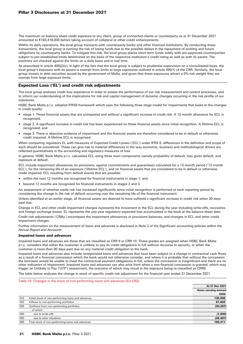## Pillar 3 Disclosures at 31 December 2021

The maximum on-balance sheet credit exposure to any client, group of connected clients or counterparty as at 31 December 2021 amounted to €183,418,000 before taking account of collateral or other credit enhancements.

Within its daily operations, the local group transacts with counterparty banks and other financial institutions. By conducting these transactions, the local group is running the risk of losing funds due to the possible delays in the repayment of existing and future obligations by counterparty banks. To mitigate this risk, the local group places short-term funds solely with pre-approved counterparties subject to pre-established limits determined on the basis of the respective institution's credit rating as well as with its parent. The positions are checked against the limits on a daily basis and in real time.

As prescribed in article 400(2)(c), in light of the fact that the local group is subject to prudential supervision on a consolidated basis, the local group's exposure with its parent is exempt from limits to large exposures outlined in article 395(1) of the CRR. Similarly, the local group invests in debt securities issued by the government of Malta, and given that these exposures attract a 0% risk weight they are exempt from large exposure limits.

## Expected Loss ('EL') and credit risk adjustments

The local group analyses credit loss experience in order to assess the performance of our risk measurement and control processes, and to inform our understanding of the implications for risk and capital management of dynamic changes occurring in the risk profile of our **exposures** 

HSBC Bank Malta p.l.c. adopted IFRS9 framework which uses the following three stage model for impairments that looks at the changes in credit quality:

- stage 1: Those financial assets that are unimpaired and without a significant increase in credit risk. A 12-month allowance for ECL is recognised;
- stage 2: A significant increase in credit risk has been experienced on these financial assets since initial recognition. A lifetime ECL is recognised; and
- stage 3: There is objective evidence of impairment and the financial assets are therefore considered to be in default or otherwise credit impaired. A lifetime ECL is recognised.

When comparing regulatory EL with measures of Expected Credit Losses ('ECL') under IFRS 9, differences in the definition and scope of each should be considered. These can give rise to material differences in the way economic, business and methodological drivers are reflected quantitatively in the accounting and regulatory measures of loss.

In general, HSBC Bank Malta p.l.c. calculates ECL using three main components namely probability of default, loss given default, and exposure at default.

ECL include impairment allowances (or provisions, against commitments and guarantees) calculated for a 12-month period ('12-month ECL'), for the remaining life of an exposure ('lifetime ECL'), and on financial assets that are considered to be in default or otherwise credit impaired. ECL resulting from default events that are possible:

- within the next 12 months are recognised for financial instruments in stage 1; and
- beyond 12 months are recognised for financial instruments in stages 2 and 3.

An assessment of whether credit risk has increased significantly since initial recognition is performed at each reporting period by considering the change in the risk of default occurring over the remaining life of the financial instrument.

Unless identified at an earlier stage, all financial assets are deemed to have suffered a significant increase in credit risk when 30 days past due.

Change in ECL and other credit impairment charges represents the movement in the ECL during the year including write-offs, recoveries and foreign exchange losses. EL represents the one-year regulatory expected loss accumulated in the book at the balance sheet date.

Credit risk adjustments ('CRAs') encompass the impairment allowances or provisions balances, and changes in ECL and other credit impairment charges.

Further information on the measurement of loans and advances is disclosed in Note 3 of the Significant accounting policies within the *Annual Report and Accounts*.

## Impaired loans and advances

Impaired loans and advances are those that are classified as CRR 9 or CRR 10. These grades are assigned when HSBC Bank Malta p.l.c. considers that either the customer is unlikely to pay its credit obligations in full without recourse to security, or when the customer is more than 90 days past due on any material credit obligation to the bank.

Impaired loans and advances also include renegotiated loans and advances that have been subject to a change in contractual cash flows as a result of a financial concession which the bank would not otherwise consider, and where it is probable that without the concession the borrower would be unable to meet the contractual payment obligations in full, unless the concession is insignificant and there are no other indicators of impairment. Impaired loans and advances can also arise from when a non-financial concession is granted, which may trigger an Unlikely to Pay ('UTP') assessment, the outcome of which may result in the exposure being re-classified as CRR9.

The table below analyses the change in stock of specific credit risk adjustment for the financial year ended 31 December 2021.

Table 15: Changes in the stock of non-performing loans and advances (EU CR2)

|     |                                                    | At 31 Dec 2021               |
|-----|----------------------------------------------------|------------------------------|
|     |                                                    | <b>Gross carrying amount</b> |
|     |                                                    | €000                         |
| 010 | Initial stock of non-performing loans and advances | 130,996                      |
| 020 | Inflows to non-performing portfolios               | 67,802                       |
| 030 | Outflows from non-performing portfolios            | (30, 387)                    |
|     | - of which:                                        |                              |
| 040 | due to write-offs                                  | (1,900)                      |
| 050 | due to other situations                            | (28, 487)                    |
| 060 | Final stock of non-performing loans and advances   | 168,411                      |
|     |                                                    |                              |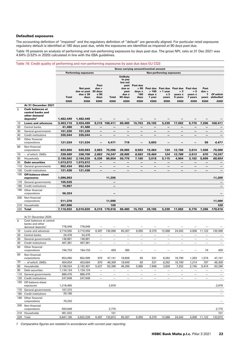#### Defaulted exposures

The accounting definition of "impaired" and the regulatory definition of "default" are generally aligned. For particular retail exposures regulatory default is identified at 180 days past due, while the exposures are identified as impaired at 90 days past due.

Table 16 presents an analysis of performing and non-performing exposures by days past due. The gross NPL ratio at 31 Dec 2021 was 4.64% (3.52% in 2020) calculated in line with the EBA guidelines.

#### Table 16: Credit quality of performing and non-performing exposures by past due days EU CQ3 Gross carrying amount/nominal amount Performing exposures Non-performing exposures Total Not past due or past due ≤ 30 days Past due > 30 days ≤ 90 days Total **Unlikely** to pa but not past due or past due ≤ 90 days Past due > 90 days ≤ 180 days Past due  $> 180$  days ≤ 1 year Past due<br>> 1 year year ≤ 2 years Past due  $\overline{\phantom{a}}$ years ≤<br>5 years vears Past due > 5 years ≤<br>7 years years Past due > 7 years *Of which defaulted* €000 €000 €000 €000 €000 €000 €000 €000 €000 €000 €000 *€000* At 31 December 2021 5 Cash balances at central banks and other demand deposits<sup>1</sup> 1,482,449 1,482,449 — — — — — — — — — *—*  10 Loans and advances 3,463,718 3,454,499 9,219 168,411 89,480 15,763 26,195 5,239 17,692 6,776 7,266 *168,411*  20 Central banks 41,486 41,486 — — — — — — — — — *—*  30 General governments 151,226 151,226 – – – – – – – – – – – 40 Credit institutions 335,044 335,044 — — — — — — — — — *—*  50 Other financial corporations 121,534 121,534 — 4,471 719 — 3,693 — — — 59 *4,471*  60 Non-financial corporations 623,866 620,983 2,883 75,086 28,985 8,583 19,484 124 12,788 3,614 1,508 *75,086*  70 *– of which: SMEs 339,589 336,706 2,883 74,247 28,985 8,583 19,484 124 12,788 3,613 670 74,247*  80 Households 2,190,562 2,184,226 6,336 88,854 59,776 7,180 3,018 5,115 4,904 3,162 5,699 *88,854*  90 Debt securities 1,073,872 1,073,872 — — — — — — — — — *—*  110 General governments **952,434** 952,434 120 Credit institutions 121,438 121,438 — — — — — — — — — *—*  150 Off-balance-sheet exposures 1,096,893 11,205 *11,205*  170 General governments **105,528** 180 Credit institutions **15,967** 190 Other financial<br>corporations corporations 56,324 — *—*  200 Non-financial corporations 511,378 11,096 *11,096*  210 Households 407,696 109 *109*  220 Total 7,116,932 6,010,820 9,219 179,616 89,480 15,763 26,195 5,239 17,692 6,776 7,266 *179,616*  At 31 December 2020 5 Cash balances at central banks and other demand deposits<sup>1</sup> 778,046 778,046 10 Loans and advances 3,716,555 3,710,058 6,497 130,996 65,307 6,050 8,379 12,088 24,042 4,008 11,122 *130,996*  20 Central banks 24,476 24,476 — — — — — — — — — *—*  30 General governments 148,881 148,881 40 Credit institutions 497,381 497,381 — — — — — — — — — *—*  50 Other financial corporations 194,733 194,733 — 459 385 — — — — — 74 *459*  60 Non-financial corporations 653,060 652,090 970 47,141 18,656 65 531 8,262 16,790 1,263 1,574 *47,141*  70 *– of which: SMEs 404,654 403,684 970 46,308 18,649 65 531 8,262 16,790 1,214 797 46,308*  80 Households 2,198,024 2,192,497 5,527 83,396 46,266 5,985 7,848 3,826 7,252 2,745 9,474 *83,396*  90 Debt securities 1,134,124 1,134,124 — — — — — — — — — *—*  110 General governments 886,476 886,476 120 Credit institutions 247,648 247,648 — — — — — — — — — *—*  150 Off-balance-sheet exposures 1,218,465 2,876 *2,876*  170 General governments 107,372 180 Credit institutions 29,180 190 Other financial<br>corporations corporations 70,242 *—*  200 Non-financial corporations 550,649 2,775 *2,775*  210 Households 461,022 101 *101*  220 Total 6,847,190 5,622,228 6,497 133,872 65,307 6,050 8,379 12,088 24,042 4,008 11,122 133,872

*1 Comparative figures are restated in accordance with current year reporting*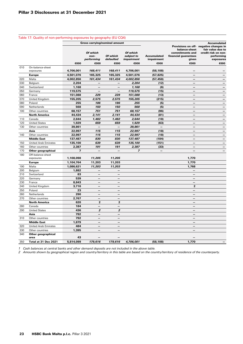|     | Table 17: Quality of non-performing exposures by geography (EU CQ4) |                |                                        |                               |                                              |                                          |                                                                           |                                                                                                                       |
|-----|---------------------------------------------------------------------|----------------|----------------------------------------|-------------------------------|----------------------------------------------|------------------------------------------|---------------------------------------------------------------------------|-----------------------------------------------------------------------------------------------------------------------|
|     |                                                                     |                | <b>Gross carrying/nominal amount</b>   |                               |                                              |                                          |                                                                           | <b>Accumulated</b>                                                                                                    |
|     |                                                                     | €000           | Of which<br>non-<br>performing<br>€000 | Of which<br>defaulted<br>€000 | Of which<br>subject to<br>impairment<br>€000 | <b>Accumulated</b><br>impairment<br>€000 | balance-sheet<br>commitments and<br>financial guarantees<br>given<br>€000 | Provisions on off- negative changes in<br>fair value due to<br>credit risk on non-<br>performing<br>exposures<br>€000 |
| 010 | On-balance-sheet                                                    |                |                                        |                               |                                              |                                          |                                                                           |                                                                                                                       |
|     | exposures                                                           | 4,706,001      | 168,411                                | 168,411                       | 4,706,001                                    | (58, 108)                                |                                                                           |                                                                                                                       |
|     | <b>Europe</b>                                                       | 4,501,076      | 165,325                                | 165,325                       | 4,501,076                                    | (57, 825)                                |                                                                           |                                                                                                                       |
| 020 | Malta                                                               | 4,002,856      | 161,434                                | 161,434                       | 4,002,856                                    | (57, 458)                                | $\qquad \qquad -$                                                         |                                                                                                                       |
| 030 | Belgium                                                             | 2,204          |                                        | $\overline{\phantom{m}}$      | 2,204                                        | (12)                                     | $\overline{\phantom{0}}$                                                  |                                                                                                                       |
| 040 | Switzerland                                                         | 1,168          | $\overline{\phantom{m}}$               | $\qquad \qquad -$             | 1,168                                        | (6)                                      | $\qquad \qquad -$                                                         | —                                                                                                                     |
| 050 | Germany                                                             | 119,575        |                                        |                               | 119,575                                      | (15)                                     |                                                                           |                                                                                                                       |
| 060 | France                                                              | 151,088        | 229                                    | 229                           | 151,088                                      | (13)                                     | $\overline{\phantom{0}}$                                                  |                                                                                                                       |
| 070 | United Kingdom                                                      | 155,205        | 2,575                                  | 2,575                         | 155,205                                      | (215)                                    | $\overline{\phantom{0}}$                                                  | $\overline{\phantom{0}}$                                                                                              |
| 080 | Poland                                                              | 255            | 186                                    | 186                           | 255                                          | (5)                                      |                                                                           |                                                                                                                       |
| 090 | Netherlands                                                         | 568            | 150                                    | 150                           | 568                                          | (5)                                      | $\qquad \qquad -$                                                         | $\qquad \qquad -$                                                                                                     |
| 100 | Other countries                                                     | 68,157         | 751                                    | 751                           | 68,157                                       | (96)                                     |                                                                           |                                                                                                                       |
|     | <b>North America</b>                                                | 44,434         | 2,141                                  | 2,141                         | 44,434                                       | (81)                                     | $\qquad \qquad -$                                                         |                                                                                                                       |
| 110 | Canada                                                              | 2,644          | 1,482                                  | 1,482                         | 2,644                                        | (18)                                     | $\overline{\phantom{0}}$                                                  |                                                                                                                       |
| 120 | <b>United States</b>                                                | 1,929          | 659                                    | 659                           | 1,929                                        | (63)                                     | $\overline{\phantom{0}}$                                                  |                                                                                                                       |
| 130 | Other countries                                                     | 39,861         |                                        |                               | 39,861                                       | $\qquad \qquad -$                        | $\overline{\phantom{0}}$                                                  |                                                                                                                       |
|     | Asia                                                                | 22,997         | 115                                    | 115                           | 22,997                                       | (18)                                     | $\overline{\phantom{0}}$                                                  | $\overline{\phantom{0}}$                                                                                              |
| 140 | Other countries                                                     | 22,997         | 115                                    | 115                           | 22,997                                       | (18)                                     | $\overline{\phantom{a}}$                                                  | $\overline{\phantom{0}}$                                                                                              |
|     | <b>Middle East</b>                                                  | 137,487        | 830                                    | 830                           | 137,487                                      | (184)                                    | —                                                                         | $\overline{\phantom{0}}$                                                                                              |
| 150 | <b>United Arab Emirates</b>                                         | 135,100        | 639                                    | 639                           | 135,100                                      | (151)                                    | $\qquad \qquad -$                                                         |                                                                                                                       |
| 160 | Other countries                                                     | 2,387          | 191                                    | 191                           | 2,387                                        | (33)                                     | $\overline{\phantom{0}}$                                                  |                                                                                                                       |
| 170 | Other geographical                                                  | $\overline{ }$ |                                        |                               | $\overline{z}$                               |                                          | $\overline{\phantom{0}}$                                                  |                                                                                                                       |
| 180 | Off-balance-sheet<br>exposures                                      | 1,108,098      | 11,205                                 | 11,205                        |                                              |                                          | 1,770                                                                     |                                                                                                                       |
|     | <b>Europe</b>                                                       | 1,104,764      | 11,203                                 | 11,203                        |                                              |                                          | 1,770                                                                     |                                                                                                                       |
| 190 | Malta                                                               | 1,086,621      | 11,203                                 | 11,203                        |                                              |                                          | 1,768                                                                     |                                                                                                                       |
| 200 | Belgium                                                             | 1,882          |                                        |                               |                                              |                                          |                                                                           |                                                                                                                       |
| 210 | Switzerland                                                         | 83             |                                        | $\overline{\phantom{0}}$      |                                              |                                          | $\overline{\phantom{0}}$                                                  |                                                                                                                       |
| 220 | Germany                                                             | 539            |                                        | —                             |                                              |                                          |                                                                           |                                                                                                                       |
| 230 | France                                                              | 8,843          | $\overline{\phantom{m}}$               | $\overline{\phantom{m}}$      |                                              |                                          | $\qquad \qquad -$                                                         |                                                                                                                       |
| 240 | United Kingdom                                                      | 3,716          | -                                      |                               |                                              |                                          | $\overline{2}$                                                            |                                                                                                                       |
| 250 | Poland                                                              | 23             | —                                      | —                             |                                              |                                          | $\overline{\phantom{0}}$                                                  |                                                                                                                       |
| 260 | Netherlands                                                         | 290            | $\overline{\phantom{0}}$               | $\overline{\phantom{0}}$      |                                              |                                          | $\overline{\phantom{0}}$                                                  |                                                                                                                       |
| 270 | Other countries                                                     | 2,767          | —                                      | $\overline{\phantom{0}}$      |                                              |                                          |                                                                           |                                                                                                                       |
|     | <b>North America</b>                                                | 620            | $\overline{\mathbf{2}}$                | $\mathbf{2}$                  |                                              |                                          | $\overline{\phantom{m}}$                                                  |                                                                                                                       |
| 280 | Canada                                                              | 184            | $\qquad \qquad -$                      | —                             |                                              |                                          | $\overline{\phantom{0}}$                                                  |                                                                                                                       |
| 290 | <b>United States</b>                                                | 436            | $\overline{a}$                         | $\overline{z}$                |                                              |                                          | $\qquad \qquad -$                                                         |                                                                                                                       |
|     | Asia                                                                | 792            | $\overline{\phantom{0}}$               | $\overline{\phantom{0}}$      |                                              |                                          | $\overline{\phantom{0}}$                                                  |                                                                                                                       |
| 310 | Other countries                                                     | 792            | $\overline{\phantom{0}}$               |                               |                                              |                                          |                                                                           |                                                                                                                       |
|     | <b>Middle East</b>                                                  | 1,879          | $\overline{\phantom{0}}$               | $\overline{\phantom{0}}$      |                                              |                                          | $\overline{\phantom{0}}$                                                  |                                                                                                                       |
| 320 | <b>United Arab Emirates</b>                                         | 484            | —                                      | —                             |                                              |                                          | $\overline{\phantom{0}}$                                                  |                                                                                                                       |
| 330 | Other countries                                                     | 1,395          | $\qquad \qquad -$                      | $\overline{\phantom{m}}$      |                                              |                                          | $\overline{\phantom{m}}$                                                  |                                                                                                                       |
| 340 | Other geographical<br>area                                          | 43             |                                        |                               |                                              |                                          |                                                                           |                                                                                                                       |
| 350 | Total at 31 Dec 2021                                                | 5,814,099      | 179,616                                | 179,616                       | 4,706,001                                    | (58, 108)                                | 1,770                                                                     |                                                                                                                       |

*1 Cash balances at central banks and other demand deposits are not included in the above table.*

*2 Amounts shown by geographical region and country/territory in this table are based on the country/territory of residence of the counterparty.*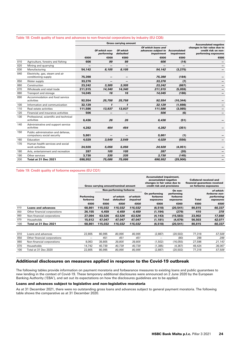|     |                                                                  |         |                             | <b>Gross carrying amount</b> |                                                                       |                           | <b>Accumulated negative</b>                                                 |
|-----|------------------------------------------------------------------|---------|-----------------------------|------------------------------|-----------------------------------------------------------------------|---------------------------|-----------------------------------------------------------------------------|
|     |                                                                  |         | Of which non-<br>performing | Of which<br>defaulted        | Of which loans and<br>advances subject to<br><i><b>impairment</b></i> | Accumulated<br>impairment | changes in fair value due to<br>credit risk on non-<br>performing exposures |
|     |                                                                  | €000    | €000                        | €000                         | €000                                                                  | €000                      | €000                                                                        |
| 010 | Agriculture, forestry and fishing                                | 606     | 99                          | 99                           | 606                                                                   | (14)                      |                                                                             |
| 020 | Mining and quarrying                                             |         | $\overline{\phantom{m}}$    | -                            |                                                                       |                           |                                                                             |
| 030 | Manufacturing                                                    | 54,142  | 8,105                       | 8,105                        | 54,142                                                                | (3, 275)                  |                                                                             |
| 040 | Electricity, gas, steam and air<br>conditioning supply           | 75,398  |                             |                              | 75,398                                                                | (184)                     |                                                                             |
| 050 | Water supply                                                     | 33,276  | —                           |                              | 33,276                                                                | (7)                       |                                                                             |
| 060 | Construction                                                     | 23,242  | 3,305                       | 3,305                        | 23,242                                                                | (867)                     |                                                                             |
| 070 | Wholesale and retail trade                                       | 211,915 | 14,340                      | 14,340                       | 211,915                                                               | (5,059)                   |                                                                             |
| 080 | Transport and storage                                            | 14,045  | 16                          | 16                           | 14.045                                                                | (186)                     |                                                                             |
| 090 | Accommodation and food service<br>activities                     | 92,554  | 25,758                      | 25,758                       | 92,554                                                                | (10, 344)                 |                                                                             |
| 100 | Information and communication                                    | 32,129  | $\mathbf{I}$                | $\mathbf{1}$                 | 32,129                                                                | (1,698)                   |                                                                             |
| 110 | Real estate activities                                           | 111,586 | 13,937                      | 13,937                       | 111,586                                                               | (3,085)                   |                                                                             |
| 120 | Financial and insurance activities                               | 506     |                             |                              | 506                                                                   | (6)                       |                                                                             |
| 130 | Professional, scientific and technical<br>activities             | 6,436   | 26                          | 26                           | 6.436                                                                 | (51)                      |                                                                             |
| 140 | Administrative and support service<br>activities                 | 4,282   | 454                         | 454                          | 4,282                                                                 | (351)                     |                                                                             |
| 150 | Public administration and defense.<br>compulsory social security | 5,861   |                             |                              | 5,861                                                                 | (1)                       |                                                                             |
| 160 | Education                                                        | 4.029   | 3,549                       | 3,549                        | 4,029                                                                 | (556)                     |                                                                             |
| 170 | Human health services and social<br>work activities              | 24,928  | 5,056                       | 5,056                        | 24,928                                                                | (4,051)                   |                                                                             |
| 180 | Arts, entertainment and recreation                               | 287     | 105                         | 105                          | 287                                                                   | (20)                      |                                                                             |
| 190 | Other services                                                   | 3,730   | 335                         | 335                          | 3,730                                                                 | (145)                     |                                                                             |
| 200 | Total at 31 Dec 2021                                             | 698,952 | 75,086                      | 75,086                       | 698,952                                                               | (29, 900)                 |                                                                             |

#### Table 18: Credit quality of loans and advances to non-financial corporations by industry (EU CQ5)

## Table 19: Credit quality of forborne exposures (EU CQ1)

|     |                              |                        | Gross carrying amount/nominal amount<br><b>Non-performing forborne</b> |                        |                       | <b>Accumulated impairment,</b><br>accumulated negative<br>changes in fair value due to<br>credit risk and provisions |                                                | <b>Collateral received and</b><br>financial guarantees received<br>on forborne exposures |                                                       |  |
|-----|------------------------------|------------------------|------------------------------------------------------------------------|------------------------|-----------------------|----------------------------------------------------------------------------------------------------------------------|------------------------------------------------|------------------------------------------------------------------------------------------|-------------------------------------------------------|--|
|     |                              | Performing<br>forborne | <b>Total</b>                                                           | of which:<br>defaulted | of which:<br>impaired | On performing<br>forborne<br>exposures                                                                               | On non-<br>performing<br>forborne<br>exposures | Total                                                                                    | of which:<br>forborne non-<br>performing<br>exposures |  |
|     |                              | €000                   | €000                                                                   | €000                   | €000                  | €000                                                                                                                 | €000                                           | €000                                                                                     | €000                                                  |  |
| 010 | <b>Loans and advances</b>    | 68,861                 | 115,032                                                                | 115,032                | 115,032               | (6, 518)                                                                                                             | (20, 541)                                      | 80,815                                                                                   | 60,337                                                |  |
| 050 | Other financial corporations | 26,155                 | 4,459                                                                  | 4,459                  | 4,459                 | (1, 194)                                                                                                             | (279)                                          | 410                                                                                      | 378                                                   |  |
| 060 | Non-financial corporations   | 27.094                 | 63.526                                                                 | 63,526                 | 63,526                | (4, 143)                                                                                                             | (15, 583)                                      | 23,902                                                                                   | 17,888                                                |  |
| 070 | Households                   | 15,612                 | 47,047                                                                 | 47,047                 | 47,047                | (1, 181)                                                                                                             | (4,679)                                        | 56,503                                                                                   | 42,071                                                |  |
| 100 | Total at 31 Dec 2021         | 68,861                 | 115,032                                                                | 115,032                | 115,032               | (6, 518)                                                                                                             | (20, 541)                                      | 80,815                                                                                   | 60,337                                                |  |
|     |                              |                        |                                                                        |                        |                       |                                                                                                                      |                                                |                                                                                          |                                                       |  |
| 010 | Loans and advances           | 22,805                 | 80,995                                                                 | 80,995                 | 80,995                | (2,887)                                                                                                              | (20, 502)                                      | 77,318                                                                                   | 57,508                                                |  |
| 050 | Other financial corporations |                        | 451                                                                    | 451                    | 451                   |                                                                                                                      | (80)                                           | 298                                                                                      | 298                                                   |  |
| 060 | Non-financial corporations   | 8.063                  | 39,805                                                                 | 39,805                 | 39,805                | (1,502)                                                                                                              | (16,055)                                       | 27,596                                                                                   | 21,143                                                |  |
| 070 | Households                   | 14.742                 | 40,739                                                                 | 40,739                 | 40,739                | (1,385)                                                                                                              | (4, 367)                                       | 49,424                                                                                   | 36,067                                                |  |
| 100 | Total at 31 Dec 2020         | 22,805                 | 80,995                                                                 | 80,995                 | 80,995                | (2,887)                                                                                                              | (20, 502)                                      | 77,318                                                                                   | 57,508                                                |  |

## Additional disclosures on measures applied in response to the Covid-19 outbreak

The following tables provide information on payment moratoria and forbearance measures to existing loans and public guarantees to new lending in the context of Covid-19. These temporary additional disclosures were announced on 2 June 2020 by the European Banking Authority ('EBA'), and set out its expectations on how the disclosures guidelines are to be applied.

## Loans and advances subject to legislative and non-legislative moratoria

As at 31 December 2021, there were no outstanding gross loans and advances subject to general payment moratoria. The following table shows the comparative as at 31 December 2020.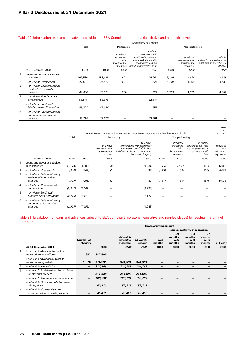|                |                                                                    |         |         |                                                           | Gross carrying amount                                                                                                                     |       |                                                        |                                                                                     |
|----------------|--------------------------------------------------------------------|---------|---------|-----------------------------------------------------------|-------------------------------------------------------------------------------------------------------------------------------------------|-------|--------------------------------------------------------|-------------------------------------------------------------------------------------|
|                |                                                                    | Total   |         | Performing                                                |                                                                                                                                           |       | Non-performing                                         |                                                                                     |
|                |                                                                    |         |         | of which:<br>exposures<br>with<br>forbearance<br>measures | of which:<br>instruments with<br>significant increase in<br>credit risk since initial<br>recognition but not<br>credit-impaired (Stage 2) |       | of which:<br>exposures with<br>forbearance<br>measures | of which:<br>unlikely to pay that are not<br>past-due or past-due $\leq$<br>90 days |
|                | At 31 December 2020                                                | €000    | €000    | €000                                                      | €000                                                                                                                                      | €000  | €000                                                   | €000                                                                                |
|                | Loans and advances subject<br>to moratorium                        | 163,536 | 158,426 | 601                                                       | 99,964                                                                                                                                    | 5,110 | 4,994                                                  | 4,638                                                                               |
| $\overline{2}$ | - of which: Households                                             | 41,621  | 36,511  | 601                                                       | 1,227                                                                                                                                     | 5,110 | 4,994                                                  | 4,638                                                                               |
| 3              | - of which: Collateralised by<br>residential immovable<br>property | 41,080  | 36,011  | 580                                                       | 1,227                                                                                                                                     | 5,069 | 4,973                                                  | 4,607                                                                               |
| 4              | - of which: Non-financial<br>corporations                          | 65,676  | 65,676  |                                                           | 62,147                                                                                                                                    |       |                                                        |                                                                                     |
| 5              | - of which: Small and<br><b>Medium-sized Enterprises</b>           | 45,394  | 45,394  |                                                           | 41,957                                                                                                                                    | —     |                                                        |                                                                                     |
| 6              | - of which: Collateralised by<br>commercial immovable<br>property  | 37,215  | 37,215  |                                                           | 33,861                                                                                                                                    |       |                                                        |                                                                                     |

## Table 20: Information on loans and advances subject to EBA Compliant moratoria (legislative and non-legislative)

|                |                                                                    |          |          |                                                        | Accumulated impairment, accumulated negative changes in fair value due to credit risk                                                          |       |                                                          |                                                                                             | carrying<br>amount                            |
|----------------|--------------------------------------------------------------------|----------|----------|--------------------------------------------------------|------------------------------------------------------------------------------------------------------------------------------------------------|-------|----------------------------------------------------------|---------------------------------------------------------------------------------------------|-----------------------------------------------|
|                |                                                                    | Total    |          |                                                        | Performing                                                                                                                                     |       | Non performing                                           |                                                                                             |                                               |
|                |                                                                    |          |          | of which:<br>exposures with<br>forbearance<br>measures | of which:<br>instruments with significant<br>increase in credit risk since<br>initial recognition but not credit-<br><i>impaired (Stage 2)</i> |       | of which:<br>exposures<br>with<br>forbearance<br>measure | of which:<br>unlikely to pay that<br>are not past-due or<br>$past$ -due $\leq$ = 90<br>days | Inflows to<br>non-<br>performing<br>exposures |
|                | At 31 December 2020                                                | €000     | €000     | €000                                                   | €000                                                                                                                                           | €000  | €000                                                     | €000                                                                                        | €000                                          |
|                | Loans and advances subject<br>to moratorium                        | (5, 173) | (4,998)  | (2)                                                    | (4, 541)                                                                                                                                       | (175) | (162)                                                    | (165)                                                                                       | 5,057                                         |
| $\overline{2}$ | - of which: Households                                             | (344)    | (169)    | (2)                                                    | (32)                                                                                                                                           | (175) | (162)                                                    | (165)                                                                                       | 5,057                                         |
| 3              | - of which: Collateralised by<br>residential immovable<br>property | (329)    | (168)    | (2)                                                    | (32)                                                                                                                                           | (161) | (161)                                                    | (157)                                                                                       | 5,026                                         |
| $\overline{4}$ | - of which: Non-financial<br>corporations                          | (2, 347) | (2, 347) |                                                        | (2, 298)                                                                                                                                       |       |                                                          |                                                                                             |                                               |
| 5              | - of which: Small and<br><b>Medium-sized Enterprises</b>           | (2, 225) | (2, 225) |                                                        | (2, 177)                                                                                                                                       |       |                                                          |                                                                                             |                                               |
| 6              | - of which: Collateralised by<br>commercial immovable<br>property  | (1, 995) | (1, 995) |                                                        | (1,948)                                                                                                                                        |       |                                                          |                                                                                             |                                               |

Gross

Table 21: Breakdown of loans and advances subject to EBA compliant moratoria (legislative and non-legislative) by residual maturity of moratoria

|   |                                                                        |                       |         |                                       |                      | <b>Gross carrying amount</b> |                                     |                                       |                                     |          |
|---|------------------------------------------------------------------------|-----------------------|---------|---------------------------------------|----------------------|------------------------------|-------------------------------------|---------------------------------------|-------------------------------------|----------|
|   |                                                                        |                       |         |                                       |                      |                              |                                     | <b>Residual maturity of moratoria</b> |                                     |          |
|   |                                                                        | Number of<br>obligors |         | Of which:<br>legislative<br>moratoria | Of which:<br>expired | $\leq$ 3<br>months           | > 3<br>months<br>$\leq$ 6<br>months | > 6<br>months<br>$\leq$ 9<br>months   | >9<br>months<br>$\leq$ 12<br>months | > 1 year |
|   | At 31 December 2021                                                    |                       | €000    | €000                                  | €000                 | €000                         | €000                                | €000                                  | €000                                | €000     |
|   | Loans and advances for which<br>moratorium was offered                 | 1,983                 | 387,590 |                                       |                      |                              |                                     |                                       |                                     |          |
| 2 | Loans and advances subject to<br>moratorium (granted)                  | 1,678                 | 374,391 | 374,391                               | 374,391              |                              |                                     |                                       |                                     |          |
| 3 | - of which: Households                                                 | $\qquad \qquad$       | 214.189 | 214,189                               | 214,189              |                              |                                     |                                       |                                     |          |
| 4 | - of which: Collateralised by residential<br><i>immovable property</i> | $\qquad \qquad$       | 211,689 | 211,689                               | 211,689              |                              |                                     |                                       |                                     |          |
| 5 | - of which: Non-financial corporations                                 | $\qquad \qquad$       | 106,792 | 106.792                               | 106.792              |                              |                                     | –                                     |                                     |          |
| 6 | - of which: Small and Medium-sized<br>Enterprises                      | -                     | 52,113  | 52,113                                | 52,113               |                              |                                     |                                       |                                     |          |
|   | - of which: Collateralised by<br>commercial immovable property         |                       | 45,415  | 45,415                                | 45,415               |                              |                                     |                                       |                                     |          |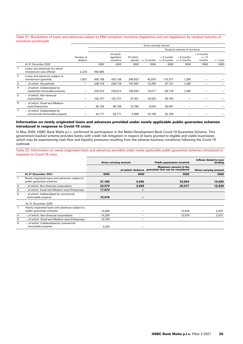#### Table 21: Breakdown of loans and advances subject to EBA compliant moratoria (legislative and non-legislative) by residual maturity of moratoria (continued)

|                |                                                                 |                       |         |                                       |                      | Gross carrying amount |                               |                                 |                                   |          |
|----------------|-----------------------------------------------------------------|-----------------------|---------|---------------------------------------|----------------------|-----------------------|-------------------------------|---------------------------------|-----------------------------------|----------|
|                |                                                                 |                       |         |                                       |                      |                       |                               | Residual maturity of moratoria  |                                   |          |
|                |                                                                 | Number of<br>obligors |         | Of which:<br>legislative<br>moratoria | Of which:<br>expired | $\leq$ 3 months       | > 3 months<br>$\leq$ 6 months | $> 6$ months<br>$\leq$ 9 months | > 9 months<br>$\leq$ 12<br>months | > 1 year |
|                | At 31 December 2020                                             |                       | €000    | €000                                  | €000                 | €000                  | €000                          | €000                            | €000                              | €000     |
|                | Loans and advances for which<br>moratorium was offered          | 2,224                 | 442,605 |                                       |                      |                       |                               |                                 |                                   |          |
| 2              | Loans and advances subject to<br>moratorium (granted)           | 1,821                 | 430,158 | 430,158                               | 266,622              | 42,874                | 119,377                       | 1,285                           |                                   |          |
| 3              | - of which: Households                                          |                       | 238,718 | 238,718                               | 197,097              | 13,205                | 27,131                        | 1,285                           |                                   |          |
| 4              | - of which: Collateralised by<br>residential immovable property |                       | 233,914 | 233,914                               | 192,834              | 13,017                | 26,778                        | 1,285                           |                                   |          |
| 5              | - of which: Non-financial<br>corporations                       |                       | 102,727 | 102,727                               | 37,051               | 18,923                | 46,753                        |                                 |                                   |          |
| 6              | - of which: Small and Medium-<br>sized Enterprises              |                       | 56,159  | 56,159                                | 10,765               | 4,933                 | 40,461                        |                                 |                                   |          |
| $\overline{7}$ | - of which: Collateralised by<br>commercial immovable property  |                       | 43,171  | 43,171                                | 5,956                | 15,109                | 22,106                        |                                 |                                   |          |

## Information on newly originated loans and advances provided under newly applicable public guarantee schemes introduced in response to Covid-19 crisis

In May 2020, HSBC Bank Malta p.l.c. confirmed its participation in the Malta Development Bank Covid-19 Guarantee Scheme. This government-backed scheme provides banks with credit risk mitigation in respect of loans granted to eligible and viable businesses which may be experiencing cash flow and liquidity pressures resulting from the adverse business conditions following the Covid-19 outbreak.

Table 22: Information on newly originated loans and advances provided under newly applicable public guarantee schemes introduced in response to Covid-19 crisis

|   |                                                                            | <b>Gross carrying amount</b> |                    | <b>Public guarantees received</b>                                | Inflows linked to new<br>lending |
|---|----------------------------------------------------------------------------|------------------------------|--------------------|------------------------------------------------------------------|----------------------------------|
|   |                                                                            |                              | of which: forborne | <b>Maximum amount of the</b><br>quarantee that can be considered | <b>Gross carrying amount</b>     |
|   | At 31 December 2021                                                        | €000                         | €000               | €000                                                             | €000                             |
|   | Newly originated loans and advances subject to<br>public quarantee schemes | 37,760                       | 5,659              | 33,984                                                           | 15,830                           |
| 4 | - of which: Non-financial corporations                                     | 33,974                       | 5,659              | 30,577                                                           | 15,830                           |
| 5 | - of which: Small and Medium-sized Enterprises                             | 17,670                       |                    |                                                                  |                                  |
| 6 | - of which: Collateralised by commercial<br><i>immovable property</i>      | 15,076                       |                    |                                                                  |                                  |
|   | At 31 December 2020                                                        |                              |                    |                                                                  |                                  |
|   | Newly originated loans and advances subject to<br>public guarantee schemes | 14,284                       |                    | 12,676                                                           | 2,973                            |
| 4 | - of which: Non-financial corporations                                     | 14.284                       |                    | 12,676                                                           | 2.973                            |
| 5 | - of which: Small and Medium-sized Enterprises                             | 10.784                       |                    |                                                                  |                                  |
| 6 | - of which: Collateralised by commercial<br><i>immovable property</i>      | 3.255                        |                    |                                                                  |                                  |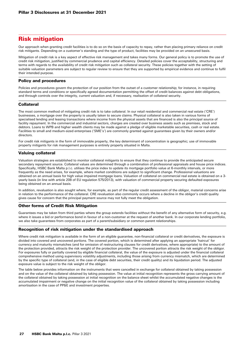# Risk mitigation

Our approach when granting credit facilities is to do so on the basis of capacity to repay, rather than placing primary reliance on credit risk mitigants. Depending on a customer's standing and the type of product, facilities may be provided on an unsecured basis.

Mitigation of credit risk is a key aspect of effective risk management and takes many forms. Our general policy is to promote the use of credit risk mitigation, justified by commercial prudence and capital efficiency. Detailed policies cover the acceptability, structuring and terms with regards to the availability of credit risk mitigation such as collateral security. These policies together with the setting of suitable valuation parameters are subject to regular review to ensure that they are supported by empirical evidence and continue to fulfil their intended purpose.

## Policy and procedures

Policies and procedures govern the protection of our position from the outset of a customer relationship; for instance, in requiring standard terms and conditions or specifically agreed documentation permitting the offset of credit balances against debt obligations, and through controls over the integrity, current valuation and, if necessary, realisation of collateral security.

## Collateral

The most common method of mitigating credit risk is to take collateral. In our retail residential and commercial real estate ('CRE') businesses, a mortgage over the property is usually taken to secure claims. Physical collateral is also taken in various forms of specialised lending and leasing transactions where income from the physical assets that are financed is also the principal source of facility repayment. In the commercial and industrial sectors, charges are created over business assets such as premises, stock and debtors. Loans to WPB and higher wealth clients may be made against a pledge of eligible marketable securities, cash or real estate. Facilities to small and medium-sized enterprises ('SME's') are commonly granted against guarantees given by their owners and/or directors.

For credit risk mitigants in the form of immovable property, the key determinant of concentration is geographic; use of immovable property mitigants for risk management purposes is entirely property situated in Malta.

## Valuing collateral

Valuation strategies are established to monitor collateral mitigants to ensure that they continue to provide the anticipated secure secondary repayment source. Collateral values are determined through a combination of professional appraisals and house price indices. Specifically, HSBC Bank Malta p.l.c. utilises the price index to update its mortgage portfolio value at 6-monthly intervals, or more frequently as the need arises, for example, where market conditions are subject to significant change. Professional valuations are obtained on an annual basis for high value impaired mortgage loans. Valuation of collateral on commercial real estate is obtained on a 3 yearly basis (in line with article 208 of EU regulation 575/2013), with valuation of commercial property securing defaulted exposures being obtained on an annual basis.

In addition, revaluation is also sought where, for example, as part of the regular credit assessment of the obligor, material concerns arise in relation to the performance of the collateral. CRE revaluation also commonly occurs where a decline in the obligor's credit quality gives cause for concern that the principal payment source may not fully meet the obligation.

## Other forms of Credit Risk Mitigation

Guarantees may be taken from third parties where the group extends facilities without the benefit of any alternative form of security, e.g. where it issues a bid or performance bond in favour of a non-customer at the request of another bank. In our corporate lending portfolio, we also take guarantees from corporates as part of a parent/subsidiary or common parent relationships.

## Recognition of risk mitigation under the standardised approach

Where credit risk mitigation is available in the form of an eligible guarantee, non-financial collateral or credit derivatives, the exposure is divided into covered and uncovered portions. The covered portion, which is determined after applying an appropriate 'haircut' for currency and maturity mismatches (and for omission of restructuring clauses for credit derivatives, where appropriate) to the amount of the protection provided, attracts the risk weight of the protection provider. The uncovered portion attracts the risk weight of the obligor. For exposures fully or partially covered by eligible financial collateral, the value of the exposure is adjusted under the financial collateral comprehensive method using supervisory volatility adjustments, including those arising from currency mismatch, which are determined by the specific type of collateral (and, in the case of eligible debt securities, their credit quality) and its liquidation period. The adjusted exposure value is subject to the risk weight of the obligor.

The table below provides information on the instruments that were cancelled in exchange for collateral obtained by taking possession and on the value of the collateral obtained by taking possession. The value at initial recognition represents the gross carrying amount of the collateral obtained by taking possession at initial recognition on the balance sheet whilst the accumulated negative changes is the accumulated impairment or negative change on the initial recognition value of the collateral obtained by taking possession including amortisation in the case of PP&E and investment properties.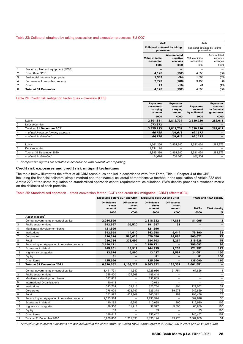## Table 23: Collateral obtained by taking possession and execution processes EU-CQ7

|   |                                      | 2021                                               |                                           | 2020                                        |                                    |
|---|--------------------------------------|----------------------------------------------------|-------------------------------------------|---------------------------------------------|------------------------------------|
|   |                                      | <b>Collateral obtained by taking</b><br>possession |                                           | Collateral obtained by taking<br>possession |                                    |
|   |                                      | <b>Value at initial</b><br>recognition             | <b>Accumulated</b><br>negative<br>changes | Value at initial<br>recognition             | Accumulated<br>negative<br>changes |
|   |                                      | €000                                               | €000                                      | €000                                        | €000                               |
|   | Property, plant and equipment (PP&E) | $\overline{\phantom{0}}$                           |                                           |                                             |                                    |
| 2 | Other than PP&E                      | 4.128                                              | (252)                                     | 4.855                                       | (86)                               |
| 3 | Residential immovable property       | 1.383                                              | (34)                                      | 1.658                                       | (59)                               |
| 4 | Commercial Immovable property        | 2,723                                              | (208)                                     | 3,156                                       | (8)                                |
| 7 | Other                                | 22                                                 | (10)                                      | 41                                          | (19)                               |
| 8 | <b>Total at 31 December</b>          | 4,128                                              | (252)                                     | 4,855                                       | (86)                               |

## Table 24: Credit risk mitigation techniques – overview (CR3)

|                |                                    | <b>Exposures</b><br>unsecured:<br>carrying<br>amount | <b>Exposures</b><br>secured:<br>carrying<br>amount | <b>Exposures</b><br>secured<br>by collateral | <b>Exposures</b><br>secured<br>by financial<br>guarantees |
|----------------|------------------------------------|------------------------------------------------------|----------------------------------------------------|----------------------------------------------|-----------------------------------------------------------|
|                |                                    | €000                                                 | €000                                               | €000                                         | €000                                                      |
|                | Loans                              | 2,301,841                                            | 2,812,737                                          | 2,530,726                                    | 282,011                                                   |
| 2              | Debt securities                    | 1,073,872                                            | —                                                  | -                                            |                                                           |
| 3              | Total at 31 December 2021          | 3,375,713                                            | 2,812,737                                          | 2,530,726                                    | 282,011                                                   |
| $\overline{4}$ | - of which non performing exposure | 66,798                                               | 101,613                                            | 101,613                                      |                                                           |
| 5              | - of which: defaulted              | 66,798                                               | 101.613                                            | 101.613                                      |                                                           |
|                |                                    |                                                      |                                                    |                                              |                                                           |
|                | Loans                              | 1,761,256                                            | 2,864,340                                          | 2,581,464                                    | 282,876                                                   |
| 2              | Debt securities                    | 1,134,124                                            | —                                                  | –                                            |                                                           |
| 3              | Total at 31 December 2020          | 2,895,380                                            | 2,864,340                                          | 2,581,464                                    | 282,876                                                   |
| $\overline{4}$ | - of which: defaulted              | 24,696                                               | 106,300                                            | 106,300                                      |                                                           |
|                |                                    |                                                      |                                                    |                                              |                                                           |

*1 Comparative figures are restated in accordance with current year reporting.* 

### Credit risk exposures and credit risk mitigant techniques

The table below illustrates the effect of all CRM techniques applied in accordance with Part Three, Title II, Chapter 4 of the CRR, including the financial collateral simple method and the financial collateral comprehensive method in the application of Article 222 and Article 223 of the same regulation on standardised approach capital requirements' calculations. RWA density provides a synthetic metric on the riskiness of each portfolio.

Table 25: Standardised approach – credit conversion factor ('CCF') and credit risk mitigation ('CRM') effects (CR4)

|                |                                            |                                                         |                          |                   | $\frac{1}{2}$ and 20. Olding and the approach – or our correctator have positive or our manipulation points $\frac{1}{2}$ or $\frac{1}{2}$ |                          |                             |
|----------------|--------------------------------------------|---------------------------------------------------------|--------------------------|-------------------|--------------------------------------------------------------------------------------------------------------------------------------------|--------------------------|-----------------------------|
|                |                                            | Exposures before CCF and CRM Exposures post-CCF and CRM |                          |                   |                                                                                                                                            |                          | <b>RWAs and RWA density</b> |
|                |                                            | On-balance                                              | Off-balance              | <b>On-balance</b> | Off-balance                                                                                                                                |                          |                             |
|                |                                            | sheet<br>amount                                         | sheet<br>amount          | sheet<br>amount   | sheet<br>amount                                                                                                                            | <b>RWAs</b>              | <b>RWA density</b>          |
|                |                                            | €000                                                    | €000                     | €000              | €000                                                                                                                                       | €000                     | %                           |
|                | Asset classes <sup>1</sup>                 |                                                         |                          |                   |                                                                                                                                            |                          |                             |
| $\overline{1}$ | Central governments or central banks       | 2,034,590                                               |                          | 2,318,632         | 47,868                                                                                                                                     | 81,095                   | 3                           |
|                | Public sector entities                     | 342.997                                                 |                          |                   | 31                                                                                                                                         |                          |                             |
| 3              |                                            |                                                         | 105,520                  | 191,687           |                                                                                                                                            |                          |                             |
| $\overline{4}$ | Multilateral development banks             | 121,596                                                 |                          | 121,596           | $\overline{\phantom{0}}$                                                                                                                   |                          | —                           |
| 6              | Institutions                               | 342,958                                                 | 14,410                   | 342,958           | 9.444                                                                                                                                      | 75,190                   | 21                          |
| $\overline{7}$ | Corporates                                 | 726,314                                                 | 585,028                  | 579,556           | 74,884                                                                                                                                     | 500,672                  | 77                          |
| 8              | Retail                                     | 286,784                                                 | 378,492                  | 284,703           | 3,254                                                                                                                                      | 215,928                  | 75                          |
| 9              | Secured by mortgages on immovable property | 2,180,171                                               | -                        | 2,180,171         |                                                                                                                                            | 795,092                  | 36                          |
| 10             | Exposures in default                       | 145.851                                                 | 13,917                   | 144,935           | 1.254                                                                                                                                      | 171,352                  | 117                         |
| 11             | Higher-risk categories                     | 13,674                                                  | 5,860                    | 13,437            | 2,597                                                                                                                                      | 24,051                   | 150                         |
| 15             | Equity                                     | 81                                                      |                          | 81                |                                                                                                                                            | 81                       | 100                         |
| 16             | Other items                                | 125,566                                                 | —                        | 125,566           | -                                                                                                                                          | 138,090                  | 110                         |
| 17             | Total at 31 December 2021                  | 6.320.582                                               | 1,103,227                | 6,303,322         | 139,332                                                                                                                                    | 2,001,551                | $\qquad \qquad -$           |
| $\mathbf{1}$   | Central governments or central banks       | 1.441.731                                               | 11.647                   | 1.726.936         | 51.754                                                                                                                                     | 67.826                   | $\overline{4}$              |
| 3              | Public sector entities                     | 335,470                                                 | 107,368                  | 186,448           | —                                                                                                                                          | 1                        | $\qquad \qquad -$           |
| 4              | Multilateral development banks             | 237,859                                                 |                          | 237,859           | $\overline{\phantom{0}}$                                                                                                                   | —                        | $\qquad \qquad -$           |
| 5              | <b>International Organisations</b>         | 10.013                                                  | $\overline{\phantom{0}}$ | 10.013            | $\overline{\phantom{0}}$                                                                                                                   | $\overline{\phantom{0}}$ | $\qquad \qquad -$           |
| 6              | Institutions                               | 323.754                                                 | 28,715                   | 323.754           | 1.394                                                                                                                                      | 121,562                  | 37                          |
| $\overline{7}$ | Corporates                                 | 778,079                                                 | 622,747                  | 625,378           | 89,973                                                                                                                                     | 542,859                  | 76                          |
| 8              | Retail                                     | 262.997                                                 | 422,809                  | 260,392           | 259                                                                                                                                        | 195,466                  | 75                          |
| 9              | Secured by mortgages on immovable property | 2,233,924                                               |                          | 2,233,924         | $\equiv$                                                                                                                                   | 809,676                  | 36                          |
| 10             | Exposures in default                       | 110,192                                                 | 6.396                    | 110,038           | 300                                                                                                                                        | 116,930                  | 106                         |
| 11             | Higher-risk categories                     | 39,306                                                  | 11,911                   | 38,977            | 5,590                                                                                                                                      | 66,850                   | 150                         |
| 15             | Equity                                     | 33                                                      |                          | 33                |                                                                                                                                            | 33                       | 100                         |
| 16             | Other items                                | 136,442                                                 |                          | 136,442           | $\overline{\phantom{0}}$                                                                                                                   | 146,452                  | 107                         |
| 17             | Total at 31 December 2020                  | 5.909.800                                               | 1.211.593                | 5.890.194         | 149,270                                                                                                                                    | 2.067.655                | 34                          |

*1 Derivative instruments exposures are not included in the above table, on which RWA's amounted to €12,667,000 in 2021 (2020: €5,993,000).*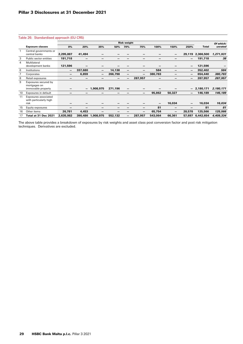## Table 26: Standardised approach (EU CR5)

|                |                                                            |                          |         |                          |         | <b>Risk weight</b> |                          |                 |                 |        |                  | Of which: |
|----------------|------------------------------------------------------------|--------------------------|---------|--------------------------|---------|--------------------|--------------------------|-----------------|-----------------|--------|------------------|-----------|
|                | <b>Exposure classes</b>                                    | 0%                       | 20%     | 35%                      | 50%     | 70%                | 75%                      | 100%            | 150%            | 250%   | Total            | unrated   |
|                | Central governments or<br>central banks                    | 2,295,887                | 41,494  |                          |         |                    |                          |                 | $\qquad \qquad$ | 29,119 | 2,366,500        | 1,271,931 |
| 3              | Public sector entities                                     | 191,718                  |         |                          |         |                    |                          | -               |                 |        | 191,718          | 38        |
| $\overline{4}$ | Multilateral<br>development banks                          | 121,596                  |         |                          |         |                    |                          |                 |                 |        | 121,596          |           |
| 6              | Institutions                                               | $\overline{\phantom{m}}$ | 337,680 | $\overline{\phantom{0}}$ | 14,138  | —                  |                          | 584             |                 | —      | 352,402          | 584       |
|                | Corporates                                                 | $\qquad \qquad$          | 6,859   | $\overline{\phantom{0}}$ | 266,798 | —                  | $\overline{\phantom{0}}$ | 380,783         | -               | —      | 654,440          | 380,783   |
| 8              | Retail exposures                                           | -                        | —       | -                        |         | —                  | 287,957                  | $\qquad \qquad$ |                 | —      | 287,957          | 287,957   |
| 9              | Exposures secured by<br>mortgages on<br>immovable property |                          | —       | 1,908,975                | 271,196 | —                  |                          |                 |                 |        | $-2,180,171$     | 2,180,171 |
| 10             | Exposures in default                                       |                          | -       |                          |         |                    | $\qquad \qquad$          | 95,862          | 50,327          | —      | 146,189          | 146,189   |
| 11             | Exposures associated<br>with particularly high<br>risk     | –                        |         |                          |         |                    |                          |                 | 16,034          | —      | 16,034           | 16,034    |
| 15             | Equity exposures                                           | –                        |         | -                        |         |                    |                          | 81              | $\qquad \qquad$ |        | 81               | 81        |
| 16             | Other items                                                | 26,781                   | 4,453   |                          |         |                    | -                        | 65,754          | -               | 28,578 | 125,566          | 125,566   |
| 17             | Total at 31 Dec 2021                                       | 2,635,982                |         | 390,486 1,908,975        | 552,132 | -                  | 287,957                  | 543,064         | 66,361          |        | 57,697 6,442,654 | 4,409,334 |

The above table provides a breakdown of exposures by risk weights and asset class post conversion factor and post risk mitigation techniques. Derivatives are excluded.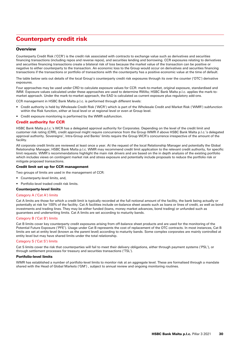# Counterparty credit risk

## **Overview**

Counterparty Credit Risk ('CCR') is the credit risk associated with contracts to exchange value such as derivatives and securities financing transactions (including repos and reverse repos), and securities lending and borrowing. CCR exposures relating to derivatives and securities financing transactions create a bilateral risk of loss because the market value of the transaction can be positive or negative to either counterparty to the transaction. An economic loss to the Group would occur on derivatives and securities financing transactions if the transactions or portfolio of transactions with the counterparty has a positive economic value at the time of default.

The table below sets out details of the local Group's counterparty credit risk exposures through its over the counter ('OTC') derivative exposures.

Four approaches may be used under CRD to calculate exposure values for CCR: mark-to-market, original exposure, standardised and IMM. Exposure values calculated under these approaches are used to determine RWAs; HSBC Bank Malta p.l.c. applies the mark-tomarket approach. Under the mark-to-market approach, the EAD is calculated as current exposure plus regulatory add-ons.

CCR management in HSBC Bank Malta p.l.c. is performed through different levels:

- Credit authority is held by Wholesale Credit Risk ('WCR') which is part of the Wholesale Credit and Market Risk ('WMR') subfunction within the Risk function, either at local level or at regional level or even at Group level.
- Credit exposure monitoring is performed by the WMR subfunction.

## Credit authority for CCR

HSBC Bank Malta p.l.c.'s WCR has a delegated approval authority for Corporates. Depending on the level of the credit limit and customer risk rating (CRR), credit approval might require concurrence from the Group WMR if above HSBC Bank Malta p.l.c.'s delegated approval authority. Sovereigns', Intra-Group and Banks' limits require the Group WCR's concurrence irrespective of the amount of the facility.

All corporate credit limits are reviewed at least once a year. At the request of the local Relationship Manager and potentially the Global Relationship Manager, HSBC Bank Malta p.l.c. WMR may recommend credit limit application to the relevant credit authority, for specific limit requests. WMR's recommendations highlight the main risk drivers and are based on the in depth analysis of the existing portfolio which includes views on contingent market risk and stress exposure and potentially include proposals to reduce the portfolio risk or mitigate proposed transactions.

#### Credit limit set up for CCR management

Two groups of limits are used in the management of CCR:

- Counterparty-level limits, and,
- Portfolio-level traded credit risk limits.

#### Counterparty-level limits

#### Category A ('Cat A') limits

Cat A limits are those for which a credit limit is typically recorded at the full notional amount of the facility, the bank being actually or potentially at risk for 100% of the facility. Cat A facilities include on-balance sheet assets such as loans or lines of credit, as well as bond investments and trading lines. They may be either funded (loans, money market advances, bond trading) or unfunded such as guarantees and underwriting limits. Cat A limits are set according to maturity bands.

#### Category B ('Cat B') limits

Cat B limits cover key counterparty credit exposures arising from off-balance sheet products and are used for the monitoring of the Potential Future Exposure ('PFE'). Usage under Cat B represents the cost of replacement of the OTC contracts. In most instances, Cat B limits are set at entity level (known as the parent level) according to maturity bands. Some complex corporates are mainly controlled at entity level but may have shared limits under the total relationship.

#### Category S ('Cat S') limits

Cat S limits cover the risk that counterparties will fail to meet their delivery obligations, either through payment systems ('PSL'), or through settlement processes for treasury and securities transactions ('TSL').

#### Portfolio-level limits

WMR has established a number of portfolio-level limits to monitor risk at an aggregate level. These are formalised through a mandate shared with the Head of Global Markets ('GM') , subject to annual review and ongoing monitoring routines.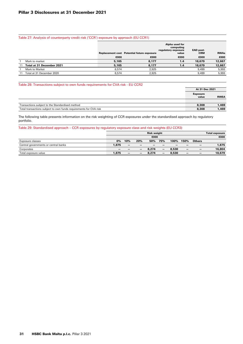## Table 27: Analysis of counterparty credit risk ('CCR') exposure by approach (EU CCR1)

|    |                           |       | <b>Replacement cost</b> Potential future exposure | Alpha used for<br>computing<br>regulatory exposure<br>value | EAD post-<br><b>CRM</b> | <b>RWAs</b> |
|----|---------------------------|-------|---------------------------------------------------|-------------------------------------------------------------|-------------------------|-------------|
|    |                           | €000  | €000                                              | €000                                                        | €000                    | €000        |
|    | Mark to market            | 5,165 | 8.177                                             | 1.4                                                         | 18,679                  | 12,667      |
| 11 | Total at 31 December 2021 | 5.165 | 8.177                                             | 1.4                                                         | 18,679                  | 12,667      |
|    | Mark to Market            | 6.574 | 2.925                                             |                                                             | 9.499                   | 5,993       |
|    | Total at 31 December 2020 | 6.574 | 2.925                                             |                                                             | 9.499                   | 5,993       |

## Table 28: Transactions subject to own funds requirements for CVA risk - EU CCR2

|                                                                   | At 31 Dec 2021           |              |
|-------------------------------------------------------------------|--------------------------|--------------|
|                                                                   | <b>Exposure</b><br>value | <b>RWEA</b>  |
|                                                                   |                          |              |
| Transactions subject to the Standardised method                   | 8.308                    | 1.469        |
| Total transactions subject to own funds requirements for CVA risk | 8,308                    | <b>1.469</b> |

The following table presents information on the risk weighting of CCR exposures under the standardised approach by regulatory portfolio.

## Table 29: Standardised approach – CCR exposures by regulatory exposure class and risk weights (EU CCR3)

|                                      |       | <b>Risk weight</b>       |     |       |                          |       |      | <b>Total exposure</b>    |        |
|--------------------------------------|-------|--------------------------|-----|-------|--------------------------|-------|------|--------------------------|--------|
|                                      | €000  |                          |     |       | €000                     |       |      |                          |        |
| Exposure classes                     | 0%    | 10%                      | 20% | 50%   | 75%                      | 100%  | 150% | <b>Others</b>            |        |
| Central governments or central banks | 1.875 | $\overline{\phantom{0}}$ | -   |       |                          |       |      |                          | 1,875  |
| Corporates                           | -     |                          |     | 8.274 | -                        | 8.530 |      | $\overline{\phantom{0}}$ | 16.804 |
| Total exposure value                 | 1.875 | $\overline{\phantom{0}}$ | -   | 8.274 | $\overline{\phantom{0}}$ | 8.530 |      |                          | 18,679 |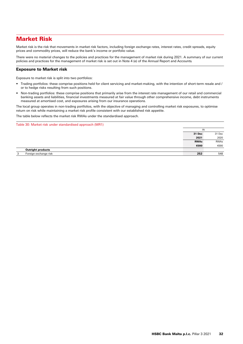# Market Risk

Market risk is the risk that movements in market risk factors, including foreign exchange rates, interest rates, credit spreads, equity prices and commodity prices, will reduce the bank's income or portfolio value.

There were no material changes to the policies and practices for the management of market risk during 2021. A summary of our current policies and practices for the management of market risk is set out in Note 4 (e) of the Annual Report and Accounts*.*

## Exposure to Market risk

Exposure to market risk is split into two portfolios:

- Trading portfolios: these comprise positions held for client servicing and market-making, with the intention of short-term resale and / or to hedge risks resulting from such positions.
- Non-trading portfolios: these comprise positions that primarily arise from the interest rate management of our retail and commercial banking assets and liabilities, financial investments measured at fair value through other comprehensive income, debt instruments measured at amortised cost, and exposures arising from our insurance operations.

The local group operates in non-trading portfolios, with the objective of managing and controlling market risk exposures, to optimise return on risk while maintaining a market risk profile consistent with our established risk appetite.

The table below reflects the market risk RWAs under the standardised approach.

Table 30: Market risk under standardised approach (MR1)

|                            | At          |        |
|----------------------------|-------------|--------|
|                            | 31 Dec      | 31 Dec |
|                            | 2021        | 2020   |
|                            | <b>RWAs</b> | RWAs   |
|                            | €000        | €000   |
| <b>Outright products</b>   |             |        |
| Foreign exchange risk<br>3 | 252         | 548    |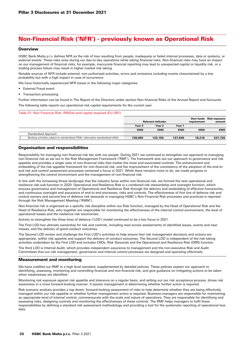# Non-Financial Risk ('NFR') - previously known as Operational Risk

## **Overview**

HSBC Bank Malta p.l.c defines NFR as the risk of loss resulting from people, inadequate or failed internal processes, data or systems, or external events. These risks arise during our day-to-day operations while taking financial risks. Non-financial risks may have an impact on our management of financial risks, for example, inaccurate financial reporting may lead to unexpected capital or liquidity risk, or a trading process failure may result in higher market risk taking.

Notable sources of NFR include external, non-authorised activities, errors and omissions including events characterised by a low probability but with a high impact in case of occurrence.

We have historically experienced NFR losses in the following major categories:

- External Fraud event
- Transaction processing

Further information can be found in The Report of the Directors under section Non-financial Risks of the Annual Report and Accounts. The following table reports our operational risk capital requirements for the current year.

#### Table 31: Non Financial Risk RWEAs and capital required (EU-OR1)

|                                                                                   | <b>Relevant indicator</b> |                   |         | requirement | Own funds Risk exposure<br>amount |
|-----------------------------------------------------------------------------------|---------------------------|-------------------|---------|-------------|-----------------------------------|
|                                                                                   | Year 3                    | Year <sub>2</sub> | Year 1  |             |                                   |
|                                                                                   | €000                      | €000              | €000    | €000        | €000                              |
| <b>Standardised Approach</b>                                                      |                           |                   |         |             |                                   |
| Banking activities subject to standardised (TSA) / alternative standardised (ASA) | 139,090                   | 132,150           | 127.940 | 18,218      | 227.726                           |
|                                                                                   |                           |                   |         |             |                                   |

## Organisation and responsibilities

Responsibility for managing non-financial risk lies with our people. During 2021 we continued to strengthen our approach to managing non-financial risk as set out in the Risk Management Framework ('RMF'). The framework sets out our approach to governance and risk appetite and provides a single view of non-financial risks that matter the most and associated controls. The enhancement and embedding of the risk appetite framework for non-financial risk, and the improvement of the consistency of the adoption of the end-toend risk and control assessment processes remained a focus in 2021. While there remains more to do, we made progress in strengthening the control environment and the management of non-financial risk.

In line with the increasing threat landscape that the industry faces within non-financial risk, we formed the new operational and resilience risk-sub-function in 2020. Operational and Resilience Risk is a combined risk stewardship and oversight function, which ensures governance and management of Operational and Resilience Risk through the delivery and embedding of effective frameworks, and continuous oversight and assurance of end to end processes, risks and controls. The effectiveness of first line of defence risk and control owners and second line of defence risk stewards in managing HSBC's Non-Financial Risk processes and practices is reported through the Risk Management Meeting ('RMM').

Non-financial risk is organised as a specific risk discipline within our Risk function, managed by the Head of Operational Risk and the Head of Resilience Risk, who together are responsible for monitoring the effectiveness of the internal control environment, the level of operational losses and the resilience risk taxonomies.

Activity to strengthen the three lines of defence ('LOD') model continued to be a key focus in 2021.

The First LOD has ultimate ownership for risk and controls, including read across assessments of identified issues, events and near misses, and the delivery of good conduct outcomes.

The Second LOD review and challenge the First LOD's activities to help ensure that risk management decisions and actions are appropriate, within risk appetite and support the delivery of conduct outcomes. The Second LOD is independent of the risk-taking activities undertaken by the First LOD and includes CROs, Risk Stewards and the Operational and Resilience Risk (ORR) function.

The third LOD is Internal Audit, which provides independent assurance to management and the non-executive Risk and Audit Committees that our risk management, governance and internal control processes are designed and operating effectively.

## Measurement and monitoring

We have codified our RMF in a high level standard, supplemented by detailed policies. These policies explain our approach to identifying, assessing, monitoring and controlling financial and non-financial risk, and give guidance on mitigating actions to be taken when weaknesses are identified.

Monitoring risk exposure against risk appetite and tolerance on a regular basis, and setting out our risk acceptance process, drives risk awareness in a more forward-looking manner. It assists management in determining whether further action is required.

Risk scenario analysis provides a top down, forward-looking assessment of risks to help determine whether they are being effectively managed within our risk appetite or whether further management action is required. Business managers are responsible for maintaining an appropriate level of internal control, commensurate with the scale and nature of operations. They are responsible for identifying and assessing risks, designing controls and monitoring the effectiveness of these controls. The RMF helps managers to fulfil these responsibilities by defining a standard risk assessment methodology and providing a tool for the systematic reporting of operational loss data.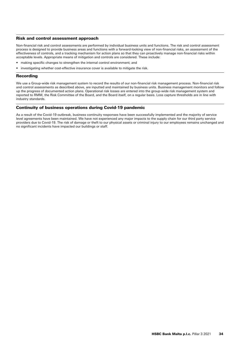## Risk and control assessment approach

Non-financial risk and control assessments are performed by individual business units and functions. The risk and control assessment process is designed to provide business areas and functions with a forward-looking view of non-financial risks, an assessment of the effectiveness of controls, and a tracking mechanism for action plans so that they can proactively manage non-financial risks within acceptable levels. Appropriate means of mitigation and controls are considered. These include:

- making specific changes to strengthen the internal control environment; and
- investigating whether cost-effective insurance cover is available to mitigate the risk.

## Recording

We use a Group-wide risk management system to record the results of our non-financial risk management process. Non-financial risk and control assessments as described above, are inputted and maintained by business units. Business management monitors and follow up the progress of documented action plans. Operational risk losses are entered into the group-wide risk management system and reported to RMM, the Risk Committee of the Board, and the Board itself, on a regular basis. Loss capture thresholds are in line with industry standards.

## Continuity of business operations during Covid-19 pandemic

As a result of the Covid-19 outbreak, business continuity responses have been successfully implemented and the majority of service level agreements have been maintained. We have not experienced any major impacts to the supply chain for our third party service providers due to Covid-19. The risk of damage or theft to our physical assets or criminal injury to our employees remains unchanged and no significant incidents have impacted our buildings or staff.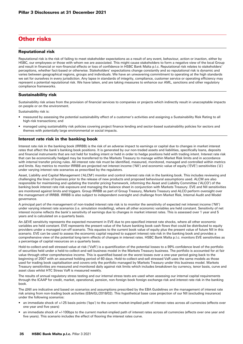# **Other risks**

## Reputational risk

Reputational risk is the risk of failing to meet stakeholder expectations as a result of any event, behaviour, action or inaction, either by HSBC, our employees or those with whom we are associated. This might cause stakeholders to form a negative view of the local Group and result in financial or non-financial effects or loss of confidence in HSBC Bank Malta p.l.c. Reputational risk relates to stakeholders' perceptions, whether fact-based or otherwise. Stakeholders' expectations change constantly and so reputational risk is dynamic and varies between geographical regions, groups and individuals. We have an unwavering commitment to operating at the high standards we set for ourselves in every jurisdiction. Any lapse in standards of integrity, compliance, customer service or operating efficiency may represent a potential reputational risk. We have taken, and are taking measures to enhance our AML, sanctions and other regulatory compliance frameworks.

## Sustainability risk

Sustainability risk arises from the provision of financial services to companies or projects which indirectly result in unacceptable impacts on people or on the environment.

Sustainability risk is:

- measured by assessing the potential sustainability effect of a customer's activities and assigning a Sustainability Risk Rating to all high-risk transactions; and
- managed using sustainability risk policies covering project finance lending and sector-based sustainability policies for sectors and themes with potentially large environmental or social impacts.

## Interest rate risk in the banking book

Interest rate risk in the banking book (IRRBB) is the risk of an adverse impact to earnings or capital due to changes in market interest rates that affect the bank's banking book positions. It is generated by our non-traded assets and liabilities, specifically loans, deposits and financial instruments that are not held for trading intent or held in order to hedge positions held with trading intent. Interest rate risk that can be economically hedged may be transferred to the Markets Treasury to manage within Market Risk limits and in accordance with internal transfer pricing rules. All interest rate risk must be identified, measured, monitored, managed and controlled within metrics and limits. Key metrics to monitor IRRBB are projected net interest income ('NII') and economic value of equity ('EVE') sensitivities ('Δ') under varying interest rate scenarios as prescribed by the regulators.

Asset, Liability and Capital Management ('ALCM') monitor and control interest rate risk in the banking book. This includes reviewing and challenging the lines of business prior to the release of new products and proposed behavioural assumptions used. ALCM are also responsible for maintaining and updating the transfer pricing framework, informing the Asset and Liability Committee ('ALCO') of the banking book interest rate risk exposure and managing the balance sheet in conjunction with Markets Treasury. EVE and NII sensitivities are monitored against limits and triggers. Group IRRBB as part of Group Treasury, Markets Treasury and ALCO perform oversight over the management of IRRBB. IRRBB is also subject to independent oversight and challenge from Market Risk, Internal Audit and Model governance.

A principal part of the management of non-traded interest rate risk is to monitor the sensitivity of expected net interest income ('NII') under varying interest rate scenarios (i.e. simulation modelling), where all other economic variables are held constant. Sensitivity of net interest income reflects the bank's sensitivity of earnings due to changes in market interest rates. This is assessed over 1 year and 5 years and is calculated on a quarterly basis.

An ΔEVE sensitivity represents the expected movement in EVE due to pre-specified interest rate shocks, where all other economic variables are held constant. EVE represents the present value of the future banking book cash flows that could be distributed to equity providers under a managed run-off scenario. This equates to the current book value of equity plus the present value of future NII in this scenario. EVE can be used to assess the economic capital required to support interest rate risk in the banking book and provides a comprehensive view of the potential long-term effects of changes in interest rates. HSBC Bank Malta p.l.c. monitors EVE sensitivities as a percentage of capital resources on a quarterly basis.

Hold-to-collect-and-sell stressed value at risk ('VaR') is a quantification of the potential losses to a 99% confidence level of the portfolio of securities held under a held-to-collect-and-sell business model in the Markets Treasury business. The portfolio is accounted for at fair value through other comprehensive income. This is quantified based on the worst losses over a one-year period going back to the beginning of 2007 with an assumed holding period of 60 days. Hold-to-collect-and-sell stressed VaR uses the same models as those used for trading book capitalisation and covers only the portfolio managed by Markets Treasury under this business model. Markets Treasury sensitivities are measured and monitored daily against risk limits which includes breakdown by currency, tenor basis, curve and asset class whilst HTC Stress VaR is measured weekly.

The results of annual regulatory stress testing and our internal stress tests are used when assessing our internal capital requirements through the ICAAP for credit, market, operational, pension, non-foreign book foreign exchange risk and interest rate risk in the banking book.

The ΔNII are indicative and based on scenarios and assumptions prescribed by the EBA Guidelines on the management of interest rate risk arising from non-trading book activities (EBA/GL/2018/02). This hypothetical base case projection of our NII (excluding insurance) under the following scenarios:

- an immediate shock of +/-25 basis points ('bps') to the current market-implied path of interest rates across all currencies (effects over one year and five years)
- an immediate shock of +/-100bps to the current market-implied path of interest rates across all currencies (effects over one year and five years). This scenario includes the effect of flooring the interest rates curve.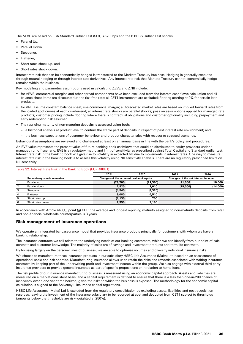The ΔEVE are based on EBA Standard Outlier Test (SOT) +/-200bps and the 6 BCBS Outlier Test shocks:

- Parallel Up,
- Parallel Down,
- Steepener,
- Flattener,
- Short rates shock up, and
- Short rates shock down.

Interest rate risk that can be economically hedged is transferred to the Markets Treasury business. Hedging is generally executed through natural hedging or through interest rate derivatives. Any interest rate risk that Markets Treasury cannot economically hedge remains within the business.

Key modelling and parametric assumptions used in calculating ΔEVE and ΔNII include:

- for ΔEVE, commercial margins and other spread components have been excluded from the interest cash flows calculation and all balance sheet items are discounted at the risk free rate; all CET1 instruments are excluded; flooring starting at 0% for certain loan products.
- for ΔNII assume constant balance sheet; use commercial margin; all forecasted market rates are based on implied forward rates from the loaded spot curves at each quarter-end; all interest rate shocks are parallel shocks; pass on assumptions applied for managed rate products; customer pricing include flooring where there is contractual obligations and customer optionality including prepayment and early redemption risk assumed.
- The repricing maturity of non-maturing deposits is assessed using both:
	- a historical analysis at product level to confirm the stable part of deposits in respect of past interest rate environment; and,
	- the business expectations of customer behaviour and product characteristics with respect to stressed scenarios.

Behavioural assumptions are reviewed and challenged at least on an annual basis in line with the bank's policy and procedures.

An EVE value represents the present value of future banking book cashflows that could be distributed to equity providers under a managed run off scenario. EVE is a regulatory metric and limit of sensitivity as prescribed against Total Capital and Standard outlier test. Interest rate risk in the banking book will give rise to volatility in expected NII due to movements in interest rates. One way to measure interest rate risk in the banking book is to assess this volatility using NII sensitivity analysis. There are no regulatory prescribed limits on NII sensitivity.

#### Table 32: Interest Rate Risk in the Banking Book (EU-IRRBB1)

|   |                                    | 2021<br>2020 |                                         | 2021     | 2020                               |  |
|---|------------------------------------|--------------|-----------------------------------------|----------|------------------------------------|--|
|   | <b>Supervisory shock scenarios</b> |              | Changes of the economic value of equity |          | Changes of the net interest income |  |
|   | Parallel up                        | (29,700)     | (21, 360)                               | 21,000   | 16,000                             |  |
| 2 | Parallel down                      | 7.920        | 2,610                                   | (19,000) | (14,000)                           |  |
| 3 | Steepener                          | (4,540)      | (4,320)                                 |          |                                    |  |
| 4 | Flattener                          | 9.080        | 6.510                                   |          |                                    |  |
| 5 | Short rates up                     | (1, 130)     | 700                                     |          |                                    |  |
| 6 | Short rates down                   | 7,390        | 2.190                                   |          |                                    |  |

In accordance with Article 448(1), point (g) CRR, the average and longest repricing maturity assigned to non-maturity deposits from retail and non-financial wholesale counterparties is 3 years.

## Risk management of insurance operations

We operate an integrated bancassurance model that provides insurance products principally for customers with whom we have a banking relationship.

The insurance contracts we sell relate to the underlying needs of our banking customers, which we can identify from our point-of-sale contacts and customer knowledge. The majority of sales are of savings and investment products and term life contracts.

By focusing largely on the personal lines of business, we are able to optimise volumes and diversify individual insurance risks.

We choose to manufacture these insurance products in our subsidiary HSBC Life Assurance (Malta) Ltd based on an assessment of operational scale and risk appetite. Manufacturing insurance allows us to retain the risks and rewards associated with writing insurance contracts by keeping part of the underwriting profit and investment income within the group. We also engage with external third party insurance providers to provide general insurance as part of specific propositions or in relation to home loans.

The risk profile of our insurance manufacturing business is measured using an economic capital approach. Assets and liabilities are measured on a market consistent basis, and a capital requirement is defined to ensure that there is a less than one-in-200 chance of insolvency over a one-year time horizon, given the risks to which the business is exposed. The methodology for the economic capital calculation is aligned to the Solvency II insurance capital regulations.

HSBC Life Assurance (Malta) Ltd is excluded from the regulatory consolidation by excluding assets, liabilities and post-acquisition reserves, leaving the investment of the insurance subsidiary to be recorded at cost and deducted from CET1 subject to thresholds (amounts below the thresholds are risk-weighted at 250%).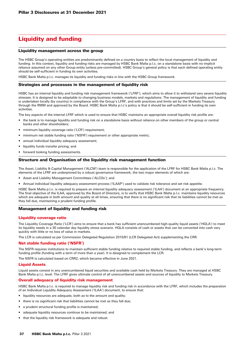# Liquidity and funding

## Liquidity management across the group

The HSBC Group's operating entities are predominantly defined on a country basis to reflect the local management of liquidity and funding. In this context, liquidity and funding risks are managed by HSBC Bank Malta p.l.c. on a standalone basis with no implicit reliance assumed on any other Group entity (unless pre-committed). HSBC Group's general policy is that each defined operating entity should be self-sufficient in funding its own activities.

HSBC Bank Malta p.l.c. manages its liquidity and funding risks in line with the HSBC Group framework.

#### Strategies and processes in the management of liquidity risk

HSBC has an internal liquidity and funding risk management framework ('LFRF'), which aims to allow it to withstand very severe liquidity stresses. It is designed to be adaptable to changing business models, markets and regulations. The management of liquidity and funding is undertaken locally (by country) in compliance with the Group's LFRF, and with practices and limits set by the Markets Treasury through the RMM and approved by the Board. HSBC Bank Malta p.l.c's policy is that it should be self-sufficient in funding its own activities.

The key aspects of the internal LFRF which is used to ensure that HSBC maintains an appropriate overall liquidity risk profile are:

- the bank is to manage liquidity and funding risk on a standalone basis without reliance on other members of the group or central banks and other shareholders;
- minimum liquidity coverage ratio ('LCR') requirement;
- minimum net stable funding ratio ('NSFR') requirement or other appropriate metric;
- annual individual liquidity adequacy assessment;
- liquidity funds transfer pricing; and
- forward looking funding assessments.

## Structure and Organisation of the liquidity risk management function

The Asset, Liability & Capital Management ('ALCM') team is responsible for the application of the LFRF for HSBC Bank Malta p.l.c. The elements of the LFRF are underpinned by a robust governance framework, the two major elements of which are:

- Asset and Liability Management Committees ('ALCOs'); and
- Annual individual liquidity adequacy assessment process ('ILAAP') used to validate risk tolerance and set risk appetite.

HSBC Bank Malta p.l.c. is required to prepare an internal liquidity adequacy assessment ('ILAA') document at an appropriate frequency. The final objective of the ILAA, approved by the Board of Directors, is to verify that HSBC Bank Malta p.l.c. maintains liquidity resources which are adequate in both amount and quality at all times, ensuring that there is no significant risk that its liabilities cannot be met as they fall due, maintaining a prudent funding profile.

## Management of liquidity and funding risk

#### Liquidity coverage ratio

The Liquidity Coverage Ratio ('LCR') aims to ensure that a bank has sufficient unencumbered high-quality liquid assets ('HQLA') to meet its liquidity needs in a 30 calendar day liquidity stress scenario. HQLA consists of cash or assets that can be converted into cash very quickly with little or no loss of value in markets.

The LCR is calculated as per Commission Delegated Regulation 2015/61 (LCR Delegated Act) supplementing the CRR.

## Net stable funding ratio ('NSFR')

The NSFR requires institutions to maintain sufficient stable funding relative to required stable funding, and reflects a bank's long-term funding profile (funding with a term of more than a year). It is designed to complement the LCR.

The NSFR is calculated based on CRR2, which became effective in June 2021.

## Liquid Assets

Liquid assets consist in any unencumbered liquid securities and available cash held by Markets Treasury. They are managed at HSBC Bank Malta p.l.c. level. The LFRF gives ultimate control of all unencumbered assets and sources of liquidity to Markets Treasury.

#### Overall adequacy of liquidity risk management

HSBC Bank Malta p.l.c. is required to manage liquidity risk and funding risk in accordance with the LFRF, which includes the preparation of an Individual Liquidity Adequacy Assessment ('ILAA') document, to ensure that:

- liquidity resources are adequate, both as to the amount and quality;
- there is no significant risk that liabilities cannot be met as they fall due;
- a prudent structural funding profile is maintained;
- adequate liquidity resources continue to be maintained; and
- that the liquidity risk framework is adequate and robust.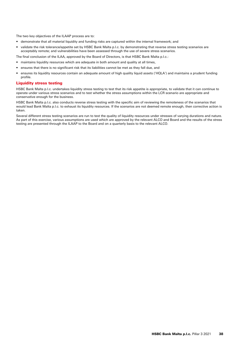The two key objectives of the ILAAP process are to:

- demonstrate that all material liquidity and funding risks are captured within the internal framework; and
- validate the risk tolerance/appetite set by HSBC Bank Malta p.l.c. by demonstrating that reverse stress testing scenarios are acceptably remote; and vulnerabilities have been assessed through the use of severe stress scenarios.

The final conclusion of the ILAA, approved by the Board of Directors, is that HSBC Bank Malta p.l.c.:

- maintains liquidity resources which are adequate in both amount and quality at all times,
- ensures that there is no significant risk that its liabilities cannot be met as they fall due, and
- ensures its liquidity resources contain an adequate amount of high quality liquid assets ('HQLA') and maintains a prudent funding profile.

#### Liquidity stress testing

HSBC Bank Malta p.l.c. undertakes liquidity stress testing to test that its risk appetite is appropriate, to validate that it can continue to operate under various stress scenarios and to test whether the stress assumptions within the LCR scenario are appropriate and conservative enough for the business.

HSBC Bank Malta p.l.c. also conducts reverse stress testing with the specific aim of reviewing the remoteness of the scenarios that would lead Bank Malta p.l.c. to exhaust its liquidity resources. If the scenarios are not deemed remote enough, then corrective action is taken.

Several different stress testing scenarios are run to test the quality of liquidity resources under stresses of varying durations and nature. As part of this exercise, various assumptions are used which are approved by the relevant ALCO and Board and the results of the stress testing are presented through the ILAAP to the Board and on a quarterly basis to the relevant ALCO.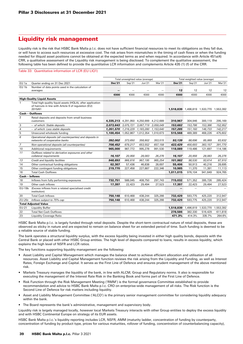# Liquidity risk management

Liquidity risk is the risk that HSBC Bank Malta p.l.c. does not have sufficient financial resources to meet its obligations as they fall due, or will have to access such resources at excessive cost. The risk arises from mismatches in the timing of cash flows or when the funding needed for illiquid asset positions cannot be obtained at the expected terms as and when required. In accordance with Article 451a(4) CRR, a qualitative assessment of the Liquidity risk management is being disclosed. To complement the qualitative assessment, the following table has been defined to provide the quantitative LCR information and complements Article 435 (1) (f) of the CRR.

#### Table 33: Quantitative information of LCR (EU LIQ1)

|                  |                                                                                                                                | Total unweighted value (average)        |         |           |           | Total weighted value (average)          |           |           |           |  |
|------------------|--------------------------------------------------------------------------------------------------------------------------------|-----------------------------------------|---------|-----------|-----------|-----------------------------------------|-----------|-----------|-----------|--|
| EU 1a            | Quarter ending on 31 Dec 2021                                                                                                  | <b>Dec'21</b>                           | Sep'21  | Jun'21    | Mar'21    | <b>Dec'21</b>                           | Sep'21    | Jun'21    | Mar'21    |  |
| EU <sub>1b</sub> | Number of data points used in the calculation of<br>averages                                                                   |                                         |         |           |           | 12                                      | 12        | 12        | 12        |  |
|                  |                                                                                                                                | €000                                    | €000    | €000      | €000      | €000                                    | €000      | €000      | €000      |  |
|                  | <b>High-Quality Liquid Assets</b>                                                                                              |                                         |         |           |           |                                         |           |           |           |  |
| 1                | Total high-quality liquid assets (HQLA), after application<br>of haircuts in line with Article 9 of regulation (EU)<br>2015/61 |                                         |         |           |           | 1,518,839 1,496,819 1,533,770 1,553,392 |           |           |           |  |
|                  | <b>Cash - Outflows</b>                                                                                                         |                                         |         |           |           |                                         |           |           |           |  |
| 2                | Retail deposits and deposits from small business<br>customers                                                                  | 4,335,213 4,291,950 4,250,999 4,212,689 |         |           |           | 310,967                                 | 304,946   | 300,119   | 295,169   |  |
| 3                | - of which: Stable deposits                                                                                                    | 3,073,643 3,075,721 3,067,719           |         |           | 3,059,049 | 153,682                                 | 153,786   | 153,386   | 152,952   |  |
| 4                | - of which: Less stable deposits                                                                                               | 1,261,570 1,216,229 1,183,280           |         |           | 1,153,640 | 157,285                                 | 151,160   | 146,733   | 142,217   |  |
| 5                | Unsecured wholesale funding                                                                                                    | 1,100,454 1,052,867                     |         | 1,012,354 | 1,010,673 | 515,568                                 | 489.389   | 468,226   | 475,602   |  |
| 6                | Operational deposits (all counterparties) and deposits in<br>networks of cooperative banks                                     | 392,002                                 | 373,650 | 358,802   | 353,515   | 93,139                                  | 88,696    | 85,069    | 83,832    |  |
| $\overline{z}$   | Non-operational deposits (all counterparties)                                                                                  | 708,452                                 | 679,217 | 653,552   | 657,158   | 422,429                                 | 400,693   | 383,157   | 391,770   |  |
| 10               | Additional requirements                                                                                                        | 965,000                                 | 987,772 | 995,278   | 991,530   | 118,089                                 | 119,486   | 121,697   | 114,186   |  |
| 11               | Outflows related to derivative exposures and other<br>collateral requirements                                                  | 16,107                                  | 20,956  | 28,083    | 26,276    | 16,107                                  | 20,956    | 28,083    | 26,276    |  |
| 13               | Credit and liquidity facilities                                                                                                | 948.893                                 | 966.816 | 967,195   | 965,254   | 101,982                                 | 98,530    | 93,614    | 87,910    |  |
| 14               | Other contractual funding obligations                                                                                          | 62,367                                  | 57,436  | 46,838    | 28,697    | 55,406                                  | 50,913    | 40,216    | 28,695    |  |
| 15               | Other contingent funding obligations                                                                                           | 219,770                                 | 227,458 | 227,887   | 222,346   | 10,985                                  | 11,370    | 11,391    | 11,113    |  |
| 16               | <b>Total Cash Outflows</b>                                                                                                     |                                         |         |           |           | 1,011,015                               | 976,104   | 941.649   | 924,765   |  |
| Cash - Inflows   |                                                                                                                                |                                         |         |           |           |                                         |           |           |           |  |
| 18               | Inflows from fully performing exposures                                                                                        | 732,751                                 | 588,045 | 408,750   | 297,743   | 715,032                                 | 571,352   | 395,726   | 285,424   |  |
| 19               | Other cash inflows                                                                                                             | 17,397                                  | 22,423  | 29,494    | 27,523    | 17,397                                  | 22,423    | 29,494    | 27,523    |  |
| EU-19b           | (Excess inflows from a related specialised credit<br>institution)                                                              |                                         |         |           |           |                                         |           |           |           |  |
| 20               | <b>Total Cash Inflows</b>                                                                                                      | 750,148                                 | 610,468 | 438,244   | 325,266   | 732,429                                 | 593,775   | 425,220   | 312,947   |  |
| $EU$ -20 $c$     | Inflows subject to 75% cap                                                                                                     | 750,148                                 | 610,468 | 438,244   | 325,266   | 732,429                                 | 593,775   | 425,220   | 312,947   |  |
|                  | <b>Total Adjusted Value</b>                                                                                                    |                                         |         |           |           |                                         |           |           |           |  |
| $EU-21$          | <b>Liquidity Buffer</b>                                                                                                        |                                         |         |           |           | 1,518,839                               | 1,496,819 | 1,533,770 | 1,553,392 |  |
| 22               | <b>Total Net Cash Outflows</b>                                                                                                 |                                         |         |           |           | 278,586                                 | 382,330   | 516,429   | 611,818   |  |
| 23               | <b>Liquidity Coverage Ratio</b>                                                                                                |                                         |         |           |           | 471.3%                                  | 414.3%    | 335.7%    | 264.6%    |  |

HSBC Bank Malta p.l.c. is largely funded through retail deposits. Despite the short-term contractual nature of retail deposits, these are observed as sticky in nature and are expected to remain on balance sheet for an extended period of time. Such funding is deemed to be a reliable source of stable funding.

The bank operates a structural liquidity surplus, with the excess liquidity being invested in either high quality bonds, deposits with the Central Bank or placed with other HSBC Group entities. The high level of deposits compared to loans, results in excess liquidity, which explains the high level of NSFR and LCR ratios.

The key functions supporting liquidity management are the following:

- Asset Liability and Capital Management which manages the balance sheet to achieve efficient allocation and utilisation of all resources. Asset Liability and Capital Management function reviews the risk arising from the Liquidity and Funding, as well as Interest Rates, Foreign Exchange and Capital. It serves as the First Line of Defence and ensures prudent management of the above mentioned risk.
- Markets Treasury manages the liquidity of the bank, in line with ALCM, Group and Regulatory norms. It also is responsible for executing the management of the Interest Rate Risk in the Banking Book and forms part of the First Line of Defence.
- Risk Function through the Risk Management Meeting ('RMM') is the formal governance Committee established to provide recommendation and advice to HSBC Bank Malta p.l.c. CRO on enterprise-wide management of all risks. The Risk function is the Second Line of Defence for risk matters including liquidity.
- Asset and Liability Management Committee ('ALCO') is the primary senior management committee for considering liquidity adequacy within the bank.
- The Board represents the bank's administrative, management and supervisory body.

Liquidity risk is largely managed locally, however local Markets Treasury interacts with other Group entities to deploy the excess liquidity and with HSBC Continental Europe on strategy of its EUR assets.

HSBC Bank Malta p.l.c.'s liquidity reporting includes LCR, NSFR, AMM (maturity ladder, concentration of funding by counterparty, concentration of funding by product type, prices for various maturities, rollover of funding, concentration of counterbalancing capacity),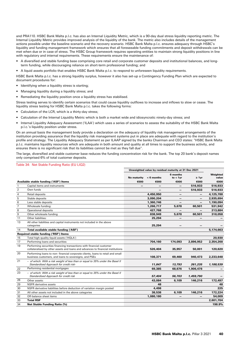and PRA110. HSBC Bank Malta p.l.c. has also an Internal Liquidity Metric, which is a 90-day dual stress liquidity reporting metric. The Internal Liquidity Metric provides improved analysis of the liquidity of the bank. The metric also includes details of the management actions possible under the baseline scenario and the recovery scenario. HSBC Bank Malta p.l.c. ensures adequacy through HSBC's liquidity and funding management framework which ensures that all foreseeable funding commitments and deposit withdrawals can be met when due or in case of stress. The HSBC Group framework requires operating entities to maintain strong liquidity positions in line with regulatory and internal requirements. These requirements ensure the maintenance of:

- A diversified and stable funding base comprising core retail and corporate customer deposits and institutional balances, and longterm funding, while discouraging reliance on short-term professional funding; and
- A liquid assets portfolio that enables HSBC Bank Malta p.l.c. to respond to unforeseen liquidity requirements.

HSBC Bank Malta p.l.c. has a strong liquidity surplus, however it also has set-up a Contingency Funding Plan which are expected to document procedures for:

- Identifying when a liquidity stress is starting;
- Managing liquidity during a liquidity stress; and
- Remediating the liquidity position once a liquidity stress has stabilised.

Stress testing serves to identify certain scenarios that could cause liquidity outflows to increase and inflows to slow or cease. The liquidity stress testing for HSBC Bank Malta p.l.c. takes the following forms:

- Calculation of the LCR, which is a thirty-day stress;
- Calculation of the Internal Liquidity Metric which is both a market wide and idiosyncratic ninety-day stress; and
- Internal Liquidity Adequacy Assessment ('ILAA') which uses a series of scenarios to assess the suitability of the HSBC Bank Malta p.l.c.'s liquidity position under stress.

On an annual basis the management body provide a declaration on the adequacy of liquidity risk management arrangements of the institution providing assurance that the liquidity risk management systems put in place are adequate with regard to the institution's profile and strategy. The Liquidity Adequacy Statement as per ILAAP signed by the banks Chairman and CEO states: "HSBC Bank Malta p.l.c. maintains liquidity resources which are adequate in both amount and quality at all times to support the business activity, and ensures there is no significant risk that its liabilities cannot be met as they fall due".

The large, diversified and stable customer base reduces the funding concentration risk for the bank. The top 20 bank's deposit names only comprised 6% of total customer deposits.

#### Table 34: Net Stable Funding Ratio (EU LIQ2)

|                 |                                                                                                                                                         | Unweighted value by residual maturity at 31 Dec 2021 |                 |                          |                          |           |
|-----------------|---------------------------------------------------------------------------------------------------------------------------------------------------------|------------------------------------------------------|-----------------|--------------------------|--------------------------|-----------|
|                 |                                                                                                                                                         |                                                      |                 | 6 months                 |                          | Weighted  |
|                 |                                                                                                                                                         | <b>No maturity</b>                                   | $< 6$ months    | to $< 1$ yr              | $\geq 1$ yr              | value     |
|                 | Available stable funding ('ASF') Items                                                                                                                  | €000                                                 | €000            | €000                     | €000                     | €000      |
| 1               | Capital items and instruments                                                                                                                           | —                                                    | $\qquad \qquad$ |                          | 516,933                  | 516,933   |
| $\overline{2}$  | Own funds                                                                                                                                               |                                                      |                 |                          | 516,933                  | 516,933   |
| $\overline{4}$  | Retail deposits                                                                                                                                         |                                                      | 4,450,950       | $\qquad \qquad$          | $\qquad \qquad$          | 4,125,788 |
| 5               | Stable deposits                                                                                                                                         |                                                      | 3,090,204       |                          |                          | 2,935,694 |
| $6\phantom{1}6$ | Less stable deposits                                                                                                                                    |                                                      | 1,360,746       |                          |                          | 1,190,094 |
| $\overline{7}$  | Wholesale funding:                                                                                                                                      |                                                      | 1,266,717       | 5,678                    | 60,501                   | 531,942   |
| 8               | Operational deposits                                                                                                                                    |                                                      | 427,768         | $\overline{\phantom{0}}$ | —                        | 213,884   |
| 9               | Other wholesale funding                                                                                                                                 |                                                      | 838,949         | 5.678                    | 60,501                   | 318,058   |
| 11              | Other liabilities:                                                                                                                                      |                                                      | 25,294          |                          |                          |           |
| 13              | All other liabilities and capital instruments not included in the above<br>categories                                                                   |                                                      | 25,294          |                          |                          |           |
| 14              | Total available stable funding ('ASF')                                                                                                                  |                                                      |                 |                          |                          | 5,174,663 |
|                 | Required stable funding ('RSF') Items                                                                                                                   |                                                      |                 |                          |                          |           |
| 15              | Total high-quality liquid assets ('HQLA')                                                                                                               |                                                      |                 |                          |                          | 20,930    |
| 17              | Performing loans and securities:                                                                                                                        |                                                      | 704,160         | 174,093                  | 2,896,952                | 2,354,268 |
| 19              | Performing securities financing transactions with financial customer<br>collateralised by other assets and loans and advances to financial institutions |                                                      | 526,404         | 35,957                   | 50,001                   | 120,620   |
| 20              | Performing loans to non-financial corporate clients, loans to retail and small<br>business customers, and loans to sovereigns, and PSEs                 |                                                      | 108,371         | 69,460                   | 940,473                  | 2,233,648 |
| 21              | - of which: With a risk weight of less than or equal to 35% under the Basel II<br>Standardised Approach for credit risk-                                |                                                      | 11,847          | 13,793                   | 261,235                  | 1,188,539 |
| 22              | Performing residential mortgages                                                                                                                        |                                                      | 69.385          | 68.676                   | 1,906,478                |           |
| 23              | - of which: With a risk weight of less than or equal to 35% under the Basel II<br>Standardised Approach for credit risk                                 |                                                      | 57.404          | 56,703                   | 1,459,790                |           |
| 26              | Other assets:                                                                                                                                           |                                                      | 43,084          | 6,109                    | 146,216                  | 172,497   |
| 29              | <b>NSFR</b> derivative assets                                                                                                                           |                                                      | 48              |                          |                          | 48        |
| 30              | NSFR derivative liabilities before deduction of variation margin posted                                                                                 |                                                      | 4,498           |                          |                          | 225       |
| 31              | All other assets not included in the above categories                                                                                                   |                                                      | 38,538          | 6,109                    | 146,216                  | 172,224   |
| 32              | Off-balance sheet items                                                                                                                                 |                                                      | 1,080,180       | $\overline{\phantom{0}}$ | $\overline{\phantom{0}}$ | 54,009    |
| 33              | <b>Total RSF</b>                                                                                                                                        |                                                      |                 |                          |                          | 2,601,704 |
| 34              | <b>Net Stable Funding Ratio (%)</b>                                                                                                                     |                                                      |                 |                          |                          | 198.9%    |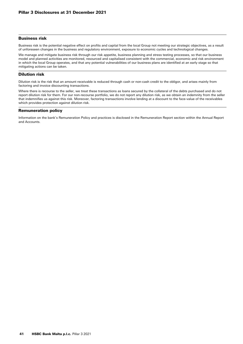## Business risk

Business risk is the potential negative effect on profits and capital from the local Group not meeting our strategic objectives, as a result of unforeseen changes in the business and regulatory environment, exposure to economic cycles and technological changes.

We manage and mitigate business risk through our risk appetite, business planning and stress testing processes, so that our business model and planned activities are monitored, resourced and capitalised consistent with the commercial, economic and risk environment in which the local Group operates, and that any potential vulnerabilities of our business plans are identified at an early stage so that mitigating actions can be taken.

## Dilution risk

Dilution risk is the risk that an amount receivable is reduced through cash or non-cash credit to the obligor, and arises mainly from factoring and invoice discounting transactions.

Where there is recourse to the seller, we treat these transactions as loans secured by the collateral of the debts purchased and do not report dilution risk for them. For our non-recourse portfolio, we do not report any dilution risk, as we obtain an indemnity from the seller that indemnifies us against this risk. Moreover, factoring transactions involve lending at a discount to the face-value of the receivables which provides protection against dilution risk.

## Remuneration policy

Information on the bank's Remuneration Policy and practices is disclosed in the Remuneration Report section within the Annual Report and Accounts.